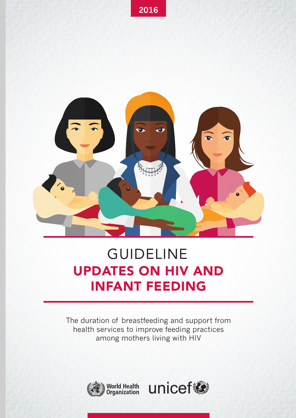

# UPDATES ON HIV AND INFANT FEEDING GUIDELINE

The duration of breastfeeding and support from health services to improve feeding practices among mothers living with HIV



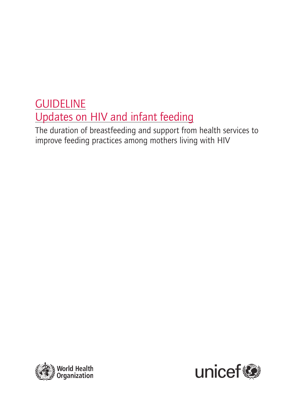## **GUIDELINE** Updates on HIV and infant feeding

The duration of breastfeeding and support from health services to improve feeding practices among mothers living with HIV



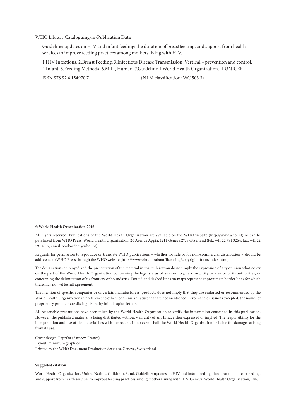#### WHO Library Cataloguing-in-Publication Data

Guideline: updates on HIV and infant feeding: the duration of breastfeeding, and support from health services to improve feeding practices among mothers living with HIV.

1.HIV Infections. 2.Breast Feeding. 3.Infectious Disease Transmission, Vertical – prevention and control. 4.Infant. 5.Feeding Methods. 6.Milk, Human. 7.Guideline. I.World Health Organization. II.UNICEF.

ISBN 978 92 4 154970 7 (NLM classification: WC 503.3)

#### **© World Health Organization 2016**

All rights reserved. Publications of the World Health Organization are available on the WHO website (http://www.who.int) or can be purchased from WHO Press, World Health Organization, 20 Avenue Appia, 1211 Geneva 27, Switzerland (tel.: +41 22 791 3264; fax: +41 22 791 4857; email: bookorders@who.int).

Requests for permission to reproduce or translate WHO publications – whether for sale or for non-commercial distribution – should be addressed to WHO Press through the WHO website (http://www.who.int/about/licensing/copyright\_form/index.html).

The designations employed and the presentation of the material in this publication do not imply the expression of any opinion whatsoever on the part of the World Health Organization concerning the legal status of any country, territory, city or area or of its authorities, or concerning the delimitation of its frontiers or boundaries. Dotted and dashed lines on maps represent approximate border lines for which there may not yet be full agreement.

The mention of specific companies or of certain manufacturers' products does not imply that they are endorsed or recommended by the World Health Organization in preference to others of a similar nature that are not mentioned. Errors and omissions excepted, the names of proprietary products are distinguished by initial capital letters.

All reasonable precautions have been taken by the World Health Organization to verify the information contained in this publication. However, the published material is being distributed without warranty of any kind, either expressed or implied. The responsibility for the interpretation and use of the material lies with the reader. In no event shall the World Health Organization be liable for damages arising from its use.

Cover design: Paprika (Annecy, France) Layout: minimum graphics Printed by the WHO Document Production Services, Geneva, Switzerland

#### **Suggested citation**

World Health Organization, United Nations Children's Fund. Guideline: updates on HIV and infant feeding: the duration of breastfeeding, and support from health services to improve feeding practices among mothers living with HIV. Geneva: World Health Organization; 2016.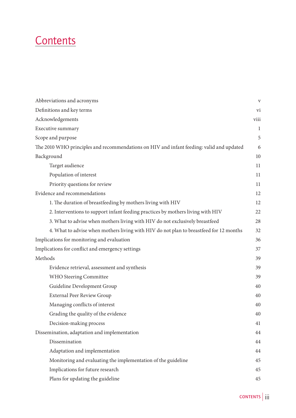## **Contents**

| Abbreviations and acronyms                                                               | $\mathbf{V}$ |
|------------------------------------------------------------------------------------------|--------------|
| Definitions and key terms                                                                | vi           |
| Acknowledgements                                                                         | viii         |
| Executive summary                                                                        | $\mathbf{1}$ |
| Scope and purpose                                                                        | 5            |
| The 2010 WHO principles and recommendations on HIV and infant feeding: valid and updated | 6            |
| Background                                                                               | 10           |
| Target audience                                                                          | 11           |
| Population of interest                                                                   | 11           |
| Priority questions for review                                                            | 11           |
| Evidence and recommendations                                                             | 12           |
| 1. The duration of breastfeeding by mothers living with HIV                              | 12           |
| 2. Interventions to support infant feeding practices by mothers living with HIV          | 22           |
| 3. What to advise when mothers living with HIV do not exclusively breastfeed             | 28           |
| 4. What to advise when mothers living with HIV do not plan to breastfeed for 12 months   | 32           |
| Implications for monitoring and evaluation                                               | 36           |
| Implications for conflict and emergency settings                                         | 37           |
| Methods                                                                                  | 39           |
| Evidence retrieval, assessment and synthesis                                             | 39           |
| WHO Steering Committee                                                                   | 39           |
| Guideline Development Group                                                              | 40           |
| <b>External Peer Review Group</b>                                                        | 40           |
| Managing conflicts of interest                                                           | 40           |
| Grading the quality of the evidence                                                      | 40           |
| Decision-making process                                                                  | 41           |
| Dissemination, adaptation and implementation                                             | 44           |
| Dissemination                                                                            | 44           |
| Adaptation and implementation                                                            | 44           |
| Monitoring and evaluating the implementation of the guideline                            | 45           |
| Implications for future research                                                         | 45           |
| Plans for updating the guideline                                                         | 45           |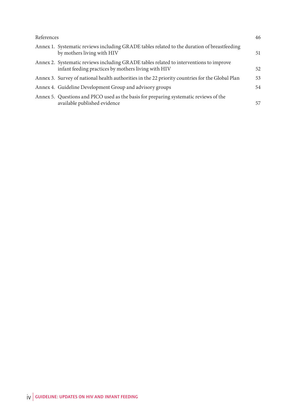| References |                                                                                                                                               | 46 |
|------------|-----------------------------------------------------------------------------------------------------------------------------------------------|----|
|            | Annex 1. Systematic reviews including GRADE tables related to the duration of breastfeeding<br>by mothers living with HIV                     | 51 |
|            | Annex 2. Systematic reviews including GRADE tables related to interventions to improve<br>infant feeding practices by mothers living with HIV | 52 |
|            | Annex 3. Survey of national health authorities in the 22 priority countries for the Global Plan                                               | 53 |
|            | Annex 4. Guideline Development Group and advisory groups                                                                                      | 54 |
|            | Annex 5. Questions and PICO used as the basis for preparing systematic reviews of the<br>available published evidence                         | 57 |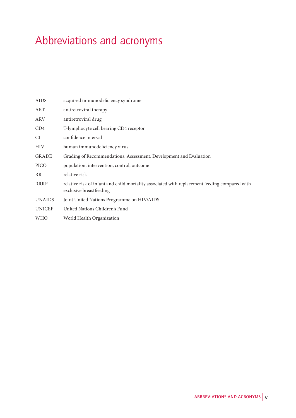## Abbreviations and acronyms

| AIDS          | acquired immunodeficiency syndrome                                                                                       |
|---------------|--------------------------------------------------------------------------------------------------------------------------|
| ART           | antiretroviral therapy                                                                                                   |
| ARV           | antiretroviral drug                                                                                                      |
| CD4           | T-lymphocyte cell bearing CD4 receptor                                                                                   |
| CI            | confidence interval                                                                                                      |
| <b>HIV</b>    | human immunodeficiency virus                                                                                             |
| <b>GRADE</b>  | Grading of Recommendations, Assessment, Development and Evaluation                                                       |
| PICO          | population, intervention, control, outcome                                                                               |
| <b>RR</b>     | relative risk                                                                                                            |
| RRRF          | relative risk of infant and child mortality associated with replacement feeding compared with<br>exclusive breastfeeding |
| <b>UNAIDS</b> | Joint United Nations Programme on HIV/AIDS                                                                               |
| <b>UNICEF</b> | United Nations Children's Fund                                                                                           |
| <b>WHO</b>    | World Health Organization                                                                                                |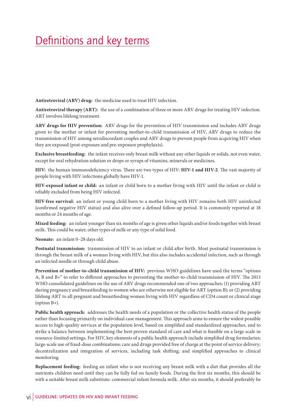### Definitions and key terms

**Antiretroviral (ARV) drug:** the medicine used to treat HIV infection.

**Antiretroviral therapy (ART):** the use of a combination of three or more ARV drugs for treating HIV infection. ART involves lifelong treatment.

**ARV drugs for HIV prevention:** ARV drugs for the prevention of HIV transmission and includes ARV drugs given to the mother or infant for preventing mother-to-child transmission of HIV, ARV drugs to reduce the transmission of HIV among serodiscordant couples and ARV drugs to prevent people from acquiring HIV when they are exposed (post-exposure and pre-exposure prophylaxis).

**Exclusive breastfeeding:** the infant receives only breast milk without any other liquids or solids, not even water, except for oral rehydration solution or drops or syrups of vitamins, minerals or medicines.

**HIV:** the human immunodeficiency virus. There are two types of HIV: **HIV-1 and HIV-2**. The vast majority of people living with HIV infections globally have HIV-1.

**HIV-exposed infant or child:** an infant or child born to a mother living with HIV until the infant or child is reliably excluded from being HIV infected.

**HIV-free survival:** an infant or young child born to a mother living with HIV remains both HIV uninfected (confirmed negative HIV status) and also alive over a defined follow-up period. It is commonly reported at 18 months or 24 months of age.

**Mixed feeding:** an infant younger than six months of age is given other liquids and/or foods together with breast milk. This could be water, other types of milk or any type of solid food.

**Neonate:** an infant 0–28 days old.

**Postnatal transmission:** transmission of HIV to an infant or child after birth. Most postnatal transmission is through the breast milk of a woman living with HIV, but this also includes accidental infection, such as through an infected needle or through child abuse.

**Prevention of mother-to-child transmission of HIV:** previous WHO guidelines have used the terms "options A, B and B+" to refer to different approaches to preventing the mother-to-child transmission of HIV. The 2013 WHO consolidated guidelines on the use of ARV drugs recommended one of two approaches: (1) providing ART during pregnancy and breastfeeding to women who are otherwise not eligible for ART (option B); or (2) providing lifelong ART to all pregnant and breastfeeding women living with HIV regardless of CD4 count or clinical stage (option B+).

**Public health approach:** addresses the health needs of a population or the collective health status of the people rather than focusing primarily on individual case management. This approach aims to ensure the widest possible access to high-quality services at the population level, based on simplified and standardized approaches, and to strike a balance between implementing the best-proven standard of care and what is feasible on a large scale in resource-limited settings. For HIV, key elements of a public health approach include simplified drug formularies; large-scale use of fixed-dose combinations; care and drugs provided free of charge at the point of service delivery; decentralization and integration of services, including task shifting; and simplified approaches to clinical monitoring.

**Replacement feeding:** feeding an infant who is not receiving any breast milk with a diet that provides all the nutrients children need until they can be fully fed on family foods. During the first six months, this should be with a suitable breast milk substitute: commercial infant formula milk. After six months, it should preferably be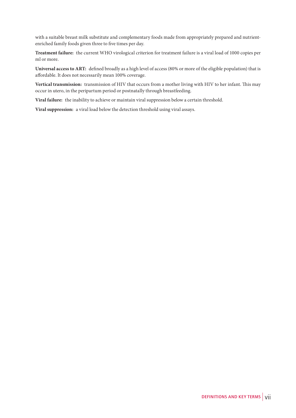with a suitable breast milk substitute and complementary foods made from appropriately prepared and nutrientenriched family foods given three to five times per day.

**Treatment failure:** the current WHO virological criterion for treatment failure is a viral load of 1000 copies per ml or more.

**Universal access to ART:** defined broadly as a high level of access (80% or more of the eligible population) that is affordable. It does not necessarily mean 100% coverage.

**Vertical transmission:** transmission of HIV that occurs from a mother living with HIV to her infant. This may occur in utero, in the peripartum period or postnatally through breastfeeding.

**Viral failure:** the inability to achieve or maintain viral suppression below a certain threshold.

**Viral suppression:** a viral load below the detection threshold using viral assays.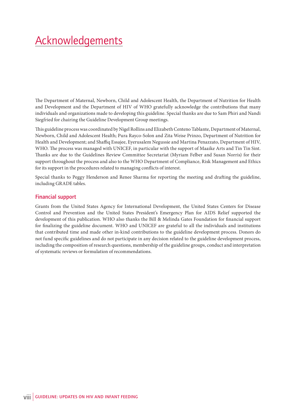## Acknowledgements

The Department of Maternal, Newborn, Child and Adolescent Health, the Department of Nutrition for Health and Development and the Department of HIV of WHO gratefully acknowledge the contributions that many individuals and organizations made to developing this guideline. Special thanks are due to Sam Phiri and Nandi Siegfried for chairing the Guideline Development Group meetings.

This guideline process was coordinated by Nigel Rollins and Elizabeth Centeno Tablante, Department of Maternal, Newborn, Child and Adolescent Health; Pura Rayco-Solon and Zita Weise Prinzo, Department of Nutrition for Health and Development; and Shaffiq Essajee, Eyerusalem Negussie and Martina Penazzato, Department of HIV, WHO. The process was managed with UNICEF, in particular with the support of Maaike Arts and Tin Tin Sint. Thanks are due to the Guidelines Review Committee Secretariat (Myriam Felber and Susan Norris) for their support throughout the process and also to the WHO Department of Compliance, Risk Management and Ethics for its support in the procedures related to managing conflicts of interest.

Special thanks to Peggy Henderson and Renee Sharma for reporting the meeting and drafting the guideline, including GRADE tables.

#### **Financial support**

Grants from the United States Agency for International Development, the United States Centers for Disease Control and Prevention and the United States President's Emergency Plan for AIDS Relief supported the development of this publication. WHO also thanks the Bill & Melinda Gates Foundation for financial support for finalizing the guideline document. WHO and UNICEF are grateful to all the individuals and institutions that contributed time and made other in-kind contributions to the guideline development process. Donors do not fund specific guidelines and do not participate in any decision related to the guideline development process, including the composition of research questions, membership of the guideline groups, conduct and interpretation of systematic reviews or formulation of recommendations.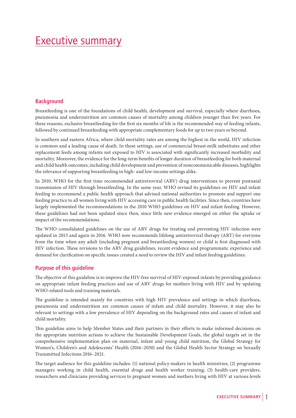### Executive summary

#### **Background**

Breastfeeding is one of the foundations of child health, development and survival, especially where diarrhoea, pneumonia and undernutrition are common causes of mortality among children younger than five years. For these reasons, exclusive breastfeeding for the first six months of life is the recommended way of feeding infants, followed by continued breastfeeding with appropriate complementary foods for up to two years or beyond.

In southern and eastern Africa, where child mortality rates are among the highest in the world, HIV infection is common and a leading cause of death. In these settings, use of commercial breast-milk substitutes and other replacement feeds among infants not exposed to HIV is associated with significantly increased morbidity and mortality. Moreover, the evidence for the long-term benefits of longer duration of breastfeeding for both maternal and child health outcomes, including child development and prevention of noncommunicable diseases, highlights the relevance of supporting breastfeeding in high- and low-income settings alike.

In 2010, WHO for the first time recommended antiretroviral (ARV) drug interventions to prevent postnatal transmission of HIV through breastfeeding. In the same year, WHO revised its guidelines on HIV and infant feeding to recommend a public health approach that advised national authorities to promote and support one feeding practice to all women living with HIV accessing care in public health facilities. Since then, countries have largely implemented the recommendations in the 2010 WHO guidelines on HIV and infant feeding. However, these guidelines had not been updated since then, since little new evidence emerged on either the uptake or impact of the recommendations.

The WHO consolidated guidelines on the use of ARV drugs for treating and preventing HIV infection were updated in 2013 and again in 2016. WHO now recommends lifelong antiretroviral therapy (ART) for everyone from the time when any adult (including pregnant and breastfeeding women) or child is first diagnosed with HIV infection. These revisions to the ARV drug guidelines, recent evidence and programmatic experience and demand for clarification on specific issues created a need to review the HIV and infant feeding guidelines.

#### **Purpose of this guideline**

The objective of this guideline is to improve the HIV-free survival of HIV-exposed infants by providing guidance on appropriate infant feeding practices and use of ARV drugs for mothers living with HIV and by updating WHO-related tools and training materials.

The guideline is intended mainly for countries with high HIV prevalence and settings in which diarrhoea, pneumonia and undernutrition are common causes of infant and child mortality. However, it may also be relevant to settings with a low prevalence of HIV depending on the background rates and causes of infant and child mortality.

This guideline aims to help Member States and their partners in their efforts to make informed decisions on the appropriate nutrition actions to achieve the Sustainable Development Goals, the global targets set in the comprehensive implementation plan on maternal, infant and young child nutrition, the Global Strategy for Women's, Children's and Adolescents' Health (2016–2030) and the Global Health Sector Strategy on Sexually Transmitted Infections 2016–2021.

The target audience for this guideline includes: (1) national policy-makers in health ministries; (2) programme managers working in child health, essential drugs and health worker training; (3) health-care providers, researchers and clinicians providing services to pregnant women and mothers living with HIV at various levels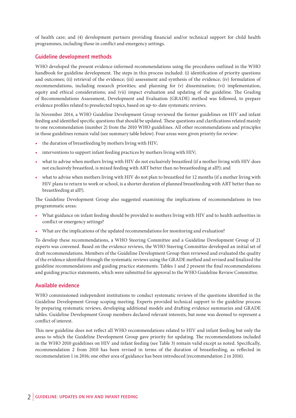of health care; and (4) development partners providing financial and/or technical support for child health programmes, including those in conflict and emergency settings.

#### **Guideline development methods**

WHO developed the present evidence-informed recommendations using the procedures outlined in the WHO handbook for guideline development. The steps in this process included: (i) identification of priority questions and outcomes; (ii) retrieval of the evidence; (iii) assessment and synthesis of the evidence; (iv) formulation of recommendations, including research priorities; and planning for (v) dissemination; (vi) implementation, equity and ethical considerations; and (vii) impact evaluation and updating of the guideline. The Grading of Recommendations Assessment, Development and Evaluation (GRADE) method was followed, to prepare evidence profiles related to preselected topics, based on up-to-date systematic reviews.

In November 2014, a WHO Guideline Development Group reviewed the former guidelines on HIV and infant feeding and identified specific questions that should be updated. These questions and clarifications related mainly to one recommendation (number 2) from the 2010 WHO guidelines. All other recommendations and principles in those guidelines remain valid (see summary table below). Four areas were given priority for review:

- the duration of breastfeeding by mothers living with HIV;
- interventions to support infant feeding practices by mothers living with HIV;
- what to advise when mothers living with HIV do not exclusively breastfeed (if a mother living with HIV does not exclusively breastfeed, is mixed feeding with ART better than no breastfeeding at all?); and
- what to advise when mothers living with HIV do not plan to breastfeed for 12 months (if a mother living with HIV plans to return to work or school, is a shorter duration of planned breastfeeding with ART better than no breastfeeding at all?).

The Guideline Development Group also suggested examining the implications of recommendations in two programmatic areas:

- What guidance on infant feeding should be provided to mothers living with HIV and to health authorities in conflict or emergency settings?
- What are the implications of the updated recommendations for monitoring and evaluation?

To develop these recommendations, a WHO Steering Committee and a Guideline Development Group of 21 experts was convened. Based on the evidence reviews, the WHO Steering Committee developed an initial set of draft recommendations. Members of the Guideline Development Group then reviewed and evaluated the quality of the evidence identified through the systematic reviews using the GRADE method and revised and finalized the guideline recommendations and guiding practice statements. Tables 1 and 2 present the final recommendations and guiding practice statements, which were submitted for approval to the WHO Guideline Review Committee.

#### **Available evidence**

WHO commissioned independent institutions to conduct systematic reviews of the questions identified in the Guideline Development Group scoping meeting. Experts provided technical support to the guideline process by preparing systematic reviews, developing additional models and drafting evidence summaries and GRADE tables. Guideline Development Group members declared relevant interests, but none was deemed to represent a conflict of interest.

This new guideline does not reflect all WHO recommendations related to HIV and infant feeding but only the areas to which the Guideline Development Group gave priority for updating. The recommendations included in the WHO 2010 guidelines on HIV and infant feeding (see Table 3) remain valid except as noted. Specifically, recommendation 2 from 2010 has been revised in terms of the duration of breastfeeding, as reflected in recommendation 1 in 2016; one other area of guidance has been introduced (recommendation 2 in 2016).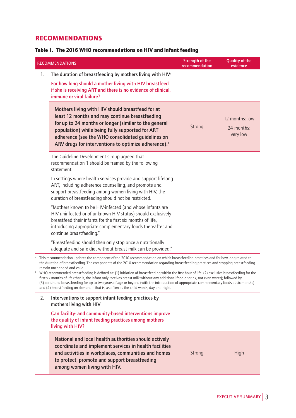### RECOMMENDATIONS

#### Table 1. The 2016 WHO recommendations on HIV and infant feeding

|                                                                                                                                                                                                                                                                                                                                                                                                                                                                                                                                                                                                                                                                                                                                                                                                                                                      | <b>RECOMMENDATIONS</b>                                                                                                                                                                                                                                                                                                                  | <b>Strength of the</b><br>recommendation | <b>Quality of the</b><br>evidence        |
|------------------------------------------------------------------------------------------------------------------------------------------------------------------------------------------------------------------------------------------------------------------------------------------------------------------------------------------------------------------------------------------------------------------------------------------------------------------------------------------------------------------------------------------------------------------------------------------------------------------------------------------------------------------------------------------------------------------------------------------------------------------------------------------------------------------------------------------------------|-----------------------------------------------------------------------------------------------------------------------------------------------------------------------------------------------------------------------------------------------------------------------------------------------------------------------------------------|------------------------------------------|------------------------------------------|
| 1.                                                                                                                                                                                                                                                                                                                                                                                                                                                                                                                                                                                                                                                                                                                                                                                                                                                   | The duration of breastfeeding by mothers living with HIV <sup>a</sup><br>For how long should a mother living with HIV breastfeed<br>if she is receiving ART and there is no evidence of clinical,<br>immune or viral failure?                                                                                                           |                                          |                                          |
|                                                                                                                                                                                                                                                                                                                                                                                                                                                                                                                                                                                                                                                                                                                                                                                                                                                      | Mothers living with HIV should breastfeed for at<br>least 12 months and may continue breastfeeding<br>for up to 24 months or longer (similar to the general<br>population) while being fully supported for ART<br>adherence (see the WHO consolidated guidelines on<br>ARV drugs for interventions to optimize adherence). <sup>b</sup> | Strong                                   | 12 months: low<br>24 months:<br>very low |
|                                                                                                                                                                                                                                                                                                                                                                                                                                                                                                                                                                                                                                                                                                                                                                                                                                                      | The Guideline Development Group agreed that<br>recommendation 1 should be framed by the following<br>statement.                                                                                                                                                                                                                         |                                          |                                          |
|                                                                                                                                                                                                                                                                                                                                                                                                                                                                                                                                                                                                                                                                                                                                                                                                                                                      | In settings where health services provide and support lifelong<br>ART, including adherence counselling, and promote and<br>support breastfeeding among women living with HIV, the<br>duration of breastfeeding should not be restricted.                                                                                                |                                          |                                          |
|                                                                                                                                                                                                                                                                                                                                                                                                                                                                                                                                                                                                                                                                                                                                                                                                                                                      | "Mothers known to be HIV-infected (and whose infants are<br>HIV uninfected or of unknown HIV status) should exclusively<br>breastfeed their infants for the first six months of life,<br>introducing appropriate complementary foods thereafter and<br>continue breastfeeding."                                                         |                                          |                                          |
|                                                                                                                                                                                                                                                                                                                                                                                                                                                                                                                                                                                                                                                                                                                                                                                                                                                      | "Breastfeeding should then only stop once a nutritionally<br>adequate and safe diet without breast milk can be provided."                                                                                                                                                                                                               |                                          |                                          |
| This recommendation updates the component of the 2010 recommendation on which breastfeeding practices and for how long related to<br>the duration of breastfeeding. The components of the 2010 recommendation regarding breastfeeding practices and stopping breastfeeding<br>remain unchanged and valid.<br>b WHO-recommended breastfeeding is defined as: (1) initiation of breastfeeding within the first hour of life; (2) exclusive breastfeeding for the<br>first six months of life (that is, the infant only receives breast milk without any additional food or drink, not even water); followed by<br>(3) continued breastfeeding for up to two years of age or beyond (with the introduction of appropriate complementary foods at six months);<br>and (4) breastfeeding on demand - that is, as often as the child wants, day and night. |                                                                                                                                                                                                                                                                                                                                         |                                          |                                          |
| 2.                                                                                                                                                                                                                                                                                                                                                                                                                                                                                                                                                                                                                                                                                                                                                                                                                                                   | Interventions to support infant feeding practices by<br>mothers living with HIV                                                                                                                                                                                                                                                         |                                          |                                          |
|                                                                                                                                                                                                                                                                                                                                                                                                                                                                                                                                                                                                                                                                                                                                                                                                                                                      | Can facility- and community-based interventions improve<br>the quality of infant feeding practices among mothers<br>living with HIV?                                                                                                                                                                                                    |                                          |                                          |

**National and local health authorities should actively coordinate and implement services in health facilities and activities in workplaces, communities and homes to protect, promote and support breastfeeding among women living with HIV.** Strong | High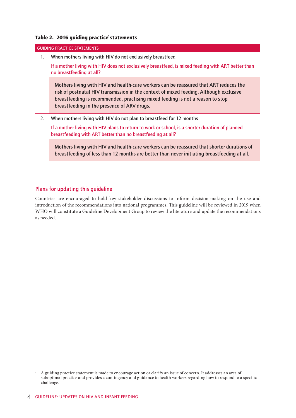#### Table 2.2016 guiding practice<sup>ı</sup>statements

|    | <b>GUIDING PRACTICE STATEMENTS</b>                                                                                                                                                                                                                                                                               |
|----|------------------------------------------------------------------------------------------------------------------------------------------------------------------------------------------------------------------------------------------------------------------------------------------------------------------|
| 1. | When mothers living with HIV do not exclusively breastfeed                                                                                                                                                                                                                                                       |
|    | If a mother living with HIV does not exclusively breastfeed, is mixed feeding with ART better than<br>no breastfeeding at all?                                                                                                                                                                                   |
|    | Mothers living with HIV and health-care workers can be reassured that ART reduces the<br>risk of postnatal HIV transmission in the context of mixed feeding. Although exclusive<br>breastfeeding is recommended, practising mixed feeding is not a reason to stop<br>breastfeeding in the presence of ARV drugs. |
| 2. | When mothers living with HIV do not plan to breastfeed for 12 months                                                                                                                                                                                                                                             |
|    | If a mother living with HIV plans to return to work or school, is a shorter duration of planned<br>breastfeeding with ART better than no breastfeeding at all?                                                                                                                                                   |
|    | Mothers living with HIV and health-care workers can be reassured that shorter durations of<br>breastfeeding of less than 12 months are better than never initiating breastfeeding at all.                                                                                                                        |

#### **Plans for updating this guideline**

Countries are encouraged to hold key stakeholder discussions to inform decision-making on the use and introduction of the recommendations into national programmes. This guideline will be reviewed in 2019 when WHO will constitute a Guideline Development Group to review the literature and update the recommendations as needed.

<sup>1</sup> A guiding practice statement is made to encourage action or clarify an issue of concern. It addresses an area of suboptimal practice and provides a contingency and guidance to health workers regarding how to respond to a specific challenge.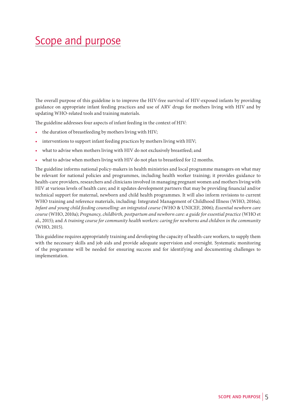### Scope and purpose

The overall purpose of this guideline is to improve the HIV-free survival of HIV-exposed infants by providing guidance on appropriate infant feeding practices and use of ARV drugs for mothers living with HIV and by updating WHO-related tools and training materials.

The guideline addresses four aspects of infant feeding in the context of HIV:

- the duration of breastfeeding by mothers living with HIV;
- interventions to support infant feeding practices by mothers living with HIV;
- what to advise when mothers living with HIV do not exclusively breastfeed; and
- what to advise when mothers living with HIV do not plan to breastfeed for 12 months.

The guideline informs national policy-makers in health ministries and local programme managers on what may be relevant for national policies and programmes, including health worker training; it provides guidance to health-care providers, researchers and clinicians involved in managing pregnant women and mothers living with HIV at various levels of health care; and it updates development partners that may be providing financial and/or technical support for maternal, newborn and child health programmes. It will also inform revisions to current WHO training and reference materials, including: Integrated Management of Childhood Illness (WHO, 2016a); *Infant and young child feeding counselling: an integrated course* (WHO & UNICEF, 2006); *Essential newborn care course* (WHO, 2010a); *Pregnancy, childbirth, postpartum and newborn care: a guide for essential practice* (WHO et al., 2015); and *A training course for community health workers: caring for newborns and children in the community* (WHO, 2015).

This guideline requires appropriately training and developing the capacity of health-care workers, to supply them with the necessary skills and job aids and provide adequate supervision and oversight. Systematic monitoring of the programme will be needed for ensuring success and for identifying and documenting challenges to implementation.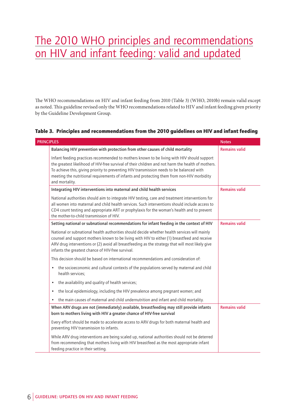## The 2010 WHO principles and recommendations on HIV and infant feeding: valid and updated

The WHO recommendations on HIV and infant feeding from 2010 (Table 3) (WHO, 2010b) remain valid except as noted. This guideline revised only the WHO recommendations related to HIV and infant feeding given priority by the Guideline Development Group.

#### Table 3. Principles and recommendations from the 2010 guidelines on HIV and infant feeding

| <b>PRINCIPLES</b> | <b>Notes</b>                                                                                                                                                                                                                                                                                                                                                                                                  |                      |
|-------------------|---------------------------------------------------------------------------------------------------------------------------------------------------------------------------------------------------------------------------------------------------------------------------------------------------------------------------------------------------------------------------------------------------------------|----------------------|
|                   | Balancing HIV prevention with protection from other causes of child mortality                                                                                                                                                                                                                                                                                                                                 | <b>Remains valid</b> |
|                   | Infant feeding practices recommended to mothers known to be living with HIV should support<br>the greatest likelihood of HIV-free survival of their children and not harm the health of mothers.<br>To achieve this, giving priority to preventing HIV transmission needs to be balanced with<br>meeting the nutritional requirements of infants and protecting them from non-HIV morbidity<br>and mortality. |                      |
|                   | Integrating HIV interventions into maternal and child health services                                                                                                                                                                                                                                                                                                                                         | <b>Remains valid</b> |
|                   | National authorities should aim to integrate HIV testing, care and treatment interventions for<br>all women into maternal and child health services. Such interventions should include access to<br>CD4 count testing and appropriate ART or prophylaxis for the woman's health and to prevent<br>the mother-to-child transmission of HIV.                                                                    |                      |
|                   | Setting national or subnational recommendations for infant feeding in the context of HIV                                                                                                                                                                                                                                                                                                                      | <b>Remains valid</b> |
|                   | National or subnational health authorities should decide whether health services will mainly<br>counsel and support mothers known to be living with HIV to either (1) breastfeed and receive<br>ARV drug interventions or (2) avoid all breastfeeding as the strategy that will most likely give<br>infants the greatest chance of HIV-free survival.                                                         |                      |
|                   | This decision should be based on international recommendations and consideration of:                                                                                                                                                                                                                                                                                                                          |                      |
|                   | the socioeconomic and cultural contexts of the populations served by maternal and child<br>$\bullet$<br>health services;                                                                                                                                                                                                                                                                                      |                      |
|                   | the availability and quality of health services;<br>$\bullet$                                                                                                                                                                                                                                                                                                                                                 |                      |
|                   | the local epidemiology, including the HIV prevalence among pregnant women; and<br>$\bullet$                                                                                                                                                                                                                                                                                                                   |                      |
|                   | the main causes of maternal and child undernutrition and infant and child mortality.<br>$\bullet$                                                                                                                                                                                                                                                                                                             |                      |
|                   | When ARV drugs are not (immediately) available, breastfeeding may still provide infants<br>born to mothers living with HIV a greater chance of HIV-free survival                                                                                                                                                                                                                                              | <b>Remains valid</b> |
|                   | Every effort should be made to accelerate access to ARV drugs for both maternal health and<br>preventing HIV transmission to infants.                                                                                                                                                                                                                                                                         |                      |
|                   | While ARV drug interventions are being scaled up, national authorities should not be deterred<br>from recommending that mothers living with HIV breastfeed as the most appropriate infant<br>feeding practice in their setting.                                                                                                                                                                               |                      |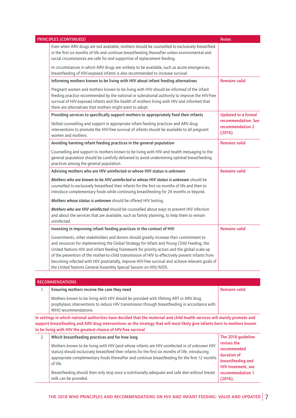| Even when ARV drugs are not available, mothers should be counselled to exclusively breastfeed<br>in the first six months of life and continue breastfeeding thereafter unless environmental and<br>social circumstances are safe for and supportive of replacement feeding.<br>In circumstances in which ARV drugs are unlikely to be available, such as acute emergencies,<br>breastfeeding of HIV-exposed infants is also recommended to increase survival.<br>Informing mothers known to be living with HIV about infant feeding alternatives<br><b>Remains valid</b><br>Pregnant women and mothers known to be living with HIV should be informed of the infant<br>feeding practice recommended by the national or subnational authority to improve the HIV-free<br>survival of HIV-exposed infants and the health of mothers living with HIV and informed that<br>there are alternatives that mothers might want to adopt.<br>Providing services to specifically support mothers to appropriately feed their infants<br><b>Updated to a formal</b><br>recommendation. See<br>Skilled counselling and support in appropriate infant feeding practices and ARV drug<br>recommendation 2<br>interventions to promote the HIV-free survival of infants should be available to all pregnant<br>(2016)<br>women and mothers.<br><b>Remains valid</b><br>Avoiding harming infant feeding practices in the general population<br>Counselling and support to mothers known to be living with HIV and health messaging to the<br>general population should be carefully delivered to avoid undermining optimal breastfeeding<br>practices among the general population.<br><b>Remains valid</b><br>Advising mothers who are HIV uninfected or whose HIV status is unknown<br>Mothers who are known to be HIV uninfected or whose HIV status is unknown should be<br>counselled to exclusively breastfeed their infants for the first six months of life and then to<br>introduce complementary foods while continuing breastfeeding for 24 months or beyond.<br>Mothers whose status is unknown should be offered HIV testing.<br>Mothers who are HIV uninfected should be counselled about ways to prevent HIV infection<br>and about the services that are available, such as family planning, to help them to remain<br>uninfected.<br><b>Remains valid</b><br>Investing in improving infant feeding practices in the context of HIV<br>Governments, other stakeholders and donors should greatly increase their commitment to<br>and resources for implementing the Global Strategy for Infant and Young Child Feeding, the<br>United Nations HIV and infant feeding framework for priority action and the global scale-up<br>of the prevention of the mother-to-child transmission of HIV to effectively prevent infants from<br>becoming infected with HIV postnatally, improve HIV-free survival and achieve relevant goals of<br>the United Nations General Assembly Special Session on HIV/AIDS.<br><b>RECOMMENDATIONS</b><br><b>Remains valid</b><br>Ensuring mothers receive the care they need<br>1. | PRINCIPLES (CONTINUED)                                                               | <b>Notes</b> |
|-------------------------------------------------------------------------------------------------------------------------------------------------------------------------------------------------------------------------------------------------------------------------------------------------------------------------------------------------------------------------------------------------------------------------------------------------------------------------------------------------------------------------------------------------------------------------------------------------------------------------------------------------------------------------------------------------------------------------------------------------------------------------------------------------------------------------------------------------------------------------------------------------------------------------------------------------------------------------------------------------------------------------------------------------------------------------------------------------------------------------------------------------------------------------------------------------------------------------------------------------------------------------------------------------------------------------------------------------------------------------------------------------------------------------------------------------------------------------------------------------------------------------------------------------------------------------------------------------------------------------------------------------------------------------------------------------------------------------------------------------------------------------------------------------------------------------------------------------------------------------------------------------------------------------------------------------------------------------------------------------------------------------------------------------------------------------------------------------------------------------------------------------------------------------------------------------------------------------------------------------------------------------------------------------------------------------------------------------------------------------------------------------------------------------------------------------------------------------------------------------------------------------------------------------------------------------------------------------------------------------------------------------------------------------------------------------------------------------------------------------------------------------------------------------------------------------------------------------------------------------------------------------------------------------------------------------------------------------------------------------------------------------------------------------------------------------------------------------------------|--------------------------------------------------------------------------------------|--------------|
|                                                                                                                                                                                                                                                                                                                                                                                                                                                                                                                                                                                                                                                                                                                                                                                                                                                                                                                                                                                                                                                                                                                                                                                                                                                                                                                                                                                                                                                                                                                                                                                                                                                                                                                                                                                                                                                                                                                                                                                                                                                                                                                                                                                                                                                                                                                                                                                                                                                                                                                                                                                                                                                                                                                                                                                                                                                                                                                                                                                                                                                                                                             |                                                                                      |              |
|                                                                                                                                                                                                                                                                                                                                                                                                                                                                                                                                                                                                                                                                                                                                                                                                                                                                                                                                                                                                                                                                                                                                                                                                                                                                                                                                                                                                                                                                                                                                                                                                                                                                                                                                                                                                                                                                                                                                                                                                                                                                                                                                                                                                                                                                                                                                                                                                                                                                                                                                                                                                                                                                                                                                                                                                                                                                                                                                                                                                                                                                                                             |                                                                                      |              |
|                                                                                                                                                                                                                                                                                                                                                                                                                                                                                                                                                                                                                                                                                                                                                                                                                                                                                                                                                                                                                                                                                                                                                                                                                                                                                                                                                                                                                                                                                                                                                                                                                                                                                                                                                                                                                                                                                                                                                                                                                                                                                                                                                                                                                                                                                                                                                                                                                                                                                                                                                                                                                                                                                                                                                                                                                                                                                                                                                                                                                                                                                                             |                                                                                      |              |
|                                                                                                                                                                                                                                                                                                                                                                                                                                                                                                                                                                                                                                                                                                                                                                                                                                                                                                                                                                                                                                                                                                                                                                                                                                                                                                                                                                                                                                                                                                                                                                                                                                                                                                                                                                                                                                                                                                                                                                                                                                                                                                                                                                                                                                                                                                                                                                                                                                                                                                                                                                                                                                                                                                                                                                                                                                                                                                                                                                                                                                                                                                             |                                                                                      |              |
|                                                                                                                                                                                                                                                                                                                                                                                                                                                                                                                                                                                                                                                                                                                                                                                                                                                                                                                                                                                                                                                                                                                                                                                                                                                                                                                                                                                                                                                                                                                                                                                                                                                                                                                                                                                                                                                                                                                                                                                                                                                                                                                                                                                                                                                                                                                                                                                                                                                                                                                                                                                                                                                                                                                                                                                                                                                                                                                                                                                                                                                                                                             |                                                                                      |              |
|                                                                                                                                                                                                                                                                                                                                                                                                                                                                                                                                                                                                                                                                                                                                                                                                                                                                                                                                                                                                                                                                                                                                                                                                                                                                                                                                                                                                                                                                                                                                                                                                                                                                                                                                                                                                                                                                                                                                                                                                                                                                                                                                                                                                                                                                                                                                                                                                                                                                                                                                                                                                                                                                                                                                                                                                                                                                                                                                                                                                                                                                                                             |                                                                                      |              |
|                                                                                                                                                                                                                                                                                                                                                                                                                                                                                                                                                                                                                                                                                                                                                                                                                                                                                                                                                                                                                                                                                                                                                                                                                                                                                                                                                                                                                                                                                                                                                                                                                                                                                                                                                                                                                                                                                                                                                                                                                                                                                                                                                                                                                                                                                                                                                                                                                                                                                                                                                                                                                                                                                                                                                                                                                                                                                                                                                                                                                                                                                                             |                                                                                      |              |
|                                                                                                                                                                                                                                                                                                                                                                                                                                                                                                                                                                                                                                                                                                                                                                                                                                                                                                                                                                                                                                                                                                                                                                                                                                                                                                                                                                                                                                                                                                                                                                                                                                                                                                                                                                                                                                                                                                                                                                                                                                                                                                                                                                                                                                                                                                                                                                                                                                                                                                                                                                                                                                                                                                                                                                                                                                                                                                                                                                                                                                                                                                             |                                                                                      |              |
|                                                                                                                                                                                                                                                                                                                                                                                                                                                                                                                                                                                                                                                                                                                                                                                                                                                                                                                                                                                                                                                                                                                                                                                                                                                                                                                                                                                                                                                                                                                                                                                                                                                                                                                                                                                                                                                                                                                                                                                                                                                                                                                                                                                                                                                                                                                                                                                                                                                                                                                                                                                                                                                                                                                                                                                                                                                                                                                                                                                                                                                                                                             |                                                                                      |              |
|                                                                                                                                                                                                                                                                                                                                                                                                                                                                                                                                                                                                                                                                                                                                                                                                                                                                                                                                                                                                                                                                                                                                                                                                                                                                                                                                                                                                                                                                                                                                                                                                                                                                                                                                                                                                                                                                                                                                                                                                                                                                                                                                                                                                                                                                                                                                                                                                                                                                                                                                                                                                                                                                                                                                                                                                                                                                                                                                                                                                                                                                                                             |                                                                                      |              |
|                                                                                                                                                                                                                                                                                                                                                                                                                                                                                                                                                                                                                                                                                                                                                                                                                                                                                                                                                                                                                                                                                                                                                                                                                                                                                                                                                                                                                                                                                                                                                                                                                                                                                                                                                                                                                                                                                                                                                                                                                                                                                                                                                                                                                                                                                                                                                                                                                                                                                                                                                                                                                                                                                                                                                                                                                                                                                                                                                                                                                                                                                                             |                                                                                      |              |
|                                                                                                                                                                                                                                                                                                                                                                                                                                                                                                                                                                                                                                                                                                                                                                                                                                                                                                                                                                                                                                                                                                                                                                                                                                                                                                                                                                                                                                                                                                                                                                                                                                                                                                                                                                                                                                                                                                                                                                                                                                                                                                                                                                                                                                                                                                                                                                                                                                                                                                                                                                                                                                                                                                                                                                                                                                                                                                                                                                                                                                                                                                             |                                                                                      |              |
|                                                                                                                                                                                                                                                                                                                                                                                                                                                                                                                                                                                                                                                                                                                                                                                                                                                                                                                                                                                                                                                                                                                                                                                                                                                                                                                                                                                                                                                                                                                                                                                                                                                                                                                                                                                                                                                                                                                                                                                                                                                                                                                                                                                                                                                                                                                                                                                                                                                                                                                                                                                                                                                                                                                                                                                                                                                                                                                                                                                                                                                                                                             |                                                                                      |              |
|                                                                                                                                                                                                                                                                                                                                                                                                                                                                                                                                                                                                                                                                                                                                                                                                                                                                                                                                                                                                                                                                                                                                                                                                                                                                                                                                                                                                                                                                                                                                                                                                                                                                                                                                                                                                                                                                                                                                                                                                                                                                                                                                                                                                                                                                                                                                                                                                                                                                                                                                                                                                                                                                                                                                                                                                                                                                                                                                                                                                                                                                                                             |                                                                                      |              |
|                                                                                                                                                                                                                                                                                                                                                                                                                                                                                                                                                                                                                                                                                                                                                                                                                                                                                                                                                                                                                                                                                                                                                                                                                                                                                                                                                                                                                                                                                                                                                                                                                                                                                                                                                                                                                                                                                                                                                                                                                                                                                                                                                                                                                                                                                                                                                                                                                                                                                                                                                                                                                                                                                                                                                                                                                                                                                                                                                                                                                                                                                                             |                                                                                      |              |
|                                                                                                                                                                                                                                                                                                                                                                                                                                                                                                                                                                                                                                                                                                                                                                                                                                                                                                                                                                                                                                                                                                                                                                                                                                                                                                                                                                                                                                                                                                                                                                                                                                                                                                                                                                                                                                                                                                                                                                                                                                                                                                                                                                                                                                                                                                                                                                                                                                                                                                                                                                                                                                                                                                                                                                                                                                                                                                                                                                                                                                                                                                             |                                                                                      |              |
|                                                                                                                                                                                                                                                                                                                                                                                                                                                                                                                                                                                                                                                                                                                                                                                                                                                                                                                                                                                                                                                                                                                                                                                                                                                                                                                                                                                                                                                                                                                                                                                                                                                                                                                                                                                                                                                                                                                                                                                                                                                                                                                                                                                                                                                                                                                                                                                                                                                                                                                                                                                                                                                                                                                                                                                                                                                                                                                                                                                                                                                                                                             | Mothers known to be living with HIV should be provided with lifelong ART or ARV drug |              |

prophylaxis interventions to reduce HIV transmission through breastfeeding in accordance with WHO recommendations. **In settings in which national authorities have decided that the maternal and child health services will mainly promote and support breastfeeding and ARV drug interventions as the strategy that will most likely give infants born to mothers known** 

|    | to be living with HIV the greatest chance of HIV-free survival                                                                                                                                                                                     |                                                                 |
|----|----------------------------------------------------------------------------------------------------------------------------------------------------------------------------------------------------------------------------------------------------|-----------------------------------------------------------------|
| 2. | Which breastfeeding practices and for how long<br>Mothers known to be living with HIV (and whose infants are HIV uninfected or of unknown HIV<br>status) should exclusively breastfeed their infants for the first six months of life, introducing | The 2016 guideline<br>revises the<br>recommended<br>duration of |
|    | appropriate complementary foods thereafter and continue breastfeeding for the first 12 months<br>of life.                                                                                                                                          | breastfeeding and<br>HIV treatment, see                         |
|    | Breastfeeding should then only stop once a nutritionally adequate and safe diet without breast<br>milk can be provided.                                                                                                                            | recommendation 1<br>(2016).                                     |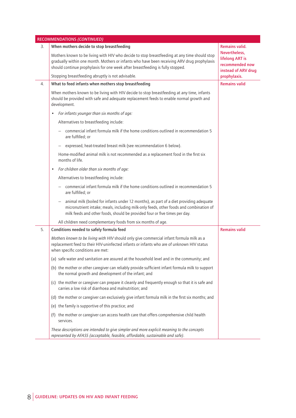|    | RECOMMENDATIONS (CONTINUED)                                                                                                                                                                                                                                                   |                                                                            |
|----|-------------------------------------------------------------------------------------------------------------------------------------------------------------------------------------------------------------------------------------------------------------------------------|----------------------------------------------------------------------------|
| 3. | When mothers decide to stop breastfeeding                                                                                                                                                                                                                                     | Remains valid.                                                             |
|    | Mothers known to be living with HIV who decide to stop breastfeeding at any time should stop<br>gradually within one month. Mothers or infants who have been receiving ARV drug prophylaxis<br>should continue prophylaxis for one week after breastfeeding is fully stopped. | Nevertheless,<br>lifelong ART is<br>recommended now<br>instead of ARV drug |
|    | Stopping breastfeeding abruptly is not advisable.                                                                                                                                                                                                                             | prophylaxis.                                                               |
| 4. | What to feed infants when mothers stop breastfeeding                                                                                                                                                                                                                          | <b>Remains valid</b>                                                       |
|    | When mothers known to be living with HIV decide to stop breastfeeding at any time, infants<br>should be provided with safe and adequate replacement feeds to enable normal growth and<br>development.                                                                         |                                                                            |
|    | For infants younger than six months of age:                                                                                                                                                                                                                                   |                                                                            |
|    | Alternatives to breastfeeding include:                                                                                                                                                                                                                                        |                                                                            |
|    | commercial infant formula milk if the home conditions outlined in recommendation 5<br>are fulfilled; or                                                                                                                                                                       |                                                                            |
|    | expressed, heat-treated breast milk (see recommendation 6 below).                                                                                                                                                                                                             |                                                                            |
|    | Home-modified animal milk is not recommended as a replacement food in the first six<br>months of life.                                                                                                                                                                        |                                                                            |
|    | For children older than six months of age:<br>$\bullet$                                                                                                                                                                                                                       |                                                                            |
|    | Alternatives to breastfeeding include:                                                                                                                                                                                                                                        |                                                                            |
|    | commercial infant formula milk if the home conditions outlined in recommendation 5<br>are fulfilled; or                                                                                                                                                                       |                                                                            |
|    | animal milk (boiled for infants under 12 months), as part of a diet providing adequate<br>micronutrient intake; meals, including milk-only feeds, other foods and combination of<br>milk feeds and other foods, should be provided four or five times per day.                |                                                                            |
|    | All children need complementary foods from six months of age.                                                                                                                                                                                                                 |                                                                            |
| 5. | Conditions needed to safely formula feed                                                                                                                                                                                                                                      | <b>Remains valid</b>                                                       |
|    | Mothers known to be living with HIV should only give commercial infant formula milk as a<br>replacement feed to their HIV-uninfected infants or infants who are of unknown HIV status<br>when specific conditions are met:                                                    |                                                                            |
|    | (a) safe water and sanitation are assured at the household level and in the community; and                                                                                                                                                                                    |                                                                            |
|    | (b) the mother or other caregiver can reliably provide sufficient infant formula milk to support<br>the normal growth and development of the infant; and                                                                                                                      |                                                                            |
|    | (c) the mother or caregiver can prepare it cleanly and frequently enough so that it is safe and<br>carries a low risk of diarrhoea and malnutrition; and                                                                                                                      |                                                                            |
|    | (d) the mother or caregiver can exclusively give infant formula milk in the first six months; and                                                                                                                                                                             |                                                                            |
|    | (e) the family is supportive of this practice; and                                                                                                                                                                                                                            |                                                                            |
|    | (f) the mother or caregiver can access health care that offers comprehensive child health<br>services.                                                                                                                                                                        |                                                                            |
|    | These descriptions are intended to give simpler and more explicit meaning to the concepts<br>represented by AFASS (acceptable, feasible, affordable, sustainable and safe).                                                                                                   |                                                                            |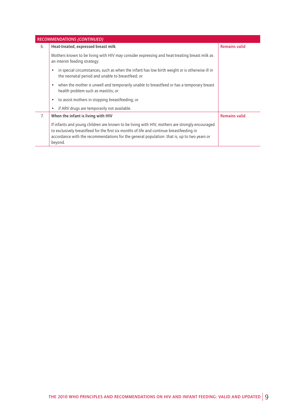|    | <b>RECOMMENDATIONS (CONTINUED)</b>                                                                                                                                                                                                                                                                   |                      |
|----|------------------------------------------------------------------------------------------------------------------------------------------------------------------------------------------------------------------------------------------------------------------------------------------------------|----------------------|
| 6. | Heat-treated, expressed breast milk                                                                                                                                                                                                                                                                  | <b>Remains valid</b> |
|    | Mothers known to be living with HIV may consider expressing and heat-treating breast milk as<br>an interim feeding strategy:                                                                                                                                                                         |                      |
|    | in special circumstances, such as when the infant has low birth weight or is otherwise ill in<br>the neonatal period and unable to breastfeed; or                                                                                                                                                    |                      |
|    | when the mother is unwell and temporarily unable to breastfeed or has a temporary breast<br>$\bullet$<br>health problem such as mastitis; or                                                                                                                                                         |                      |
|    | to assist mothers in stopping breastfeeding; or<br>٠                                                                                                                                                                                                                                                 |                      |
|    | if ARV drugs are temporarily not available.                                                                                                                                                                                                                                                          |                      |
| 7. | When the infant is living with HIV                                                                                                                                                                                                                                                                   | <b>Remains valid</b> |
|    | If infants and young children are known to be living with HIV, mothers are strongly encouraged<br>to exclusively breastfeed for the first six months of life and continue breastfeeding in<br>accordance with the recommendations for the general population: that is, up to two years or<br>beyond. |                      |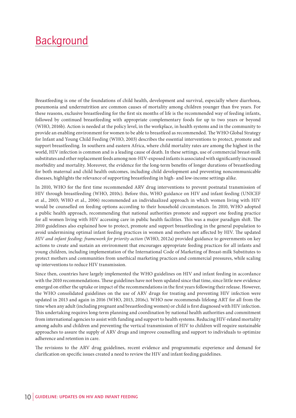### Background

Breastfeeding is one of the foundations of child health, development and survival, especially where diarrhoea, pneumonia and undernutrition are common causes of mortality among children younger than five years. For these reasons, exclusive breastfeeding for the first six months of life is the recommended way of feeding infants, followed by continued breastfeeding with appropriate complementary foods for up to two years or beyond (WHO, 2016b). Action is needed at the policy level, in the workplace, in health systems and in the community to provide an enabling environment for women to be able to breastfeed as recommended. The WHO Global Strategy for Infant and Young Child Feeding (WHO, 2003) describes the essential interventions to protect, promote and support breastfeeding. In southern and eastern Africa, where child mortality rates are among the highest in the world, HIV infection is common and is a leading cause of death. In these settings, use of commercial breast-milk substitutes and other replacement feeds among non-HIV-exposed infants is associated with significantly increased morbidity and mortality. Moreover, the evidence for the long-term benefits of longer durations of breastfeeding for both maternal and child health outcomes, including child development and preventing noncommunicable diseases, highlights the relevance of supporting breastfeeding in high- and low-income settings alike.

In 2010, WHO for the first time recommended ARV drug interventions to prevent postnatal transmission of HIV through breastfeeding (WHO, 2010c). Before this, WHO guidance on HIV and infant feeding (UNICEF et al., 2003; WHO et al., 2006) recommended an individualized approach in which women living with HIV would be counselled on feeding options according to their household circumstances. In 2010, WHO adopted a public health approach, recommending that national authorities promote and support one feeding practice for all women living with HIV accessing care in public health facilities. This was a major paradigm shift. The 2010 guidelines also explained how to protect, promote and support breastfeeding in the general population to avoid undermining optimal infant feeding practices in women and mothers not affected by HIV. The updated *HIV and infant feeding: framework for priority action* (WHO, 2012a) provided guidance to governments on key actions to create and sustain an environment that encourages appropriate feeding practices for all infants and young children, including implementation of the International Code of Marketing of Breast-milk Substitutes to protect mothers and communities from unethical marketing practices and commercial pressures, while scaling up interventions to reduce HIV transmission.

Since then, countries have largely implemented the WHO guidelines on HIV and infant feeding in accordance with the 2010 recommendations. These guidelines have not been updated since that time, since little new evidence emerged on either the uptake or impact of the recommendations in the first years following their release. However, the WHO consolidated guidelines on the use of ARV drugs for treating and preventing HIV infection were updated in 2013 and again in 2016 (WHO, 2013, 2016c). WHO now recommends lifelong ART for all from the time when any adult (including pregnant and breastfeeding women) or child is first diagnosed with HIV infection. This undertaking requires long-term planning and coordination by national health authorities and commitment from international agencies to assist with funding and support to health systems. Reducing HIV-related mortality among adults and children and preventing the vertical transmission of HIV to children will require sustainable approaches to assure the supply of ARV drugs and improve counselling and support to individuals to optimize adherence and retention in care.

The revisions to the ARV drug guidelines, recent evidence and programmatic experience and demand for clarification on specific issues created a need to review the HIV and infant feeding guidelines.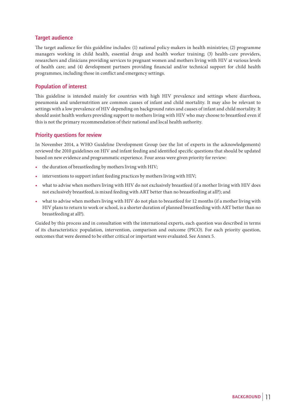#### **Target audience**

The target audience for this guideline includes: (1) national policy-makers in health ministries; (2) programme managers working in child health, essential drugs and health worker training; (3) health-care providers, researchers and clinicians providing services to pregnant women and mothers living with HIV at various levels of health care; and (4) development partners providing financial and/or technical support for child health programmes, including those in conflict and emergency settings.

#### **Population of interest**

This guideline is intended mainly for countries with high HIV prevalence and settings where diarrhoea, pneumonia and undernutrition are common causes of infant and child mortality. It may also be relevant to settings with a low prevalence of HIV depending on background rates and causes of infant and child mortality. It should assist health workers providing support to mothers living with HIV who may choose to breastfeed even if this is not the primary recommendation of their national and local health authority.

#### **Priority questions for review**

In November 2014, a WHO Guideline Development Group (see the list of experts in the acknowledgements) reviewed the 2010 guidelines on HIV and infant feeding and identified specific questions that should be updated based on new evidence and programmatic experience. Four areas were given priority for review:

- the duration of breastfeeding by mothers living with HIV;
- interventions to support infant feeding practices by mothers living with HIV;
- what to advise when mothers living with HIV do not exclusively breastfeed (if a mother living with HIV does not exclusively breastfeed, is mixed feeding with ART better than no breastfeeding at all?); and
- what to advise when mothers living with HIV do not plan to breastfeed for 12 months (if a mother living with HIV plans to return to work or school, is a shorter duration of planned breastfeeding with ART better than no breastfeeding at all?).

Guided by this process and in consultation with the international experts, each question was described in terms of its characteristics: population, intervention, comparison and outcome (PICO). For each priority question, outcomes that were deemed to be either critical or important were evaluated. See Annex 5.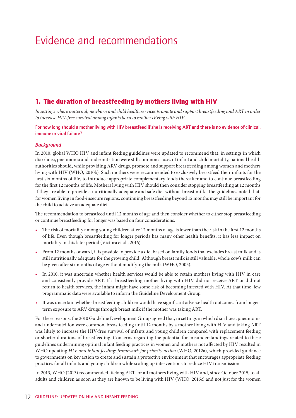## Evidence and recommendations

### 1. The duration of breastfeeding by mothers living with HIV

In settings where maternal, newborn and child health services promote and support breastfeeding and ART in order *to increase HIV-free survival among infants born to mothers living with HIV:*

**For how long should a mother living with HIV breastfeed if she is receiving ART and there is no evidence of clinical, immune or viral failure?**

#### *Background*

In 2010, global WHO HIV and infant feeding guidelines were updated to recommend that, in settings in which diarrhoea, pneumonia and undernutrition were still common causes of infant and child mortality, national health authorities should, while providing ARV drugs, promote and support breastfeeding among women and mothers living with HIV (WHO, 2010b). Such mothers were recommended to exclusively breastfeed their infants for the first six months of life, to introduce appropriate complementary foods thereafter and to continue breastfeeding for the first 12 months of life. Mothers living with HIV should then consider stopping breastfeeding at 12 months if they are able to provide a nutritionally adequate and safe diet without breast milk. The guidelines noted that, for women living in food-insecure regions, continuing breastfeeding beyond 12 months may still be important for the child to achieve an adequate diet.

The recommendation to breastfeed until 12 months of age and then consider whether to either stop breastfeeding or continue breastfeeding for longer was based on four considerations.

- The risk of mortality among young children after 12 months of age is lower than the risk in the first 12 months of life. Even though breastfeeding for longer periods has many other health benefits, it has less impact on mortality in this later period (Victora et al., 2016).
- From 12 months onward, it is possible to provide a diet based on family foods that excludes breast milk and is still nutritionally adequate for the growing child. Although breast milk is still valuable, whole cow's milk can be given after six months of age without modifying the milk (WHO, 2005).
- In 2010, it was uncertain whether health services would be able to retain mothers living with HIV in care and consistently provide ART. If a breastfeeding mother living with HIV did not receive ART or did not return to health services, the infant might have some risk of becoming infected with HIV. At that time, few programmatic data were available to inform the Guideline Development Group.
- It was uncertain whether breastfeeding children would have significant adverse health outcomes from longerterm exposure to ARV drugs through breast milk if the mother was taking ART.

For these reasons, the 2010 Guideline Development Group agreed that, in settings in which diarrhoea, pneumonia and undernutrition were common, breastfeeding until 12 months by a mother living with HIV and taking ART was likely to increase the HIV-free survival of infants and young children compared with replacement feeding or shorter durations of breastfeeding. Concerns regarding the potential for misunderstandings related to these guidelines undermining optimal infant feeding practices in women and mothers not affected by HIV resulted in WHO updating *HIV and infant feeding: framework for priority action* (WHO, 2012a), which provided guidance to governments on key action to create and sustain a protective environment that encourages appropriate feeding practices for all infants and young children while scaling up interventions to reduce HIV transmission.

In 2013, WHO (2013) recommended lifelong ART for all mothers living with HIV and, since October 2015, to all adults and children as soon as they are known to be living with HIV (WHO, 2016c) and not just for the women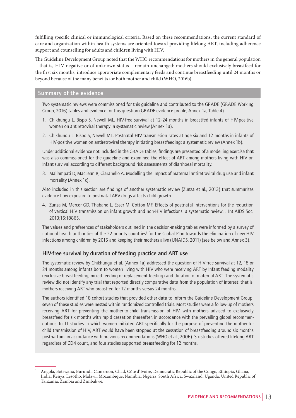fulfilling specific clinical or immunological criteria. Based on these recommendations, the current standard of care and organization within health systems are oriented toward providing lifelong ART, including adherence support and counselling for adults and children living with HIV.

The Guideline Development Group noted that the WHO recommendations for mothers in the general population – that is, HIV negative or of unknown status – remain unchanged: mothers should exclusively breastfeed for the first six months, introduce appropriate complementary feeds and continue breastfeeding until 24 months or beyond because of the many benefits for both mother and child (WHO, 2016b).

#### **Summary of the evidence**

Two systematic reviews were commissioned for this guideline and contributed to the GRADE (GRADE Working Group, 2016) tables and evidence for this question (GRADE evidence profile, Annex 1a, Table 4).

- 1. Chikhungu L, Bispo S, Newell ML. HIV-free survival at 12–24 months in breastfed infants of HIV-positive women on antiretroviral therapy: a systematic review (Annex 1a).
- 2. Chikhungu L, Bispo S, Newell ML. Postnatal HIV transmission rates at age six and 12 months in infants of HIV-positive women on antiretroviral therapy initiating breastfeeding: a systematic review (Annex 1b).

Under additional evidence not included in the GRADE tables, findings are presented of a modelling exercise that was also commissioned for the guideline and examined the effect of ART among mothers living with HIV on infant survival according to different background risk assessments of diarrhoeal mortality.

3. Mallampati D, MacLean R, Ciaranello A. Modelling the impact of maternal antiretroviral drug use and infant mortality (Annex 1c).

Also included in this section are findings of another systematic review (Zunza et al., 2013) that summarizes evidence how exposure to postnatal ARV drugs affects child growth.

4. Zunza M, Mercer GD, Thabane L, Esser M, Cotton MF. Effects of postnatal interventions for the reduction of vertical HIV transmission on infant growth and non-HIV infections: a systematic review. J Int AIDS Soc. 2013;16:18865.

The values and preferences of stakeholders outlined in the decision-making tables were informed by a survey of national health authorities of the 22 priority countries<sup>1</sup> for the Global Plan towards the elimination of new HIV infections among children by 2015 and keeping their mothers alive (UNAIDS, 2011) (see below and Annex 3).

#### **HIV-free survival by duration of feeding practice and ART use**

The systematic review by Chikhungu et al. (Annex 1a) addressed the question of HIV-free survival at 12, 18 or 24 months among infants born to women living with HIV who were receiving ART by infant feeding modality (exclusive breastfeeding, mixed feeding or replacement feeding) and duration of maternal ART. The systematic review did not identify any trial that reported directly comparative data from the population of interest: that is, mothers receiving ART who breastfed for 12 months versus 24 months.

The authors identified 18 cohort studies that provided other data to inform the Guideline Development Group: seven of these studies were nested within randomized controlled trials. Most studies were a follow-up of mothers receiving ART for preventing the mother-to-child transmission of HIV, with mothers advised to exclusively breastfeed for six months with rapid cessation thereafter, in accordance with the prevailing global recommendations. In 11 studies in which women initiated ART specifically for the purpose of preventing the mother-tochild transmission of HIV, ART would have been stopped at the cessation of breastfeeding around six months postpartum, in accordance with previous recommendations (WHO et al., 2006). Six studies offered lifelong ART regardless of CD4 count, and four studies supported breastfeeding for 12 months.

<sup>1</sup> Angola, Botswana, Burundi, Cameroon, Chad, Côte d'Ivoire, Democratic Republic of the Congo, Ethiopia, Ghana, India, Kenya, Lesotho, Malawi, Mozambique, Namibia, Nigeria, South Africa, Swaziland, Uganda, United Republic of Tanzania, Zambia and Zimbabwe.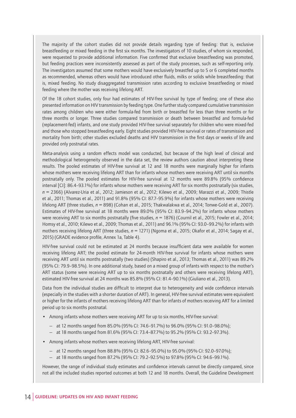The majority of the cohort studies did not provide details regarding type of feeding: that is, exclusive breastfeeding or mixed feeding in the first six months. The investigators of 10 studies, of whom six responded, were requested to provide additional information. Five confirmed that exclusive breastfeeding was promoted, but feeding practices were inconsistently assessed as part of the study processes, such as self-reporting only. The investigators assumed that some mothers would have exclusively breastfed up to 5 or 6 completed months as recommended, whereas others would have introduced other fluids, milks or solids while breastfeeding: that is, mixed feeding. No study disaggregated transmission rates according to exclusive breastfeeding or mixed feeding where the mother was receiving lifelong ART.

Of the 18 cohort studies, only four had estimates of HIV-free survival by type of feeding; one of these also presented information on HIV transmission by feeding type. One further study compared cumulative transmission rates among children who were either formula-fed from birth or breastfed for less than three months or for three months or longer. Three studies compared transmission or death between breastfed and formula-fed (replacement-fed) infants, and one study provided HIV-free survival separately for children who were mixed-fed and those who stopped breastfeeding early. Eight studies provided HIV-free survival or rates of transmission and mortality from birth; other studies excluded deaths and HIV transmission in the first days or weeks of life and provided only postnatal rates.

Meta-analysis using a random effects model was conducted, but because of the high level of clinical and methodological heterogeneity observed in the data set, the review authors caution about interpreting these results. The pooled estimates of HIV-free survival at 12 and 18 months were marginally higher for infants whose mothers were receiving lifelong ART than for infants whose mothers were receiving ART until six months postnatally only. The pooled estimates for HIV-free survival at 12 months were 89.8% (95% confidence interval [CI]: 86.4–93.1%) for infants whose mothers were receiving ART for six months postnatally (six studies, *n* = 2366) (Alvarez-Uria et al., 2012; Jamieson et al., 2012; Kilewo et al., 2009; Marazzi et al., 2009; Thistle et al., 2011; Thomas et al., 2011) and 91.8% (95% CI: 87.7–95.9%) for infants whose mothers were receiving lifelong ART (three studies, *n* = 898) (Cohan et al., 2015; Thakwalakwa et al., 2014; Tonwe-Gold et al., 2007). Estimates of HIV-free survival at 18 months were 89.0% (95% CI: 83.9–94.2%) for infants whose mothers were receiving ART to six months postnatally (five studies,  $n = 1876$ ) (Cournil et al., 2015; Fowler et al., 2014; Homsy et al., 2010; Kilewo et al., 2009; Thomas et al., 2011) and 96.1% (95% CI: 93.0–99.2%) for infants with mothers receiving lifelong ART (three studies, *n* = 1271) (Ngoma et al., 2015; Okafor et al., 2014; Sagay et al., 2015) (GRADE evidence profile, Annex 1a, Table 4).

HIV-free survival could not be estimated at 24 months because insufficient data were available for women receiving lifelong ART; the pooled estimate for 24-month HIV-free survival for infants whose mothers were receiving ART until six months postnatally (two studies) (Shapiro et al., 2013; Thomas et al., 2011) was 89.2% (95% CI: 79.9–98.5%). In one additional study, based on a mixed group of infants with respect to the mother's ART status (some were receiving ART up to six months postnatally and others were receiving lifelong ART), estimated HIV-free survival at 24 months was 85.8% (95% CI: 81.4–90.1%) (Giuliano et al., 2013).

Data from the individual studies are difficult to interpret due to heterogeneity and wide confidence intervals (especially in the studies with a shorter duration of ART). In general, HIV-free survival estimates were equivalent or higher for the infants of mothers receiving lifelong ART than for infants of mothers receiving ART for a limited period up to six months postnatal.

- Among infants whose mothers were receiving ART for up to six months, HIV-free survival:
	- at 12 months ranged from 85.0% (95% CI: 74.6–91.7%) to 96.0% (95% CI: 91.0–98.0%);
	- at 18 months ranged from 81.6% (95% CI: 73.4–87.7%) to 95.2% (95% CI: 93.2–97.3%).
- Among infants whose mothers were receiving lifelong ART, HIV-free survival:
	- at 12 months ranged from 88.8% (95% CI: 82.6–95.0%) to 95.0% (95% CI: 92.0–97.0%);
	- at 18 months ranged from 87.2% (95% CI: 79.2–92.5%) to 97.8% (95% CI: 94.6–99.1%).

However, the range of individual study estimates and confidence intervals cannot be directly compared, since not all the included studies reported outcomes at both 12 and 18 months. Overall, the Guideline Development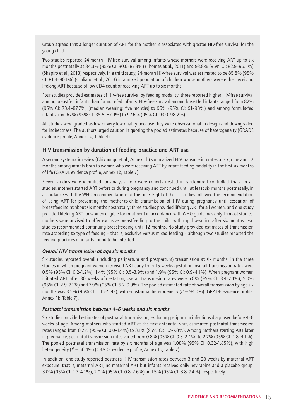Group agreed that a longer duration of ART for the mother is associated with greater HIV-free survival for the young child.

Two studies reported 24-month HIV-free survival among infants whose mothers were receiving ART up to six months postnatally at 84.3% (95% CI: 80.6–87.3%) (Thomas et al., 2011) and 93.8% (95% CI: 92.9–96.5%) (Shapiro et al., 2013) respectively. In a third study, 24-month HIV-free survival was estimated to be 85.8% (95% CI: 81.4–90.1%) (Giuliano et al., 2013) in a mixed population of children whose mothers were either receiving lifelong ART because of low CD4 count or receiving ART up to six months.

Four studies provided estimates of HIV-free survival by feeding modality; three reported higher HIV-free survival among breastfed infants than formula-fed infants. HIV-free survival among breastfed infants ranged from 82% (95% CI: 73.4–87.7%) [median weaning: five months] to 96% (95% CI: 91–98%) and among formula-fed infants from 67% (95% CI: 35.5–87.9%) to 97.6% (95% CI: 93.0–98.2%).

All studies were graded as low or very low quality because they were observational in design and downgraded for indirectness. The authors urged caution in quoting the pooled estimates because of heterogeneity (GRADE evidence profile, Annex 1a, Table 4).

#### **HIV transmission by duration of feeding practice and ART use**

A second systematic review (Chikhungu et al., Annex 1b) summarized HIV transmission rates at six, nine and 12 months among infants born to women who were receiving ART by infant feeding modality in the first six months of life (GRADE evidence profile, Annex 1b, Table 7).

Eleven studies were identified for analysis; four were cohorts nested in randomized controlled trials. In all studies, mothers started ART before or during pregnancy and continued until at least six months postnatally, in accordance with the WHO recommendations at the time. Eight of the 11 studies followed the recommendation of using ART for preventing the mother-to-child transmission of HIV during pregnancy until cessation of breastfeeding at about six months postnatally; three studies provided lifelong ART for all women, and one study provided lifelong ART for women eligible for treatment in accordance with WHO guidelines only. In most studies, mothers were advised to offer exclusive breastfeeding to the child, with rapid weaning after six months; two studies recommended continuing breastfeeding until 12 months. No study provided estimates of transmission rate according to type of feeding – that is, exclusive versus mixed feeding – although two studies reported the feeding practices of infants found to be infected.

#### *Overall HIV transmission at age six months*

Six studies reported overall (including peripartum and postpartum) transmission at six months. In the three studies in which pregnant women received ART early from 15 weeks gestation, overall transmission rates were 0.5% (95% CI: 0.2–1.2%), 1.4% (95% CI: 0.5–3.9%) and 1.9% (95% CI: 0.9–4.1%). When pregnant women initiated ART after 30 weeks of gestation, overall transmission rates were 5.0% (95% CI: 3.4–7.4%), 5.0% (95% CI: 2.9–7.1%) and 7.9% (95% CI: 6.2–9.9%). The pooled estimated rate of overall transmission by age six months was 3.5% (95% CI: 1.15–5.93), with substantial heterogeneity ( $l^2 = 94.0\%$ ) (GRADE evidence profile, Annex 1b, Table 7).

#### *Postnatal transmission between 4–6 weeks and six months*

Six studies provided estimates of postnatal transmission, excluding peripartum infections diagnosed before 4–6 weeks of age. Among mothers who started ART at the first antenatal visit, estimated postnatal transmission rates ranged from 0.2% (95% CI: 0.0–1.4%) to 3.1% (95% CI: 1.2–7.8%). Among mothers starting ART later in pregnancy, postnatal transmission rates varied from 0.8% (95% CI: 0.3–2.4%) to 2.7% (95% CI: 1.8–4.1%). The pooled postnatal transmission rate by six months of age was 1.08% (95% CI: 0.32–1.85%), with high heterogeneity ( $l^2$  = 66.4%) (GRADE evidence profile, Annex 1b, Table 7).

In addition, one study reported postnatal HIV transmission rates between 3 and 28 weeks by maternal ART exposure: that is, maternal ART, no maternal ART but infants received daily nevirapine and a placebo group: 3.0% (95% CI: 1.7–4.1%), 2.0% (95% CI: 0.8–2.6%) and 5% (95% CI: 3.8–7.4%), respectively.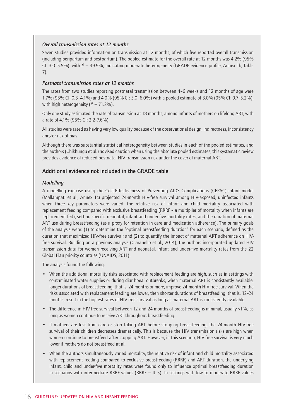#### *Overall transmission rates at 12 months*

Seven studies provided information on transmission at 12 months, of which five reported overall transmission (including peripartum and postpartum). The pooled estimate for the overall rate at 12 months was 4.2% (95% CI:  $3.0-5.5\%$ ), with  $P = 39.9\%$ , indicating moderate heterogeneity (GRADE evidence profile, Annex 1b, Table 7).

#### *Postnatal transmission rates at 12 months*

The rates from two studies reporting postnatal transmission between 4–6 weeks and 12 months of age were 1.7% (95% CI: 0.3–4.1%) and 4.0% (95% CI: 3.0–6.0%) with a pooled estimate of 3.0% (95% CI: 0.7–5.2%), with high heterogeneity ( $l^2 = 71.2\%$ ).

Only one study estimated the rate of transmission at 18 months, among infants of mothers on lifelong ART, with a rate of 4.1% (95% CI: 2.2–7.6%).

All studies were rated as having very low quality because of the observational design, indirectness, inconsistency and/or risk of bias.

Although there was substantial statistical heterogeneity between studies in each of the pooled estimates, and the authors (Chikhungu et al.) advised caution when using the absolute pooled estimates, this systematic review provides evidence of reduced postnatal HIV transmission risk under the cover of maternal ART.

#### **Additional evidence not included in the GRADE table**

#### *Modelling*

A modelling exercise using the Cost-Effectiveness of Preventing AIDS Complications (CEPAC) infant model (Mallampati et al., Annex 1c) projected 24-month HIV-free survival among HIV-exposed, uninfected infants when three key parameters were varied: the relative risk of infant and child mortality associated with replacement feeding compared with exclusive breastfeeding (RRRF – a multiplier of mortality when infants are replacement fed); setting-specific neonatal, infant and under-five mortality rates; and the duration of maternal ART use during breastfeeding (as a proxy for retention in care and medication adherence). The primary goals of the analysis were: (1) to determine the "optimal breastfeeding duration" for each scenario, defined as the duration that maximized HIV-free survival; and (2) to quantify the impact of maternal ART adherence on HIVfree survival. Building on a previous analysis (Ciaranello et al., 2014), the authors incorporated updated HIV transmission data for women receiving ART and neonatal, infant and under-five mortality rates from the 22 Global Plan priority countries (UNAIDS, 2011).

The analysis found the following.

- When the additional mortality risks associated with replacement feeding are high, such as in settings with contaminated water supplies or during diarrhoeal outbreaks, when maternal ART is consistently available, longer durations of breastfeeding, that is, 24 months or more, improve 24-month HIV-free survival. When the risks associated with replacement feeding are lower, then shorter durations of breastfeeding, that is, 12–24 months, result in the highest rates of HIV-free survival as long as maternal ART is consistently available.
- The difference in HIV-free survival between 12 and 24 months of breastfeeding is minimal, usually <1%, as long as women continue to receive ART throughout breastfeeding.
- If mothers are lost from care or stop taking ART before stopping breastfeeding, the 24-month HIV-free survival of their children decreases dramatically. This is because the HIV transmission risks are high when women continue to breastfeed after stopping ART. However, in this scenario, HIV-free survival is very much lower if mothers do not breastfeed at all.
- When the authors simultaneously varied mortality, the relative risk of infant and child mortality associated with replacement feeding compared to exclusive breastfeeding (RRRF) and ART duration, the underlying infant, child and under-five mortality rates were found only to influence optimal breastfeeding duration in scenarios with intermediate RRRF values (RRRF  $= 4-5$ ). In settings with low to moderate RRRF values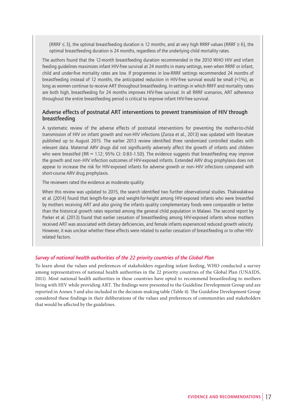(RRRF  $\leq$  3), the optimal breastfeeding duration is 12 months, and at very high RRRF values (RRRF  $\geq$  6), the optimal breastfeeding duration is 24 months, regardless of the underlying child mortality rates.

The authors found that the 12-month breastfeeding duration recommended in the 2010 WHO HIV and infant feeding guidelines maximizes infant HIV-free survival at 24 months in many settings, even when RRRF or infant, child and under-five mortality rates are low. If programmes in low-RRRF settings recommended 24 months of breastfeeding instead of 12 months, the anticipated reduction in HIV-free survival would be small (<1%), as long as women continue to receive ART throughout breastfeeding. In settings in which RRFF and mortality rates are both high, breastfeeding for 24 months improves HIV-free survival. In all RRRF scenarios, ART adherence throughout the entire breastfeeding period is critical to improve infant HIV-free survival.

#### **Adverse effects of postnatal ART interventions to prevent transmission of HIV through breastfeeding**

A systematic review of the adverse effects of postnatal interventions for preventing the mother-to-child transmission of HIV on infant growth and non-HIV infections (Zunza et al., 2013) was updated with literature published up to August 2015. The earlier 2013 review identified three randomized controlled studies with relevant data. Maternal ARV drugs did not significantly adversely affect the growth of infants and children who were breastfed (RR = 1.12; 95% CI: 0.83-1.50). The evidence suggests that breastfeeding may improve the growth and non–HIV infection outcomes of HIV-exposed infants. Extended ARV drug prophylaxis does not appear to increase the risk for HIV-exposed infants for adverse growth or non–HIV infections compared with short-course ARV drug prophylaxis.

The reviewers rated the evidence as moderate quality.

When this review was updated to 2015, the search identified two further observational studies. Thakwalakwa et al. (2014) found that length-for-age and weight-for-height among HIV-exposed infants who were breastfed by mothers receiving ART and also giving the infants quality complementary foods were comparable or better than the historical growth rates reported among the general child population in Malawi. The second report by Parker et al. (2013) found that earlier cessation of breastfeeding among HIV-exposed infants whose mothers received ART was associated with dietary deficiencies, and female infants experienced reduced growth velocity. However, it was unclear whether these effects were related to earlier cessation of breastfeeding or to other HIVrelated factors.

#### *Survey of national health authorities of the 22 priority countries of the Global Plan*

To learn about the values and preferences of stakeholders regarding infant feeding, WHO conducted a survey among representatives of national health authorities in the 22 priority countries of the Global Plan (UNAIDS, 2011). Most national health authorities in these countries have opted to recommend breastfeeding to mothers living with HIV while providing ART. The findings were presented to the Guideline Development Group and are reported in Annex 3 and also included in the decision-making table (Table 4). The Guideline Development Group considered these findings in their deliberations of the values and preferences of communities and stakeholders that would be affected by the guidelines.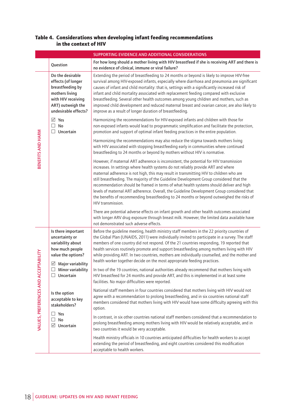#### Table 4. Considerations when developing infant feeding recommendations in the context of HIV

|                                       | SUPPORTING EVIDENCE AND ADDITIONAL CONSIDERATIONS                                                                                               |                                                                                                                                                                                                                                                                                                                                                                                                                                                                                                                                                                                                                                                                               |  |
|---------------------------------------|-------------------------------------------------------------------------------------------------------------------------------------------------|-------------------------------------------------------------------------------------------------------------------------------------------------------------------------------------------------------------------------------------------------------------------------------------------------------------------------------------------------------------------------------------------------------------------------------------------------------------------------------------------------------------------------------------------------------------------------------------------------------------------------------------------------------------------------------|--|
|                                       | Question                                                                                                                                        | For how long should a mother living with HIV breastfeed if she is receiving ART and there is<br>no evidence of clinical, immune or viral failure?                                                                                                                                                                                                                                                                                                                                                                                                                                                                                                                             |  |
|                                       | Do the desirable<br>effects (of longer<br>breastfeeding by<br>mothers living<br>with HIV receiving<br>ART) outweigh the<br>undesirable effects? | Extending the period of breastfeeding to 24 months or beyond is likely to improve HIV-free<br>survival among HIV-exposed infants, especially where diarrhoea and pneumonia are significant<br>causes of infant and child mortality: that is, settings with a significantly increased risk of<br>infant and child mortality associated with replacement feeding compared with exclusive<br>breastfeeding. Several other health outcomes among young children and mothers, such as<br>improved child development and reduced maternal breast and ovarian cancer, are also likely to<br>improve as a result of longer duration of breastfeeding.                                 |  |
|                                       | $\boxtimes$ Yes<br>$\Box$ No<br>$\Box$ Uncertain                                                                                                | Harmonizing the recommendations for HIV-exposed infants and children with those for<br>non-exposed infants would lead to programmatic simplification and facilitate the protection,<br>promotion and support of optimal infant feeding practices in the entire population.                                                                                                                                                                                                                                                                                                                                                                                                    |  |
| BENEFITS AND HARM                     |                                                                                                                                                 | Harmonizing the recommendations may also reduce the stigma towards mothers living<br>with HIV associated with stopping breastfeeding early in communities where continued<br>breastfeeding to 24 months or beyond by mothers without HIV is normative.                                                                                                                                                                                                                                                                                                                                                                                                                        |  |
|                                       |                                                                                                                                                 | However, if maternal ART adherence is inconsistent, the potential for HIV transmission<br>increases. In settings where health systems do not reliably provide ART and where<br>maternal adherence is not high, this may result in transmitting HIV to children who are<br>still breastfeeding. The majority of the Guideline Development Group considered that the<br>recommendation should be framed in terms of what health systems should deliver and high<br>levels of maternal ART adherence. Overall, the Guideline Development Group considered that<br>the benefits of recommending breastfeeding to 24 months or beyond outweighed the risks of<br>HIV transmission. |  |
|                                       |                                                                                                                                                 | There are potential adverse effects on infant growth and other health outcomes associated<br>with longer ARV drug exposure through breast milk. However, the limited data available have<br>not demonstrated such adverse effects.                                                                                                                                                                                                                                                                                                                                                                                                                                            |  |
|                                       | Is there important<br>uncertainty or<br>variability about<br>how much people<br>value the options?<br>Major variability<br>⊻                    | Before the guideline meeting, health ministry staff members in the 22 priority countries of<br>the Global Plan (UNAIDS, 2011) were individually invited to participate in a survey. The staff<br>members of one country did not respond. Of the 21 countries responding, 19 reported that<br>health services routinely promote and support breastfeeding among mothers living with HIV<br>while providing ART. In two countries, mothers are individually counselled, and the mother and<br>health worker together decide on the most appropriate feeding practices.                                                                                                          |  |
| VALUES, PREFERENCES AND ACCEPTABILITY | $\Box$<br>Minor variability<br>$\Box$ Uncertain                                                                                                 | In two of the 19 countries, national authorities already recommend that mothers living with<br>HIV breastfeed for 24 months and provide ART, and this is implemented in at least some<br>facilities. No major difficulties were reported.                                                                                                                                                                                                                                                                                                                                                                                                                                     |  |
|                                       | Is the option<br>acceptable to key<br>stakeholders?                                                                                             | National staff members in four countries considered that mothers living with HIV would not<br>agree with a recommendation to prolong breastfeeding, and in six countries national staff<br>members considered that mothers living with HIV would have some difficulty agreeing with this<br>option.                                                                                                                                                                                                                                                                                                                                                                           |  |
|                                       | $\Box$ Yes<br>$\Box$ No<br>$\boxdot$ Uncertain                                                                                                  | In contrast, in six other countries national staff members considered that a recommendation to<br>prolong breastfeeding among mothers living with HIV would be relatively acceptable, and in<br>two countries it would be very acceptable.                                                                                                                                                                                                                                                                                                                                                                                                                                    |  |
|                                       |                                                                                                                                                 | Health ministry officials in 10 countries anticipated difficulties for health workers to accept<br>extending the period of breastfeeding, and eight countries considered this modification<br>acceptable to health workers.                                                                                                                                                                                                                                                                                                                                                                                                                                                   |  |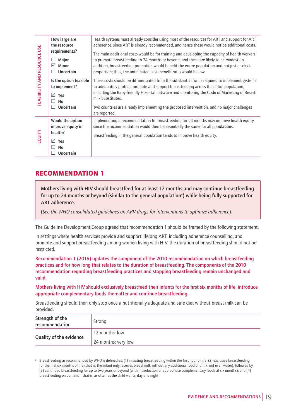| FEASIBILITY AND RESOURCE USE<br>EQUITY | How large are<br>the resource                                       | Health systems must already consider using most of the resources for ART and support for ART<br>adherence, since ART is already recommended, and hence these would not be additional costs.                                                                                                                                                                  |
|----------------------------------------|---------------------------------------------------------------------|--------------------------------------------------------------------------------------------------------------------------------------------------------------------------------------------------------------------------------------------------------------------------------------------------------------------------------------------------------------|
|                                        | requirements?<br>Major<br>☑<br>Minor<br>Uncertain<br>$\blacksquare$ | The main additional costs would be for training and developing the capacity of health workers<br>to promote breastfeeding to 24 months or beyond, and these are likely to be modest. In<br>addition, breastfeeding promotion would benefit the entire population and not just a select<br>proportion; thus, the anticipated cost-benefit ratio would be low. |
|                                        | Is the option feasible<br>to implement?<br>$\sqrt{ }$ Yes<br>No     | These costs should be differentiated from the substantial funds required to implement systems<br>to adequately protect, promote and support breastfeeding across the entire population,<br>including the Baby-friendly Hospital Initiative and monitoring the Code of Marketing of Breast-<br>milk Substitutes.                                              |
|                                        | Uncertain<br>H                                                      | Two countries are already implementing the proposed intervention, and no major challenges<br>are reported.                                                                                                                                                                                                                                                   |
|                                        | Would the option<br>improve equity in<br>health?                    | Implementing a recommendation for breastfeeding for 24 months may improve health equity,<br>since the recommendation would then be essentially the same for all populations.                                                                                                                                                                                 |
|                                        | $\sqrt{ }$ Yes<br>No<br>Uncertain                                   | Breastfeeding in the general population tends to improve health equity.                                                                                                                                                                                                                                                                                      |

### RECOMMENDATION 1

**Mothers living with HIV should breastfeed for at least 12 months and may continue breastfeeding for up to 24 months or beyond (similar to the general populationa ) while being fully supported for ART adherence.**

(*See the WHO consolidated guidelines on ARV drugs for interventions to optimize adherence*).

The Guideline Development Group agreed that recommendation 1 should be framed by the following statement.

In settings where health services provide and support lifelong ART, including adherence counselling, and promote and support breastfeeding among women living with HIV, the duration of breastfeeding should not be restricted.

**Recommendation 1 (2016) updates the component of the 2010 recommendation on which breastfeeding practices and for how long that relates to the duration of breastfeeding. The components of the 2010 recommendation regarding breastfeeding practices and stopping breastfeeding remain unchanged and valid.**

**Mothers living with HIV should exclusively breastfeed their infants for the first six months of life, introduce appropriate complementary foods thereafter and continue breastfeeding.**

Breastfeeding should then only stop once a nutritionally adequate and safe diet without breast milk can be provided.

| Strength of the<br>recommendation | Strong              |
|-----------------------------------|---------------------|
| Quality of the evidence           | 12 months: low      |
|                                   | 24 months: very low |

<sup>a</sup> Breastfeeding as recommended by WHO is defined as: (1) initiating breastfeeding within the first hour of life; (2) exclusive breastfeeding for the first six months of life (that is, the infant only receives breast milk without any additional food or drink, not even water); followed by (3) continued breastfeeding for up to two years or beyond (with introduction of appropriate complementary foods at six months); and (4) breastfeeding on demand – that is, as often as the child wants, day and night.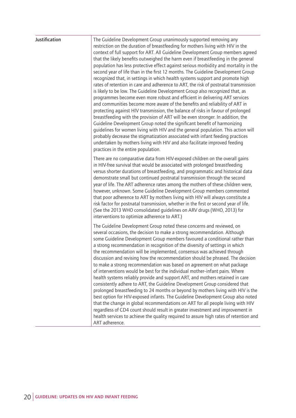| Justification | The Guideline Development Group unanimously supported removing any<br>restriction on the duration of breastfeeding for mothers living with HIV in the<br>context of full support for ART. All Guideline Development Group members agreed<br>that the likely benefits outweighed the harm even if breastfeeding in the general<br>population has less protective effect against serious morbidity and mortality in the<br>second year of life than in the first 12 months. The Guideline Development Group<br>recognized that, in settings in which health systems support and promote high<br>rates of retention in care and adherence to ART, the risk of postnatal transmission<br>is likely to be low. The Guideline Development Group also recognized that, as<br>programmes become even more robust and efficient in delivering ART services<br>and communities become more aware of the benefits and reliability of ART in<br>protecting against HIV transmission, the balance of risks in favour of prolonged<br>breastfeeding with the provision of ART will be even stronger. In addition, the<br>Guideline Development Group noted the significant benefit of harmonizing<br>guidelines for women living with HIV and the general population. This action will<br>probably decrease the stigmatization associated with infant feeding practices<br>undertaken by mothers living with HIV and also facilitate improved feeding<br>practices in the entire population. |
|---------------|--------------------------------------------------------------------------------------------------------------------------------------------------------------------------------------------------------------------------------------------------------------------------------------------------------------------------------------------------------------------------------------------------------------------------------------------------------------------------------------------------------------------------------------------------------------------------------------------------------------------------------------------------------------------------------------------------------------------------------------------------------------------------------------------------------------------------------------------------------------------------------------------------------------------------------------------------------------------------------------------------------------------------------------------------------------------------------------------------------------------------------------------------------------------------------------------------------------------------------------------------------------------------------------------------------------------------------------------------------------------------------------------------------------------------------------------------------------------------------|
|               | There are no comparative data from HIV-exposed children on the overall gains<br>in HIV-free survival that would be associated with prolonged breastfeeding<br>versus shorter durations of breastfeeding, and programmatic and historical data<br>demonstrate small but continued postnatal transmission through the second<br>year of life. The ART adherence rates among the mothers of these children were,<br>however, unknown. Some Guideline Development Group members commented<br>that poor adherence to ART by mothers living with HIV will always constitute a<br>risk factor for postnatal transmission, whether in the first or second year of life.<br>(See the 2013 WHO consolidated guidelines on ARV drugs (WHO, 2013) for<br>interventions to optimize adherence to ART.)                                                                                                                                                                                                                                                                                                                                                                                                                                                                                                                                                                                                                                                                                      |
|               | The Guideline Development Group noted these concerns and reviewed, on<br>several occasions, the decision to make a strong recommendation. Although<br>some Guideline Development Group members favoured a conditional rather than<br>a strong recommendation in recognition of the diversity of settings in which<br>the recommendation will be implemented, consensus was achieved through<br>discussion and revising how the recommendation should be phrased. The decision<br>to make a strong recommendation was based on agreement on what package<br>of interventions would be best for the individual mother-infant pairs. Where<br>health systems reliably provide and support ART, and mothers retained in care<br>consistently adhere to ART, the Guideline Development Group considered that<br>prolonged breastfeeding to 24 months or beyond by mothers living with HIV is the<br>best option for HIV-exposed infants. The Guideline Development Group also noted<br>that the change in global recommendations on ART for all people living with HIV<br>regardless of CD4 count should result in greater investment and improvement in<br>health services to achieve the quality required to assure high rates of retention and<br>ART adherence.                                                                                                                                                                                                                 |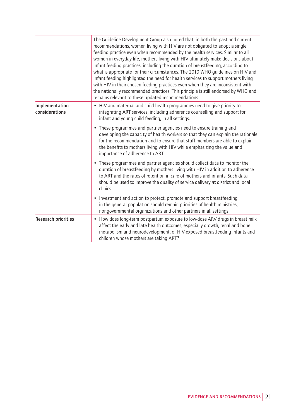|                                  | The Guideline Development Group also noted that, in both the past and current<br>recommendations, women living with HIV are not obligated to adopt a single<br>feeding practice even when recommended by the health services. Similar to all<br>women in everyday life, mothers living with HIV ultimately make decisions about<br>infant feeding practices, including the duration of breastfeeding, according to<br>what is appropriate for their circumstances. The 2010 WHO guidelines on HIV and<br>infant feeding highlighted the need for health services to support mothers living<br>with HIV in their chosen feeding practices even when they are inconsistent with<br>the nationally recommended practices. This principle is still endorsed by WHO and<br>remains relevant to these updated recommendations. |  |
|----------------------------------|--------------------------------------------------------------------------------------------------------------------------------------------------------------------------------------------------------------------------------------------------------------------------------------------------------------------------------------------------------------------------------------------------------------------------------------------------------------------------------------------------------------------------------------------------------------------------------------------------------------------------------------------------------------------------------------------------------------------------------------------------------------------------------------------------------------------------|--|
| Implementation<br>considerations | • HIV and maternal and child health programmes need to give priority to<br>integrating ART services, including adherence counselling and support for<br>infant and young child feeding, in all settings.                                                                                                                                                                                                                                                                                                                                                                                                                                                                                                                                                                                                                 |  |
|                                  | • These programmes and partner agencies need to ensure training and<br>developing the capacity of health workers so that they can explain the rationale<br>for the recommendation and to ensure that staff members are able to explain<br>the benefits to mothers living with HIV while emphasizing the value and<br>importance of adherence to ART.                                                                                                                                                                                                                                                                                                                                                                                                                                                                     |  |
|                                  | • These programmes and partner agencies should collect data to monitor the<br>duration of breastfeeding by mothers living with HIV in addition to adherence<br>to ART and the rates of retention in care of mothers and infants. Such data<br>should be used to improve the quality of service delivery at district and local<br>clinics.                                                                                                                                                                                                                                                                                                                                                                                                                                                                                |  |
|                                  | • Investment and action to protect, promote and support breastfeeding<br>in the general population should remain priorities of health ministries,<br>nongovernmental organizations and other partners in all settings.                                                                                                                                                                                                                                                                                                                                                                                                                                                                                                                                                                                                   |  |
| <b>Research priorities</b>       | • How does long-term postpartum exposure to low-dose ARV drugs in breast milk<br>affect the early and late health outcomes, especially growth, renal and bone<br>metabolism and neurodevelopment, of HIV-exposed breastfeeding infants and<br>children whose mothers are taking ART?                                                                                                                                                                                                                                                                                                                                                                                                                                                                                                                                     |  |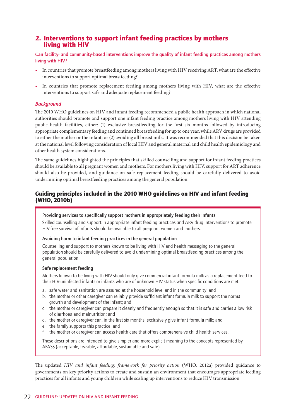### 2. Interventions to support infant feeding practices by mothers living with HIV

**Can facility- and community-based interventions improve the quality of infant feeding practices among mothers living with HIV?**

- In countries that promote breastfeeding among mothers living with HIV receiving ART, what are the effective interventions to support optimal breastfeeding?
- In countries that promote replacement feeding among mothers living with HIV, what are the effective interventions to support safe and adequate replacement feeding?

#### *Background*

The 2010 WHO guidelines on HIV and infant feeding recommended a public health approach in which national authorities should promote and support one infant feeding practice among mothers living with HIV attending public health facilities, either: (1) exclusive breastfeeding for the first six months followed by introducing appropriate complementary feeding and continued breastfeeding for up to one year, while ARV drugs are provided to either the mother or the infant; or (2) avoiding all breast milk. It was recommended that this decision be taken at the national level following consideration of local HIV and general maternal and child health epidemiology and other health system considerations.

The same guidelines highlighted the principles that skilled counselling and support for infant feeding practices should be available to all pregnant women and mothers. For mothers living with HIV, support for ART adherence should also be provided, and guidance on safe replacement feeding should be carefully delivered to avoid undermining optimal breastfeeding practices among the general population.

#### Guiding principles included in the 2010 WHO guidelines on HIV and infant feeding (WHO, 2010b)

#### **Providing services to specifically support mothers in appropriately feeding their infants**

Skilled counselling and support in appropriate infant feeding practices and ARV drug interventions to promote HIV-free survival of infants should be available to all pregnant women and mothers.

#### **Avoiding harm to infant feeding practices in the general population**

Counselling and support to mothers known to be living with HIV and health messaging to the general population should be carefully delivered to avoid undermining optimal breastfeeding practices among the general population.

#### **Safe replacement feeding**

Mothers known to be living with HIV should only give commercial infant formula milk as a replacement feed to their HIV-uninfected infants or infants who are of unknown HIV status when specific conditions are met:

- a. safe water and sanitation are assured at the household level and in the community; and
- b. the mother or other caregiver can reliably provide sufficient infant formula milk to support the normal growth and development of the infant; and
- c. the mother or caregiver can prepare it cleanly and frequently enough so that it is safe and carries a low risk of diarrhoea and malnutrition; and
- d. the mother or caregiver can, in the first six months, exclusively give infant formula milk; and
- e. the family supports this practice; and
- f. the mother or caregiver can access health care that offers comprehensive child health services.

These descriptions are intended to give simpler and more explicit meaning to the concepts represented by AFASS (acceptable, feasible, affordable, sustainable and safe).

The updated *HIV and infant feeding: framework for priority action* (WHO, 2012a) provided guidance to governments on key priority actions to create and sustain an environment that encourages appropriate feeding practices for all infants and young children while scaling up interventions to reduce HIV transmission.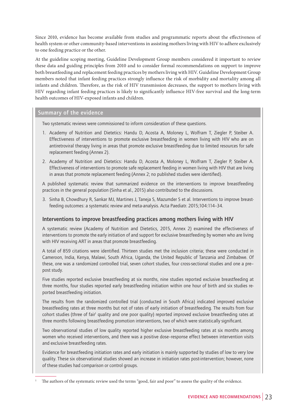Since 2010, evidence has become available from studies and programmatic reports about the effectiveness of health system or other community-based interventions in assisting mothers living with HIV to adhere exclusively to one feeding practice or the other.

At the guideline scoping meeting, Guideline Development Group members considered it important to review these data and guiding principles from 2010 and to consider formal recommendations on support to improve both breastfeeding and replacement feeding practices by mothers living with HIV. Guideline Development Group members noted that infant feeding practices strongly influence the risk of morbidity and mortality among all infants and children. Therefore, as the risk of HIV transmission decreases, the support to mothers living with HIV regarding infant feeding practices is likely to significantly influence HIV-free survival and the long-term health outcomes of HIV-exposed infants and children.

#### **Summary of the evidence**

Two systematic reviews were commissioned to inform consideration of these questions.

- 1. Academy of Nutrition and Dietetics: Handu D, Acosta A, Moloney L, Wolfram T, Ziegler P, Steiber A. Effectiveness of interventions to promote exclusive breastfeeding in women living with HIV who are on antiretroviral therapy living in areas that promote exclusive breastfeeding due to limited resources for safe replacement feeding (Annex 2).
- 2. Academy of Nutrition and Dietetics: Handu D, Acosta A, Moloney L, Wolfram T, Ziegler P, Steiber A. Effectiveness of interventions to promote safe replacement feeding in women living with HIV that are living in areas that promote replacement feeding (Annex 2; no published studies were identified).

A published systematic review that summarized evidence on the interventions to improve breastfeeding practices in the general population (Sinha et al., 2015) also contributed to the discussions.

3. Sinha B, Chowdhury R, Sankar MJ, Martines J, Taneja S, Mazumder S et al. Interventions to improve breastfeeding outcomes: a systematic review and meta-analysis. Acta Paediatr. 2015;104:114–34.

#### **Interventions to improve breastfeeding practices among mothers living with HIV**

A systematic review (Academy of Nutrition and Dietetics, 2015, Annex 2) examined the effectiveness of interventions to promote the early initiation of and support for exclusive breastfeeding by women who are living with HIV receiving ART in areas that promote breastfeeding.

A total of 859 citations were identified. Thirteen studies met the inclusion criteria; these were conducted in Cameroon, India, Kenya, Malawi, South Africa, Uganda, the United Republic of Tanzania and Zimbabwe. Of these, one was a randomized controlled trial, seven cohort studies, four cross-sectional studies and one a pre– post study.

Five studies reported exclusive breastfeeding at six months, nine studies reported exclusive breastfeeding at three months, four studies reported early breastfeeding initiation within one hour of birth and six studies reported breastfeeding initiation.

The results from the randomized controlled trial (conducted in South Africa) indicated improved exclusive breastfeeding rates at three months but not of rates of early initiation of breastfeeding. The results from four cohort studies (three of fair<sup>1</sup> quality and one poor quality) reported improved exclusive breastfeeding rates at three months following breastfeeding promotion interventions, two of which were statistically significant.

Two observational studies of low quality reported higher exclusive breastfeeding rates at six months among women who received interventions, and there was a positive dose–response effect between intervention visits and exclusive breastfeeding rates.

Evidence for breastfeeding initiation rates and early initiation is mainly supported by studies of low to very low quality. These six observational studies showed an increase in initiation rates post-intervention; however, none of these studies had comparison or control groups.

<sup>1</sup> The authors of the systematic review used the terms "good, fair and poor" to assess the quality of the evidence.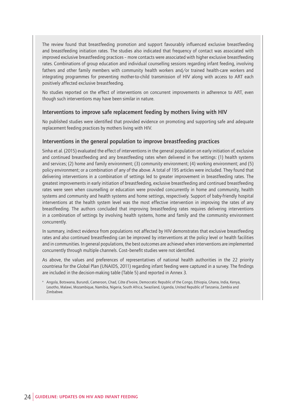The review found that breastfeeding promotion and support favourably influenced exclusive breastfeeding and breastfeeding initiation rates. The studies also indicated that frequency of contact was associated with improved exclusive breastfeeding practices – more contacts were associated with higher exclusive breastfeeding rates. Combinations of group education and individual counselling sessions regarding infant feeding, involving fathers and other family members with community health workers and/or trained health-care workers and integrating programmes for preventing mother-to-child transmission of HIV along with access to ART each positively affected exclusive breastfeeding.

No studies reported on the effect of interventions on concurrent improvements in adherence to ART, even though such interventions may have been similar in nature.

#### **Interventions to improve safe replacement feeding by mothers living with HIV**

No published studies were identified that provided evidence on promoting and supporting safe and adequate replacement feeding practices by mothers living with HIV.

#### **Interventions in the general population to improve breastfeeding practices**

Sinha et al. (2015) evaluated the effect of interventions in the general population on early initiation of, exclusive and continued breastfeeding and any breastfeeding rates when delivered in five settings: (1) health systems and services; (2) home and family environment; (3) community environment; (4) working environment; and (5) policy environment; or a combination of any of the above. A total of 195 articles were included. They found that delivering interventions in a combination of settings led to greater improvement in breastfeeding rates. The greatest improvements in early initiation of breastfeeding, exclusive breastfeeding and continued breastfeeding rates were seen when counselling or education were provided concurrently in home and community, health systems and community and health systems and home settings, respectively. Support of baby-friendly hospital interventions at the health system level was the most effective intervention in improving the rates of any breastfeeding. The authors concluded that improving breastfeeding rates requires delivering interventions in a combination of settings by involving health systems, home and family and the community environment concurrently.

In summary, indirect evidence from populations not affected by HIV demonstrates that exclusive breastfeeding rates and also continued breastfeeding can be improved by interventions at the policy level or health facilities and in communities. In general populations, the best outcomes are achieved when interventions are implemented concurrently through multiple channels. Cost–benefit studies were not identified.

As above, the values and preferences of representatives of national health authorities in the 22 priority countriesa for the Global Plan (UNAIDS, 2011) regarding infant feeding were captured in a survey. The findings are included in the decision-making table (Table 5) and reported in Annex 3.

a Angola, Botswana, Burundi, Cameroon, Chad, Côte d'Ivoire, Democratic Republic of the Congo, Ethiopia, Ghana, India, Kenya, Lesotho, Malawi, Mozambique, Namibia, Nigeria, South Africa, Swaziland, Uganda, United Republic of Tanzania, Zambia and Zimbabwe.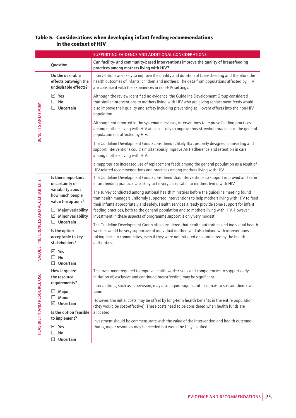#### Table 5. Considerations when developing infant feeding recommendations in the context of HIV

| SUPPORTING EVIDENCE AND ADDITIONAL CONSIDERATIONS                                                                                                                                                                                                                                                                                                                                                                                                                                                                                                                                                                                        |                                                                                                                                                                                                |  |  |  |
|------------------------------------------------------------------------------------------------------------------------------------------------------------------------------------------------------------------------------------------------------------------------------------------------------------------------------------------------------------------------------------------------------------------------------------------------------------------------------------------------------------------------------------------------------------------------------------------------------------------------------------------|------------------------------------------------------------------------------------------------------------------------------------------------------------------------------------------------|--|--|--|
| Question<br>practices among mothers living with HIV?                                                                                                                                                                                                                                                                                                                                                                                                                                                                                                                                                                                     | Can facility- and community-based interventions improve the quality of breastfeeding                                                                                                           |  |  |  |
| Do the desirable<br>effects outweigh the<br>undesirable effects?<br>are consistent with the experiences in non-HIV settings.                                                                                                                                                                                                                                                                                                                                                                                                                                                                                                             | Interventions are likely to improve the quality and duration of breastfeeding and therefore the<br>health outcomes of infants, children and mothers. The data from populations affected by HIV |  |  |  |
| $\sqrt{ }$ Yes<br>Although the review identified no evidence, the Guideline Development Group considered<br>No<br>that similar interventions to mothers living with HIV who are giving replacement feeds would<br>П.<br>Uncertain<br>also improve their quality and safety including preventing spill-overa effects into the non-HIV<br>$\Box$<br>population.                                                                                                                                                                                                                                                                            |                                                                                                                                                                                                |  |  |  |
| BENEFITS AND HARM<br>Although not reported in the systematic reviews, interventions to improve feeding practices<br>among mothers living with HIV are also likely to improve breastfeeding practices in the general<br>population not affected by HIV.                                                                                                                                                                                                                                                                                                                                                                                   |                                                                                                                                                                                                |  |  |  |
| The Guideline Development Group considered it likely that properly designed counselling and<br>support interventions could simultaneously improve ART adherence and retention in care<br>among mothers living with HIV.                                                                                                                                                                                                                                                                                                                                                                                                                  |                                                                                                                                                                                                |  |  |  |
| alnappropriate increased use of replacement feeds among the general population as a result of<br>HIV-related recommendations and practices among mothers living with HIV.                                                                                                                                                                                                                                                                                                                                                                                                                                                                |                                                                                                                                                                                                |  |  |  |
| The Guideline Development Group considered that interventions to support improved and safer<br>Is there important<br>infant feeding practices are likely to be very acceptable to mothers living with HIV.<br>uncertainty or                                                                                                                                                                                                                                                                                                                                                                                                             |                                                                                                                                                                                                |  |  |  |
| VALUES, PREFERENCES AND ACCEPTABILITY<br>variability about<br>The survey conducted among national health ministries before the guideline meeting found<br>how much people<br>that health managers uniformly supported interventions to help mothers living with HIV to feed<br>value the options?<br>their infants appropriately and safely. Health services already provide some support for infant<br>feeding practices, both to the general population and to mothers living with HIV. However,<br>$\Box$ Major variability<br>$\boxtimes$ Minor variability<br>investment in these aspects of programme support is only very modest. |                                                                                                                                                                                                |  |  |  |
| $\Box$ Uncertain<br>The Guideline Development Group also considered that health authorities and individual health<br>workers would be very supportive of individual mothers and also linking with interventions<br>Is the option<br>acceptable to key<br>taking place in communities, even if they were not initiated or coordinated by the health<br>stakeholders?<br>authorities.                                                                                                                                                                                                                                                      |                                                                                                                                                                                                |  |  |  |
| $\boxtimes$ Yes<br>$\Box$ No<br>$\Box$ Uncertain                                                                                                                                                                                                                                                                                                                                                                                                                                                                                                                                                                                         |                                                                                                                                                                                                |  |  |  |
| The investment required to improve health worker skills and competencies to support early<br>How large are<br>initiation of, exclusive and continued breastfeeding may be significant.<br>the resource                                                                                                                                                                                                                                                                                                                                                                                                                                   |                                                                                                                                                                                                |  |  |  |
| requirements?<br>Interventions, such as supervision, may also require significant resources to sustain them over<br>Major<br>time.<br>ப                                                                                                                                                                                                                                                                                                                                                                                                                                                                                                  |                                                                                                                                                                                                |  |  |  |
| FEASIBILITY AND RESOURCE USE<br>Minor<br>⊔<br>However, the initial costs may be offset by long-term health benefits in the entire population<br>$\boxtimes$ Uncertain<br>(they would be cost-effective). These costs need to be considered when health funds are                                                                                                                                                                                                                                                                                                                                                                         |                                                                                                                                                                                                |  |  |  |
| allocated.<br>Is the option feasible                                                                                                                                                                                                                                                                                                                                                                                                                                                                                                                                                                                                     |                                                                                                                                                                                                |  |  |  |
| to implement?<br>Investment should be commensurate with the value of the intervention and health outcome:                                                                                                                                                                                                                                                                                                                                                                                                                                                                                                                                |                                                                                                                                                                                                |  |  |  |
| that is, major resources may be needed but would be fully justified.<br>$\boxtimes$ Yes                                                                                                                                                                                                                                                                                                                                                                                                                                                                                                                                                  |                                                                                                                                                                                                |  |  |  |
| No<br>ப<br>Uncertain<br>$\Box$                                                                                                                                                                                                                                                                                                                                                                                                                                                                                                                                                                                                           |                                                                                                                                                                                                |  |  |  |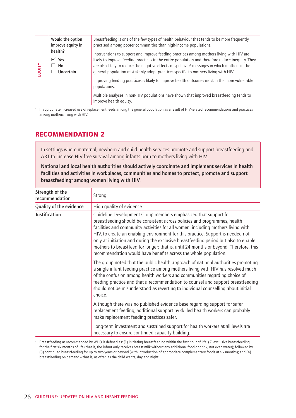|       | Would the option<br>improve equity in  | Breastfeeding is one of the few types of health behaviour that tends to be more frequently<br>practised among poorer communities than high-income populations.                                                                                                                                                                                                                                   |
|-------|----------------------------------------|--------------------------------------------------------------------------------------------------------------------------------------------------------------------------------------------------------------------------------------------------------------------------------------------------------------------------------------------------------------------------------------------------|
| EQUIT | health?<br>☑<br>Yes<br>No<br>Uncertain | Interventions to support and improve feeding practices among mothers living with HIV are<br>likely to improve feeding practices in the entire population and therefore reduce inequity. They<br>are also likely to reduce the negative effects of spill-over <sup>a</sup> messages in which mothers in the<br>general population mistakenly adopt practices specific to mothers living with HIV. |
|       |                                        | Improving feeding practices is likely to improve health outcomes most in the more vulnerable<br>populations.                                                                                                                                                                                                                                                                                     |
|       |                                        | Multiple analyses in non-HIV populations have shown that improved breastfeeding tends to<br>improve health equity.                                                                                                                                                                                                                                                                               |

### RECOMMENDATION 2

| EQUITY        | No<br>$\Box$<br>Uncertain                                 | are also likely to reduce the negative effects of spill-over <sup>a</sup> messages in which mothers in the<br>general population mistakenly adopt practices specific to mothers living with HIV.                                                                                                                                                                                                                                                                                                                                                                       |
|---------------|-----------------------------------------------------------|------------------------------------------------------------------------------------------------------------------------------------------------------------------------------------------------------------------------------------------------------------------------------------------------------------------------------------------------------------------------------------------------------------------------------------------------------------------------------------------------------------------------------------------------------------------------|
|               |                                                           | Improving feeding practices is likely to improve health outcomes most in the more vulnerable<br>populations.                                                                                                                                                                                                                                                                                                                                                                                                                                                           |
|               |                                                           | Multiple analyses in non-HIV populations have shown that improved breastfeeding tends to<br>improve health equity.                                                                                                                                                                                                                                                                                                                                                                                                                                                     |
|               | among mothers living with HIV.<br><b>RECOMMENDATION 2</b> | Inappropriate increased use of replacement feeds among the general population as a result of HIV-related recommendations and practices                                                                                                                                                                                                                                                                                                                                                                                                                                 |
|               |                                                           | In settings where maternal, newborn and child health services promote and support breastfeeding and<br>ART to increase HIV-free survival among infants born to mothers living with HIV.                                                                                                                                                                                                                                                                                                                                                                                |
|               |                                                           | National and local health authorities should actively coordinate and implement services in health<br>facilities and activities in workplaces, communities and homes to protect, promote and support<br>breastfeeding <sup>a</sup> among women living with HIV.                                                                                                                                                                                                                                                                                                         |
|               | Strength of the<br>recommendation                         | Strong                                                                                                                                                                                                                                                                                                                                                                                                                                                                                                                                                                 |
|               | Quality of the evidence                                   | High quality of evidence                                                                                                                                                                                                                                                                                                                                                                                                                                                                                                                                               |
| Justification |                                                           | Guideline Development Group members emphasized that support for<br>breastfeeding should be consistent across policies and programmes, health<br>facilities and community activities for all women, including mothers living with<br>HIV, to create an enabling environment for this practice. Support is needed not<br>only at initiation and during the exclusive breastfeeding period but also to enable<br>mothers to breastfeed for longer: that is, until 24 months or beyond. Therefore, this<br>recommendation would have benefits across the whole population. |
|               |                                                           | The group noted that the public health approach of national authorities promoting<br>a single infant feeding practice among mothers living with HIV has resolved much<br>of the confusion among health workers and communities regarding choice of<br>feeding practice and that a recommendation to counsel and support breastfeeding<br>should not be misunderstood as reverting to individual counselling about initial<br>choice.                                                                                                                                   |
|               |                                                           |                                                                                                                                                                                                                                                                                                                                                                                                                                                                                                                                                                        |
|               |                                                           | Although there was no published evidence base regarding support for safer<br>replacement feeding, additional support by skilled health workers can probably<br>make replacement feeding practices safer.                                                                                                                                                                                                                                                                                                                                                               |
|               |                                                           | Long-term investment and sustained support for health workers at all levels are<br>necessary to ensure continued capacity-building.                                                                                                                                                                                                                                                                                                                                                                                                                                    |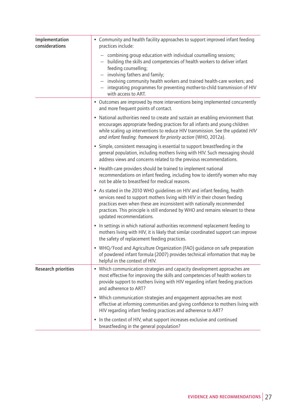| Implementation<br>considerations | • Community and health facility approaches to support improved infant feeding<br>practices include:                                                                                                                                                                                                                                                                                                               |
|----------------------------------|-------------------------------------------------------------------------------------------------------------------------------------------------------------------------------------------------------------------------------------------------------------------------------------------------------------------------------------------------------------------------------------------------------------------|
|                                  | - combining group education with individual counselling sessions;<br>building the skills and competencies of health workers to deliver infant<br>feeding counselling;<br>involving fathers and family;<br>involving community health workers and trained health-care workers; and<br>integrating programmes for preventing mother-to-child transmission of HIV<br>$\overline{\phantom{0}}$<br>with access to ART. |
|                                  | • Outcomes are improved by more interventions being implemented concurrently<br>and more frequent points of contact.                                                                                                                                                                                                                                                                                              |
|                                  | • National authorities need to create and sustain an enabling environment that<br>encourages appropriate feeding practices for all infants and young children<br>while scaling up interventions to reduce HIV transmission. See the updated HIV<br>and infant feeding: framework for priority action (WHO, 2012a).                                                                                                |
|                                  | • Simple, consistent messaging is essential to support breastfeeding in the<br>general population, including mothers living with HIV. Such messaging should<br>address views and concerns related to the previous recommendations.                                                                                                                                                                                |
|                                  | • Health-care providers should be trained to implement national<br>recommendations on infant feeding, including how to identify women who may<br>not be able to breastfeed for medical reasons.                                                                                                                                                                                                                   |
|                                  | • As stated in the 2010 WHO guidelines on HIV and infant feeding, health<br>services need to support mothers living with HIV in their chosen feeding<br>practices even when these are inconsistent with nationally recommended<br>practices. This principle is still endorsed by WHO and remains relevant to these<br>updated recommendations.                                                                    |
|                                  | • In settings in which national authorities recommend replacement feeding to<br>mothers living with HIV, it is likely that similar coordinated support can improve<br>the safety of replacement feeding practices.                                                                                                                                                                                                |
|                                  | • WHO/Food and Agriculture Organization (FAO) guidance on safe preparation<br>of powdered infant formula (2007) provides technical information that may be<br>helpful in the context of HIV.                                                                                                                                                                                                                      |
| <b>Research priorities</b>       | • Which communication strategies and capacity development approaches are<br>most effective for improving the skills and competencies of health workers to<br>provide support to mothers living with HIV regarding infant feeding practices<br>and adherence to ART?                                                                                                                                               |
|                                  | • Which communication strategies and engagement approaches are most<br>effective at informing communities and giving confidence to mothers living with<br>HIV regarding infant feeding practices and adherence to ART?                                                                                                                                                                                            |
|                                  | • In the context of HIV, what support increases exclusive and continued<br>breastfeeding in the general population?                                                                                                                                                                                                                                                                                               |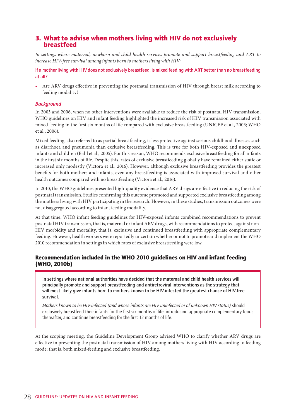## 3. What to advise when mothers living with HIV do not exclusively breastfeed

*In settings where maternal, newborn and child health services promote and support breastfeeding and ART to increase HIV-free survival among infants born to mothers living with HIV:*

**If a mother living with HIV does not exclusively breastfeed, is mixed feeding with ART better than no breastfeeding at all?**

• Are ARV drugs effective in preventing the postnatal transmission of HIV through breast milk according to feeding modality?

#### *Background*

In 2003 and 2006, when no other interventions were available to reduce the risk of postnatal HIV transmission, WHO guidelines on HIV and infant feeding highlighted the increased risk of HIV transmission associated with mixed feeding in the first six months of life compared with exclusive breastfeeding (UNICEF et al., 2003; WHO et al., 2006).

Mixed feeding, also referred to as partial breastfeeding, is less protective against serious childhood illnesses such as diarrhoea and pneumonia than exclusive breastfeeding. This is true for both HIV-exposed and unexposed infants and children (Bahl et al., 2005). For this reason, WHO recommends exclusive breastfeeding for all infants in the first six months of life. Despite this, rates of exclusive breastfeeding globally have remained either static or increased only modestly (Victora et al., 2016). However, although exclusive breastfeeding provides the greatest benefits for both mothers and infants, even any breastfeeding is associated with improved survival and other health outcomes compared with no breastfeeding (Victora et al., 2016).

In 2010, the WHO guidelines presented high-quality evidence that ARV drugs are effective in reducing the risk of postnatal transmission. Studies confirming this outcome promoted and supported exclusive breastfeeding among the mothers living with HIV participating in the research. However, in these studies, transmission outcomes were not disaggregated according to infant feeding modality.

At that time, WHO infant feeding guidelines for HIV-exposed infants combined recommendations to prevent postnatal HIV transmission, that is, maternal or infant ARV drugs, with recommendations to protect against non-HIV morbidity and mortality, that is, exclusive and continued breastfeeding with appropriate complementary feeding. However, health workers were reportedly uncertain whether or not to promote and implement the WHO 2010 recommendation in settings in which rates of exclusive breastfeeding were low.

#### Recommendation included in the WHO 2010 guidelines on HIV and infant feeding (WHO, 2010b)

**In settings where national authorities have decided that the maternal and child health services will principally promote and support breastfeeding and antiretroviral interventions as the strategy that will most likely give infants born to mothers known to be HIV-infected the greatest chance of HIV-free survival.**

*Mothers known to be HIV-infected (and whose infants are HIV uninfected or of unknown HIV status)* should exclusively breastfeed their infants for the first six months of life, introducing appropriate complementary foods thereafter, and continue breastfeeding for the first 12 months of life.

At the scoping meeting, the Guideline Development Group advised WHO to clarify whether ARV drugs are effective in preventing the postnatal transmission of HIV among mothers living with HIV according to feeding mode: that is, both mixed-feeding and exclusive breastfeeding.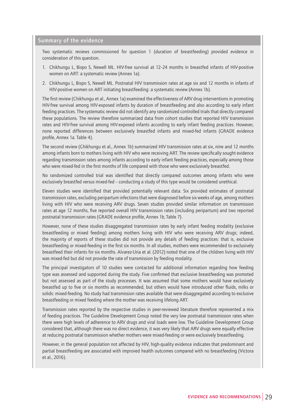#### **Summary of the evidence**

Two systematic reviews commissioned for question 1 (duration of breastfeeding) provided evidence in consideration of this question.

- 1. Chikhungu L, Bispo S, Newell ML. HIV-free survival at 12–24 months in breastfed infants of HIV-positive women on ART: a systematic review (Annex 1a).
- 2. Chikhungu L, Bispo S, Newell ML. Postnatal HIV transmission rates at age six and 12 months in infants of HIV-positive women on ART initiating breastfeeding: a systematic review (Annex 1b).

The first review (Chikhungu et al., Annex 1a) examined the effectiveness of ARV drug interventions in promoting HIV-free survival among HIV-exposed infants by duration of breastfeeding and also according to early infant feeding practices. The systematic review did not identify any randomized controlled trials that directly compared these populations. The review therefore summarized data from cohort studies that reported HIV transmission rates and HIV-free survival among HIV-exposed infants according to early infant feeding practices. However, none reported differences between exclusively breastfed infants and mixed-fed infants (GRADE evidence profile, Annex 1a. Table 4).

The second review (Chikhungu et al., Annex 1b) summarized HIV transmission rates at six, nine and 12 months among infants born to mothers living with HIV who were receiving ART. The review specifically sought evidence regarding transmission rates among infants according to early infant feeding practices, especially among those who were mixed-fed in the first months of life compared with those who were exclusively breastfed.

No randomized controlled trial was identified that directly compared outcomes among infants who were exclusively breastfed versus mixed-fed – conducting a study of this type would be considered unethical.

Eleven studies were identified that provided potentially relevant data. Six provided estimates of postnatal transmission rates, excluding peripartum infections that were diagnosed before six weeks of age, among mothers living with HIV who were receiving ARV drugs. Seven studies provided similar information on transmission rates at age 12 months, five reported overall HIV transmission rates (including peripartum) and two reported postnatal transmission rates (GRADE evidence profile, Annex 1b, Table 7).

However, none of these studies disaggregated transmission rates by early infant feeding modality (exclusive breastfeeding or mixed feeding) among mothers living with HIV who were receiving ARV drugs; indeed, the majority of reports of these studies did not provide any details of feeding practices: that is, exclusive breastfeeding or mixed-feeding in the first six months. In all studies, mothers were recommended to exclusively breastfeed their infants for six months. Alvarez-Uria et al. (2012) noted that one of the children living with HIV was mixed-fed but did not provide the rate of transmission by feeding modality.

The principal investigators of 10 studies were contacted for additional information regarding how feeding type was assessed and supported during the study. Five confirmed that exclusive breastfeeding was promoted but not assessed as part of the study processes. It was assumed that some mothers would have exclusively breastfed up to five or six months as recommended, but others would have introduced other fluids, milks or solids: mixed-feeding. No study had transmission rates available that were disaggregated according to exclusive breastfeeding or mixed feeding where the mother was receiving lifelong ART.

Transmission rates reported by the respective studies in peer-reviewed literature therefore represented a mix of feeding practices. The Guideline Development Group noted the very low postnatal transmission rates when there were high levels of adherence to ARV drugs and viral loads were low. The Guideline Development Group considered that, although there was no direct evidence, it was very likely that ARV drugs were equally effective at reducing postnatal transmission whether mothers were mixed-feeding or were exclusively breastfeeding.

However, in the general population not affected by HIV, high-quality evidence indicates that predominant and partial breastfeeding are associated with improved health outcomes compared with no breastfeeding (Victora et al., 2016).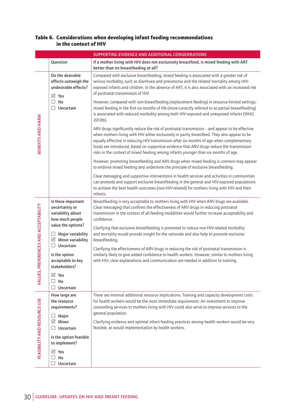#### Table 6. Considerations when developing infant feeding recommendations in the context of HIV

|                                                    | <b>SUPPORTING EVIDENCE AND ADDITIONAL CONSIDERATIONS</b>                                                                                                        |                                                                                                                                                                                                                                                                                                                                                                                                                                                                                 |  |
|----------------------------------------------------|-----------------------------------------------------------------------------------------------------------------------------------------------------------------|---------------------------------------------------------------------------------------------------------------------------------------------------------------------------------------------------------------------------------------------------------------------------------------------------------------------------------------------------------------------------------------------------------------------------------------------------------------------------------|--|
|                                                    | Question                                                                                                                                                        | If a mother living with HIV does not exclusively breastfeed, is mixed feeding with ART<br>better than no breastfeeding at all?                                                                                                                                                                                                                                                                                                                                                  |  |
| BENEFITS AND HARM                                  | Do the desirable<br>effects outweigh the<br>undesirable effects?<br>$\boxtimes$ Yes<br>$\Box$ No<br>$\Box$ Uncertain                                            | Compared with exclusive breastfeeding, mixed feeding is associated with a greater risk of<br>serious morbidity, such as diarrhoea and pneumonia and the related mortality among HIV-<br>exposed infants and children. In the absence of ART, it is also associated with an increased risk<br>of postnatal transmission of HIV.                                                                                                                                                  |  |
|                                                    |                                                                                                                                                                 | However, compared with non-breastfeeding (replacement feeding) in resource-limited settings,<br>mixed feeding in the first six months of life (more correctly referred to as partial breastfeeding)<br>is associated with reduced morbidity among both HIV-exposed and unexposed infants (WHO,<br>2010b).                                                                                                                                                                       |  |
|                                                    |                                                                                                                                                                 | ARV drugs significantly reduce the risk of postnatal transmission - and appear to be effective<br>when mothers living with HIV either exclusively or partly breastfeed. They also appear to be<br>equally effective in reducing HIV transmission after six months of age when complementary<br>foods are introduced, based on supportive evidence that ARV drugs reduce the transmission<br>risks in the context of mixed feeding among infants younger than six months of age. |  |
|                                                    |                                                                                                                                                                 | However, promoting breastfeeding and ARV drugs when mixed feeding is common may appear<br>to endorse mixed feeding and undermine the principle of exclusive breastfeeding.                                                                                                                                                                                                                                                                                                      |  |
|                                                    |                                                                                                                                                                 | Clear messaging and supportive interventions in health services and activities in communities<br>can promote and support exclusive breastfeeding in the general and HIV-exposed populations<br>to achieve the best health outcomes (non-HIV-related) for mothers living with HIV and their<br>infants.                                                                                                                                                                          |  |
| PREFERENCES AND ACCEPTABILITY<br>n<br><b>VALUE</b> | Is there important<br>uncertainty or<br>variability about<br>how much people<br>value the options?<br>$\Box$ Major variability<br>$\boxtimes$ Minor variability | Breastfeeding is very acceptable to mothers living with HIV when ARV drugs are available.<br>Clear messaging that confirms the effectiveness of ARV drugs in reducing postnatal<br>transmission in the context of all feeding modalities would further increase acceptability and<br>confidence.                                                                                                                                                                                |  |
|                                                    |                                                                                                                                                                 | Clarifying that exclusive breastfeeding is promoted to reduce non-HIV-related morbidity<br>and mortality would provide insight for the rationale and also help to promote exclusive<br>breastfeeding.                                                                                                                                                                                                                                                                           |  |
|                                                    | $\Box$ Uncertain<br>Is the option<br>acceptable to key<br>stakeholders?                                                                                         | Clarifying the effectiveness of ARV drugs in reducing the risk of postnatal transmission is<br>similarly likely to give added confidence to health workers. However, similar to mothers living<br>with HIV, clear explanations and communication are needed in addition to training.                                                                                                                                                                                            |  |
|                                                    | ⊠ Yes<br>No<br>Uncertain<br>ப                                                                                                                                   |                                                                                                                                                                                                                                                                                                                                                                                                                                                                                 |  |
| FEASIBILITY AND RESOURCE USE                       | How large are<br>the resource<br>requirements?                                                                                                                  | There are minimal additional resource implications. Training and capacity development costs<br>for health workers would be the most immediate requirement. An investment to improve<br>counselling services to mothers living with HIV could also serve to improve services to the<br>general population.                                                                                                                                                                       |  |
|                                                    | Major<br>ப<br>$\boxtimes$ Minor<br>Uncertain                                                                                                                    | Clarifying evidence and optimal infant feeding practices among health workers would be very<br>feasible, as would implementation by health workers.                                                                                                                                                                                                                                                                                                                             |  |
|                                                    | Is the option feasible<br>to implement?                                                                                                                         |                                                                                                                                                                                                                                                                                                                                                                                                                                                                                 |  |
|                                                    | $\boxtimes$ Yes<br>No<br>$\Box$<br>Uncertain                                                                                                                    |                                                                                                                                                                                                                                                                                                                                                                                                                                                                                 |  |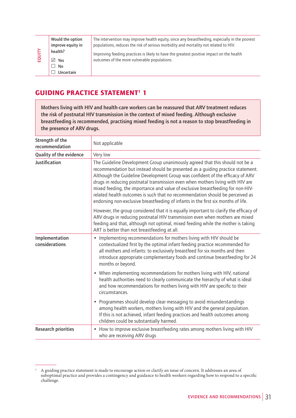**Would the option improve equity in health? Yes No Uncertain**

**EQUITY**

The intervention may improve health equity, since any breastfeeding, especially in the poorest populations, reduces the risk of serious morbidity and mortality not related to HIV.

Improving feeding practices is likely to have the greatest positive impact on the health outcomes of the more vulnerable populations.

### **GUIDING PRACTICE STATEMENT<sup>1</sup> 1**

**Mothers living with HIV and health-care workers can be reassured that ARV treatment reduces the risk of postnatal HIV transmission in the context of mixed feeding. Although exclusive breastfeeding is recommended, practising mixed feeding is not a reason to stop breastfeeding in the presence of ARV drugs.**

| Strength of the<br>recommendation                                                                                                                                                                                                                                                                                                                                                                                                                                                                                                                                                                            | Not applicable                                                                                                                                                                                                                                                                                                                        |  |
|--------------------------------------------------------------------------------------------------------------------------------------------------------------------------------------------------------------------------------------------------------------------------------------------------------------------------------------------------------------------------------------------------------------------------------------------------------------------------------------------------------------------------------------------------------------------------------------------------------------|---------------------------------------------------------------------------------------------------------------------------------------------------------------------------------------------------------------------------------------------------------------------------------------------------------------------------------------|--|
| Quality of the evidence                                                                                                                                                                                                                                                                                                                                                                                                                                                                                                                                                                                      | Very low                                                                                                                                                                                                                                                                                                                              |  |
| Justification<br>The Guideline Development Group unanimously agreed that this should not be a<br>recommendation but instead should be presented as a guiding practice statement.<br>Although the Guideline Development Group was confident of the efficacy of ARV<br>drugs in reducing postnatal transmission even when mothers living with HIV are<br>mixed feeding, the importance and value of exclusive breastfeeding for non-HIV-<br>related health outcomes is such that no recommendation should be perceived as<br>endorsing non-exclusive breastfeeding of infants in the first six months of life. |                                                                                                                                                                                                                                                                                                                                       |  |
|                                                                                                                                                                                                                                                                                                                                                                                                                                                                                                                                                                                                              | However, the group considered that it is equally important to clarify the efficacy of<br>ARV drugs in reducing postnatal HIV transmission even when mothers are mixed<br>feeding and that, although not optimal, mixed feeding while the mother is taking<br>ART is better than not breastfeeding at all.                             |  |
| Implementation<br>considerations                                                                                                                                                                                                                                                                                                                                                                                                                                                                                                                                                                             | • Implementing recommendations for mothers living with HIV should be<br>contextualized first by the optimal infant feeding practice recommended for<br>all mothers and infants: to exclusively breastfeed for six months and then<br>introduce appropriate complementary foods and continue breastfeeding for 24<br>months or beyond. |  |
|                                                                                                                                                                                                                                                                                                                                                                                                                                                                                                                                                                                                              | • When implementing recommendations for mothers living with HIV, national<br>health authorities need to clearly communicate the hierarchy of what is ideal<br>and how recommendations for mothers living with HIV are specific to their<br>circumstances.                                                                             |  |
|                                                                                                                                                                                                                                                                                                                                                                                                                                                                                                                                                                                                              | • Programmes should develop clear messaging to avoid misunderstandings<br>among health workers, mothers living with HIV and the general population.<br>If this is not achieved, infant feeding practices and health outcomes among<br>children could be substantially harmed.                                                         |  |
| <b>Research priorities</b>                                                                                                                                                                                                                                                                                                                                                                                                                                                                                                                                                                                   | How to improve exclusive breastfeeding rates among mothers living with HIV<br>٠<br>who are receiving ARV drugs                                                                                                                                                                                                                        |  |

<sup>1</sup> A guiding practice statement is made to encourage action or clarify an issue of concern. It addresses an area of suboptimal practice and provides a contingency and guidance to health workers regarding how to respond to a specific challenge.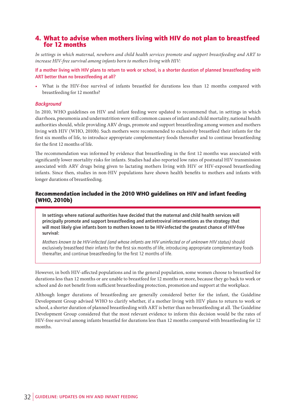## 4. What to advise when mothers living with HIV do not plan to breastfeed for 12 months

*In settings in which maternal, newborn and child health services promote and support breastfeeding and ART to increase HIV-free survival among infants born to mothers living with HIV:*

**If a mother living with HIV plans to return to work or school, is a shorter duration of planned breastfeeding with ART better than no breastfeeding at all?**

• What is the HIV-free survival of infants breastfed for durations less than 12 months compared with breastfeeding for 12 months?

#### *Background*

In 2010, WHO guidelines on HIV and infant feeding were updated to recommend that, in settings in which diarrhoea, pneumonia and undernutrition were still common causes of infant and child mortality, national health authorities should, while providing ARV drugs, promote and support breastfeeding among women and mothers living with HIV (WHO, 2010b). Such mothers were recommended to exclusively breastfeed their infants for the first six months of life, to introduce appropriate complementary foods thereafter and to continue breastfeeding for the first 12 months of life.

The recommendation was informed by evidence that breastfeeding in the first 12 months was associated with significantly lower mortality risks for infants. Studies had also reported low rates of postnatal HIV transmission associated with ARV drugs being given to lactating mothers living with HIV or HIV-exposed breastfeeding infants. Since then, studies in non-HIV populations have shown health benefits to mothers and infants with longer durations of breastfeeding.

#### Recommendation included in the 2010 WHO guidelines on HIV and infant feeding (WHO, 2010b)

**In settings where national authorities have decided that the maternal and child health services will principally promote and support breastfeeding and antiretroviral interventions as the strategy that will most likely give infants born to mothers known to be HIV-infected the greatest chance of HIV-free survival:**

*Mothers known to be HIV-infected (and whose infants are HIV uninfected or of unknown HIV status)* should exclusively breastfeed their infants for the first six months of life, introducing appropriate complementary foods thereafter, and continue breastfeeding for the first 12 months of life.

However, in both HIV-affected populations and in the general population, some women choose to breastfeed for durations less than 12 months or are unable to breastfeed for 12 months or more, because they go back to work or school and do not benefit from sufficient breastfeeding protection, promotion and support at the workplace.

Although longer durations of breastfeeding are generally considered better for the infant, the Guideline Development Group advised WHO to clarify whether, if a mother living with HIV plans to return to work or school, a shorter duration of planned breastfeeding with ART is better than no breastfeeding at all. The Guideline Development Group considered that the most relevant evidence to inform this decision would be the rates of HIV-free survival among infants breastfed for durations less than 12 months compared with breastfeeding for 12 months.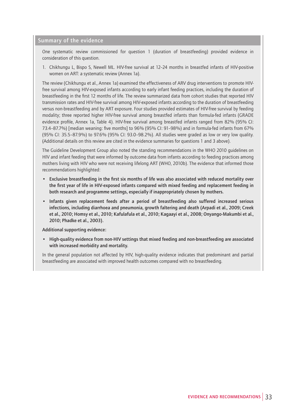### **Summary of the evidence**

One systematic review commissioned for question 1 (duration of breastfeeding) provided evidence in consideration of this question.

1. Chikhungu L, Bispo S, Newell ML. HIV-free survival at 12–24 months in breastfed infants of HIV-positive women on ART: a systematic review (Annex 1a).

The review (Chikhungu et al., Annex 1a) examined the effectiveness of ARV drug interventions to promote HIVfree survival among HIV-exposed infants according to early infant feeding practices, including the duration of breastfeeding in the first 12 months of life. The review summarized data from cohort studies that reported HIV transmission rates and HIV-free survival among HIV-exposed infants according to the duration of breastfeeding versus non-breastfeeding and by ART exposure. Four studies provided estimates of HIV-free survival by feeding modality; three reported higher HIV-free survival among breastfed infants than formula-fed infants (GRADE evidence profile, Annex 1a, Table 4). HIV-free survival among breastfed infants ranged from 82% (95% CI: 73.4–87.7%) [median weaning: five months] to 96% (95% CI: 91–98%) and in formula-fed infants from 67% (95% CI: 35.5–87.9%) to 97.6% (95% CI: 93.0–98.2%). All studies were graded as low or very low quality. (Additional details on this review are cited in the evidence summaries for questions 1 and 3 above).

The Guideline Development Group also noted the standing recommendations in the WHO 2010 guidelines on HIV and infant feeding that were informed by outcome data from infants according to feeding practices among mothers living with HIV who were not receiving lifelong ART (WHO, 2010b). The evidence that informed those recommendations highlighted:

- **• Exclusive breastfeeding in the first six months of life was also associated with reduced mortality over the first year of life in HIV-exposed infants compared with mixed feeding and replacement feeding in both research and programme settings, especially if inappropriately chosen by mothers.**
- **• Infants given replacement feeds after a period of breastfeeding also suffered increased serious infections, including diarrhoea and pneumonia, growth faltering and death (Arpadi et al., 2009; Creek et al., 2010; Homsy et al., 2010; Kafulafula et al., 2010; Kagaayi et al., 2008; Onyango-Makumbi et al., 2010; Phadke et al., 2003).**

**Additional supporting evidence:**

**• High-quality evidence from non-HIV settings that mixed feeding and non-breastfeeding are associated with increased morbidity and mortality.**

In the general population not affected by HIV, high-quality evidence indicates that predominant and partial breastfeeding are associated with improved health outcomes compared with no breastfeeding.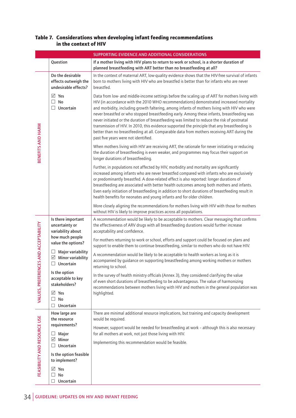#### Table 7. Considerations when developing infant feeding recommendations in the context of HIV

|                                           | SUPPORTING EVIDENCE AND ADDITIONAL CONSIDERATIONS                                |                                                                                                                                                                                                                                                                                                                                                                                                                                                                                                                                                                                                                                                                                                                               |  |  |
|-------------------------------------------|----------------------------------------------------------------------------------|-------------------------------------------------------------------------------------------------------------------------------------------------------------------------------------------------------------------------------------------------------------------------------------------------------------------------------------------------------------------------------------------------------------------------------------------------------------------------------------------------------------------------------------------------------------------------------------------------------------------------------------------------------------------------------------------------------------------------------|--|--|
|                                           | Question                                                                         | If a mother living with HIV plans to return to work or school, is a shorter duration of<br>planned breastfeeding with ART better than no breastfeeding at all?                                                                                                                                                                                                                                                                                                                                                                                                                                                                                                                                                                |  |  |
| BENEFITS AND HARM                         | Do the desirable<br>effects outweigh the<br>undesirable effects?                 | In the context of maternal ART, low-quality evidence shows that the HIV-free survival of infants<br>born to mothers living with HIV who are breastfed is better than for infants who are never<br>breastfed.                                                                                                                                                                                                                                                                                                                                                                                                                                                                                                                  |  |  |
|                                           | $\overline{\vee}$ Yes<br>$\Box$ No<br>Uncertain<br>$\Box$                        | Data from low- and middle-income settings before the scaling up of ART for mothers living with<br>HIV (in accordance with the 2010 WHO recommendations) demonstrated increased mortality<br>and morbidity, including growth faltering, among infants of mothers living with HIV who were<br>never breastfed or who stopped breastfeeding early. Among these infants, breastfeeding was<br>never initiated or the duration of breastfeeding was limited to reduce the risk of postnatal<br>transmission of HIV. In 2010, this evidence supported the principle that any breastfeeding is<br>better than no breastfeeding at all. Comparable data from mothers receiving ART during the<br>past five years were not identified. |  |  |
|                                           |                                                                                  | When mothers living with HIV are receiving ART, the rationale for never initiating or reducing<br>the duration of breastfeeding is even weaker, and programmes may focus their support on<br>longer durations of breastfeeding.                                                                                                                                                                                                                                                                                                                                                                                                                                                                                               |  |  |
|                                           |                                                                                  | Further, in populations not affected by HIV, morbidity and mortality are significantly<br>increased among infants who are never breastfed compared with infants who are exclusively<br>or predominantly breastfed. A dose-related effect is also reported: longer durations of<br>breastfeeding are associated with better health outcomes among both mothers and infants.<br>Even early initiation of breastfeeding in addition to short durations of breastfeeding result in<br>health benefits for neonates and young infants and for older children.                                                                                                                                                                      |  |  |
|                                           |                                                                                  | More closely aligning the recommendations for mothers living with HIV with those for mothers<br>without HIV is likely to improve practices across all populations.                                                                                                                                                                                                                                                                                                                                                                                                                                                                                                                                                            |  |  |
|                                           | Is there important<br>uncertainty or<br>variability about                        | A recommendation would be likely to be acceptable to mothers. Clear messaging that confirms<br>the effectiveness of ARV drugs with all breastfeeding durations would further increase<br>acceptability and confidence.                                                                                                                                                                                                                                                                                                                                                                                                                                                                                                        |  |  |
|                                           | how much people<br>value the options?                                            | For mothers returning to work or school, efforts and support could be focused on plans and<br>support to enable them to continue breastfeeding, similar to mothers who do not have HIV.                                                                                                                                                                                                                                                                                                                                                                                                                                                                                                                                       |  |  |
| ENCES AND ACCEPTABILITY<br>VALUES, PREFER | Major variability<br>$\Box$<br>$\boxtimes$ Minor variability<br>$\Box$ Uncertain | A recommendation would be likely to be acceptable to health workers as long as it is<br>accompanied by guidance on supporting breastfeeding among working mothers or mothers<br>returning to school.                                                                                                                                                                                                                                                                                                                                                                                                                                                                                                                          |  |  |
|                                           | Is the option<br>acceptable to key<br>stakeholders?                              | In the survey of health ministry officials (Annex 3), they considered clarifying the value<br>of even short durations of breastfeeding to be advantageous. The value of harmonizing<br>recommendations between mothers living with HIV and mothers in the general population was                                                                                                                                                                                                                                                                                                                                                                                                                                              |  |  |
|                                           | $\vee$ Yes<br>No<br>⊔<br>Uncertain<br>□                                          | highlighted.                                                                                                                                                                                                                                                                                                                                                                                                                                                                                                                                                                                                                                                                                                                  |  |  |
|                                           | How large are<br>the resource                                                    | There are minimal additional resource implications, but training and capacity development<br>would be required.                                                                                                                                                                                                                                                                                                                                                                                                                                                                                                                                                                                                               |  |  |
|                                           | requirements?                                                                    | However, support would be needed for breastfeeding at work - although this is also necessary                                                                                                                                                                                                                                                                                                                                                                                                                                                                                                                                                                                                                                  |  |  |
| FEASIBILITY AND RESOURCE USE              | $\Box$ Major<br>$\boxdot$ Minor<br>Uncertain<br>ш                                | for all mothers at work, not just those living with HIV.<br>Implementing this recommendation would be feasible.                                                                                                                                                                                                                                                                                                                                                                                                                                                                                                                                                                                                               |  |  |
|                                           | Is the option feasible<br>to implement?                                          |                                                                                                                                                                                                                                                                                                                                                                                                                                                                                                                                                                                                                                                                                                                               |  |  |
|                                           | $\vee$ Yes<br>No<br>Uncertain<br>$\Box$                                          |                                                                                                                                                                                                                                                                                                                                                                                                                                                                                                                                                                                                                                                                                                                               |  |  |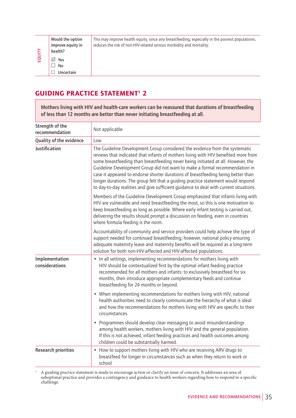**Would the option improve equity in health? Yes No Uncertain**

EQUITY

This may improve health equity, since any breastfeeding, especially in the poorest populations, reduces the risk of non-HIV-related serious morbidity and mortality.

### **GUIDING PRACTICE STATEMENT<sup>1</sup> 2**

|                                  | health?                           |                                                                                                                                                                                                                                                                                                                                                                                                                                                                                                                                                                                                       |  |
|----------------------------------|-----------------------------------|-------------------------------------------------------------------------------------------------------------------------------------------------------------------------------------------------------------------------------------------------------------------------------------------------------------------------------------------------------------------------------------------------------------------------------------------------------------------------------------------------------------------------------------------------------------------------------------------------------|--|
| EQUITY                           | $\sqrt{ }$ Yes                    |                                                                                                                                                                                                                                                                                                                                                                                                                                                                                                                                                                                                       |  |
|                                  | $\Box$ No                         |                                                                                                                                                                                                                                                                                                                                                                                                                                                                                                                                                                                                       |  |
|                                  | $\Box$ Uncertain                  |                                                                                                                                                                                                                                                                                                                                                                                                                                                                                                                                                                                                       |  |
|                                  |                                   | <b>GUIDING PRACTICE STATEMENT<sup>1</sup> 2</b>                                                                                                                                                                                                                                                                                                                                                                                                                                                                                                                                                       |  |
|                                  |                                   | Mothers living with HIV and health-care workers can be reassured that durations of breastfeeding<br>of less than 12 months are better than never initiating breastfeeding at all.                                                                                                                                                                                                                                                                                                                                                                                                                     |  |
|                                  | Strength of the<br>recommendation | Not applicable                                                                                                                                                                                                                                                                                                                                                                                                                                                                                                                                                                                        |  |
|                                  | Quality of the evidence           | Low                                                                                                                                                                                                                                                                                                                                                                                                                                                                                                                                                                                                   |  |
| <b>Justification</b>             |                                   | The Guideline Development Group considered the evidence from the systematic<br>reviews that indicated that infants of mothers living with HIV benefited more from<br>some breastfeeding than breastfeeding never being initiated at all. However, the<br>Guideline Development Group did not want to make a formal recommendation in<br>case it appeared to endorse shorter durations of breastfeeding being better than<br>longer durations. The group felt that a guiding practice statement would respond<br>to day-to-day realities and give sufficient guidance to deal with current situations. |  |
|                                  |                                   | Members of the Guideline Development Group emphasized that infants living with<br>HIV are vulnerable and need breastfeeding the most, so this is one motivation to<br>keep breastfeeding as long as possible. Where early infant testing is carried out,<br>delivering the results should prompt a discussion on feeding, even in countries<br>where formula feeding is the norm.                                                                                                                                                                                                                     |  |
|                                  |                                   | Accountability of community and service providers could help achieve the type of<br>support needed for continued breastfeeding; however, national policy ensuring<br>adequate maternity leave and maternity benefits will be required as a long-term<br>solution for both non-HIV-affected and HIV-affected populations.                                                                                                                                                                                                                                                                              |  |
| Implementation<br>considerations |                                   | • In all settings, implementing recommendations for mothers living with<br>HIV should be contextualized first by the optimal infant feeding practice<br>recommended for all mothers and infants: to exclusively breastfeed for six<br>months, then introduce appropriate complementary feeds and continue<br>breastfeeding for 24 months or beyond.                                                                                                                                                                                                                                                   |  |
|                                  |                                   | • When implementing recommendations for mothers living with HIV, national<br>health authorities need to clearly communicate the hierarchy of what is ideal<br>and how the recommendations for mothers living with HIV are specific to their<br>circumstances.                                                                                                                                                                                                                                                                                                                                         |  |
|                                  |                                   | • Programmes should develop clear messaging to avoid misunderstandings<br>among health workers, mothers living with HIV and the general population.<br>If this is not achieved, infant feeding practices and health outcomes among<br>children could be substantially harmed.                                                                                                                                                                                                                                                                                                                         |  |
|                                  | <b>Research priorities</b>        | • How to support mothers living with HIV who are receiving ARV drugs to<br>breastfeed for longer in circumstances such as when they return to work or<br>school                                                                                                                                                                                                                                                                                                                                                                                                                                       |  |
| $\mathbf 1$                      | challenge.                        | A guiding practice statement is made to encourage action or clarify an issue of concern. It addresses an area of<br>suboptimal practice and provides a contingency and guidance to health workers regarding how to respond to a specific                                                                                                                                                                                                                                                                                                                                                              |  |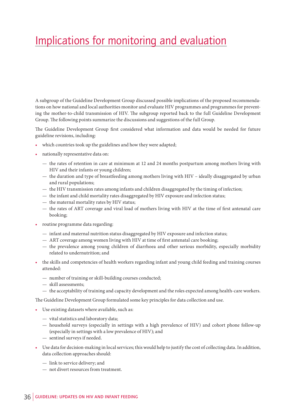## Implications for monitoring and evaluation

A subgroup of the Guideline Development Group discussed possible implications of the proposed recommendations on how national and local authorities monitor and evaluate HIV programmes and programmes for preventing the mother-to-child transmission of HIV. The subgroup reported back to the full Guideline Development Group. The following points summarize the discussions and suggestions of the full Group.

The Guideline Development Group first considered what information and data would be needed for future guideline revisions, including:

- which countries took up the guidelines and how they were adapted;
- nationally representative data on:
	- the rates of retention in care at minimum at 12 and 24 months postpartum among mothers living with HIV and their infants or young children;
	- the duration and type of breastfeeding among mothers living with HIV ideally disaggregated by urban and rural populations;
	- the HIV transmission rates among infants and children disaggregated by the timing of infection;
	- the infant and child mortality rates disaggregated by HIV exposure and infection status;
	- the maternal mortality rates by HIV status;
	- the rates of ART coverage and viral load of mothers living with HIV at the time of first antenatal care booking;
- routine programme data regarding:
	- infant and maternal nutrition status disaggregated by HIV exposure and infection status;
	- ART coverage among women living with HIV at time of first antenatal care booking;
	- the prevalence among young children of diarrhoea and other serious morbidity, especially morbidity related to undernutrition; and
- the skills and competencies of health workers regarding infant and young child feeding and training courses attended:
	- number of training or skill-building courses conducted;
	- skill assessments;
	- the acceptability of training and capacity development and the roles expected among health-care workers.

The Guideline Development Group formulated some key principles for data collection and use.

- Use existing datasets where available, such as:
	- vital statistics and laboratory data;
	- household surveys (especially in settings with a high prevalence of HIV) and cohort phone follow-up (especially in settings with a low prevalence of HIV); and
	- sentinel surveys if needed.
- Use data for decision-making in local services; this would help to justify the cost of collecting data. In addition, data collection approaches should:
	- link to service delivery; and
	- not divert resources from treatment.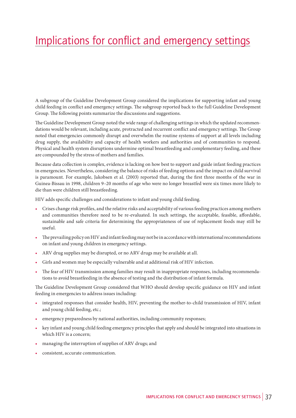## Implications for conflict and emergency settings

A subgroup of the Guideline Development Group considered the implications for supporting infant and young child feeding in conflict and emergency settings. The subgroup reported back to the full Guideline Development Group. The following points summarize the discussions and suggestions.

The Guideline Development Group noted the wide range of challenging settings in which the updated recommendations would be relevant, including acute, protracted and recurrent conflict and emergency settings. The Group noted that emergencies commonly disrupt and overwhelm the routine systems of support at all levels including drug supply, the availability and capacity of health workers and authorities and of communities to respond. Physical and health system disruptions undermine optimal breastfeeding and complementary feeding, and these are compounded by the stress of mothers and families.

Because data collection is complex, evidence is lacking on how best to support and guide infant feeding practices in emergencies. Nevertheless, considering the balance of risks of feeding options and the impact on child survival is paramount. For example, Jakobsen et al. (2003) reported that, during the first three months of the war in Guinea-Bissau in 1998, children 9–20 months of age who were no longer breastfed were six times more likely to die than were children still breastfeeding.

HIV adds specific challenges and considerations to infant and young child feeding.

- Crises change risk profiles, and the relative risks and acceptability of various feeding practices among mothers and communities therefore need to be re-evaluated. In such settings, the acceptable, feasible, affordable, sustainable and safe criteria for determining the appropriateness of use of replacement foods may still be useful.
- The prevailing policy on HIV and infant feeding may not be in accordance with international recommendations on infant and young children in emergency settings.
- ARV drug supplies may be disrupted, or no ARV drugs may be available at all.
- Girls and women may be especially vulnerable and at additional risk of HIV infection.
- The fear of HIV transmission among families may result in inappropriate responses, including recommendations to avoid breastfeeding in the absence of testing and the distribution of infant formula.

The Guideline Development Group considered that WHO should develop specific guidance on HIV and infant feeding in emergencies to address issues including:

- integrated responses that consider health, HIV, preventing the mother-to-child transmission of HIV, infant and young child feeding, etc.;
- emergency preparedness by national authorities, including community responses;
- key infant and young child feeding emergency principles that apply and should be integrated into situations in which HIV is a concern;
- managing the interruption of supplies of ARV drugs; and
- consistent, accurate communication.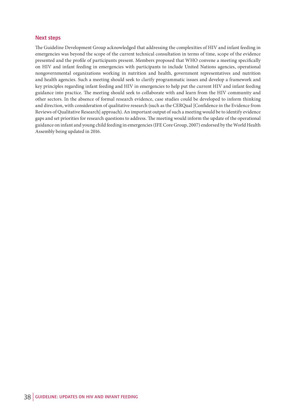#### **Next steps**

The Guideline Development Group acknowledged that addressing the complexities of HIV and infant feeding in emergencies was beyond the scope of the current technical consultation in terms of time, scope of the evidence presented and the profile of participants present. Members proposed that WHO convene a meeting specifically on HIV and infant feeding in emergencies with participants to include United Nations agencies, operational nongovernmental organizations working in nutrition and health, government representatives and nutrition and health agencies. Such a meeting should seek to clarify programmatic issues and develop a framework and key principles regarding infant feeding and HIV in emergencies to help put the current HIV and infant feeding guidance into practice. The meeting should seek to collaborate with and learn from the HIV community and other sectors. In the absence of formal research evidence, case studies could be developed to inform thinking and direction, with consideration of qualitative research (such as the CERQual [Confidence in the Evidence from Reviews of Qualitative Research] approach). An important output of such a meeting would be to identify evidence gaps and set priorities for research questions to address. The meeting would inform the update of the operational guidance on infant and young child feeding in emergencies (IFE Core Group, 2007) endorsed by the World Health Assembly being updated in 2016.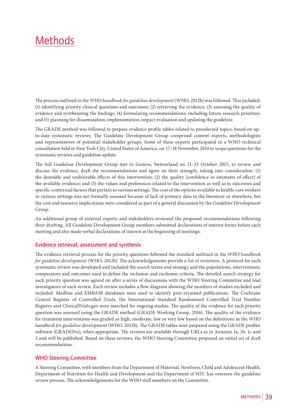### **Methods**

The process outlined in the *WHO handbook for guideline development* (WHO, 2012b) was followed. This included: (1) identifying priority clinical questions and outcomes; (2) retrieving the evidence; (3) assessing the quality of evidence and synthesizing the findings; (4) formulating recommendations, including future research priorities; and (5) planning for dissemination, implementation, impact evaluation and updating the guideline.

The GRADE method was followed to prepare evidence profile tables related to preselected topics, based on upto-date systematic reviews. The Guideline Development Group comprised content experts, methodologists and representatives of potential stakeholder groups. Some of these experts participated in a WHO technical consultation held in New York City, United States of America, on 17–18 November 2014 to scope questions for the systematic reviews and guideline update.

The full Guideline Development Group met in Geneva, Switzerland on 21–23 October 2015, to review and discuss the evidence, draft the recommendations and agree on their strength, taking into consideration: (1) the desirable and undesirable effects of this intervention; (2) the quality (confidence in estimates of effect) of the available evidence; and (3) the values and preferences related to the intervention as well as to outcomes and specific contextual factors that pertain to various settings. The cost of the options available to health-care workers in various settings was not formally assessed because of lack of primary data in the literature or elsewhere, but the cost and resource implications were considered as part of a general discussion by the Guideline Development Group.

An additional group of external experts and stakeholders reviewed the proposed recommendations following their drafting. All Guideline Development Group members submitted declarations of interest forms before each meeting and also made verbal declarations of interest at the beginning of meetings.

#### **Evidence retrieval, assessment and synthesis**

The evidence retrieval process for the priority questions followed the standard outlined in the *WHO handbook for guideline development* (WHO, 2012b). The acknowledgements provide a list of reviewers. A protocol for each systematic review was developed and included the search terms and strategy and the populations, interventions, comparators and outcomes used to define the inclusion and exclusion criteria. The detailed search strategy for each priority question was agreed on after a series of discussions with the WHO Steering Committee and lead investigators of each review. Each review includes a flow diagram showing the numbers of studies excluded and included. Medline and EMBASE databases were used to identify peer-reviewed publications. The Cochrane Central Register of Controlled Trials, the International Standard Randomised Controlled Trial Number Registry and ClinicalTrials.gov were searched for ongoing studies. The quality of the evidence for each priority question was assessed using the GRADE method (GRADE Working Group, 2016). The quality of the evidence for treatment interventions was graded as high, moderate, low or very low based on the definitions in the *WHO handbook for guideline development* (WHO, 2012b). The GRADE tables were prepared using the GRADE profiler software (GRADEPro), when appropriate. The reviews are available through URLs as in Annexes 1a, 1b, 1c and 2 and will be published. Based on these reviews, the WHO Steering Committee proposed an initial set of draft recommendations.

#### **WHO Steering Committee**

A Steering Committee, with members from the Department of Maternal, Newborn, Child and Adolescent Health, Department of Nutrition for Health and Development and the Department of HIV, has overseen the guideline review process. The acknowledgements list the WHO staff members on the Committee.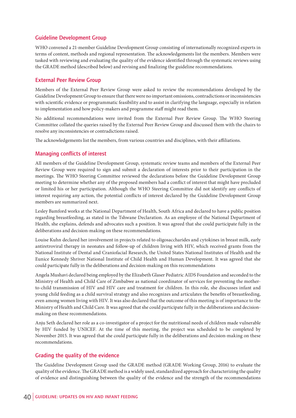#### **Guideline Development Group**

WHO convened a 21-member Guideline Development Group consisting of internationally recognized experts in terms of content, methods and regional representation. The acknowledgements list the members. Members were tasked with reviewing and evaluating the quality of the evidence identified through the systematic reviews using the GRADE method (described below) and revising and finalizing the guideline recommendations.

#### **External Peer Review Group**

Members of the External Peer Review Group were asked to review the recommendations developed by the Guideline Development Group to ensure that there were no important omissions, contradictions or inconsistencies with scientific evidence or programmatic feasibility and to assist in clarifying the language, especially in relation to implementation and how policy-makers and programme staff might read them.

No additional recommendations were invited from the External Peer Review Group. The WHO Steering Committee collated the queries raised by the External Peer Review Group and discussed them with the chairs to resolve any inconsistencies or contradictions raised.

The acknowledgements list the members, from various countries and disciplines, with their affiliations.

#### **Managing conflicts of interest**

All members of the Guideline Development Group, systematic review teams and members of the External Peer Review Group were required to sign and submit a declaration of interests prior to their participation in the meetings. The WHO Steering Committee reviewed the declarations before the Guideline Development Group meeting to determine whether any of the proposed members had a conflict of interest that might have precluded or limited his or her participation. Although the WHO Steering Committee did not identify any conflicts of interest requiring any action, the potential conflicts of interest declared by the Guideline Development Group members are summarized next.

Lesley Bamford works at the National Department of Health, South Africa and declared to have a public position regarding breastfeeding, as stated in the Tshwane Declaration. As an employee of the National Department of Health, she explains, defends and advocates such a position. It was agreed that she could participate fully in the deliberations and decision-making on these recommendations.

Louise Kuhn declared her involvement in projects related to oligosaccharides and cytokines in breast milk, early antiretroviral therapy in neonates and follow-up of children living with HIV, which received grants from the National Institute of Dental and Craniofacial Research, the United States National Institutes of Health and the Eunice Kennedy Shriver National Institute of Child Health and Human Development. It was agreed that she could participate fully in the deliberations and decision-making on this recommendations

Angela Mushavi declared being employed by the Elizabeth Glaser Pediatric AIDS Foundation and seconded to the Ministry of Health and Child Care of Zimbabwe as national coordinator of services for preventing the motherto-child transmission of HIV and HIV care and treatment for children. In this role, she discusses infant and young child feeding as a child survival strategy and also recognizes and articulates the benefits of breastfeeding, even among women living with HIV. It was also declared that the outcome of this meeting is of importance to the Ministry of Health and Child Care. It was agreed that she could participate fully in the deliberations and decisionmaking on these recommendations.

Anju Seth declared her role as a co-investigator of a project for the nutritional needs of children made vulnerable by HIV funded by UNICEF. At the time of this meeting, the project was scheduled to be completed by November 2015. It was agreed that she could participate fully in the deliberations and decision-making on these recommendations.

#### **Grading the quality of the evidence**

The Guideline Development Group used the GRADE method (GRADE Working Group, 2016) to evaluate the quality of the evidence. The GRADE method is a widely used, standardized approach for characterizing the quality of evidence and distinguishing between the quality of the evidence and the strength of the recommendations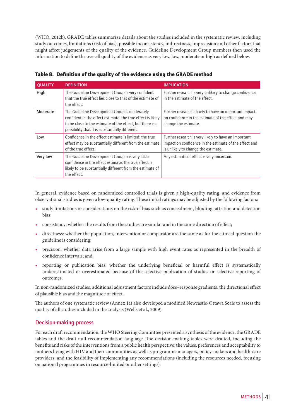(WHO, 2012b). GRADE tables summarize details about the studies included in the systematic review, including study outcomes, limitations (risk of bias), possible inconsistency, indirectness, imprecision and other factors that might affect judgements of the quality of the evidence. Guideline Development Group members then used the information to define the overall quality of the evidence as very low, low, moderate or high as defined below.

| <b>QUALITY</b> | <b>DEFINITION</b>                                                                                                                                                                                                            | <b>IMPLICATION</b>                                                                                                                                    |
|----------------|------------------------------------------------------------------------------------------------------------------------------------------------------------------------------------------------------------------------------|-------------------------------------------------------------------------------------------------------------------------------------------------------|
| High           | The Guideline Development Group is very confident<br>that the true effect lies close to that of the estimate of<br>the effect.                                                                                               | Further research is very unlikely to change confidence<br>in the estimate of the effect.                                                              |
| Moderate       | The Guideline Development Group is moderately<br>confident in the effect estimate: the true effect is likely<br>to be close to the estimate of the effect, but there is a<br>possibility that it is substantially different. | Further research is likely to have an important impact<br>on confidence in the estimate of the effect and may<br>change the estimate.                 |
| Low            | Confidence in the effect estimate is limited: the true<br>effect may be substantially different from the estimate<br>of the true effect.                                                                                     | Further research is very likely to have an important<br>impact on confidence in the estimate of the effect and<br>is unlikely to change the estimate. |
| Very low       | The Guideline Development Group has very little<br>confidence in the effect estimate: the true effect is<br>likely to be substantially different from the estimate of<br>the effect.                                         | Any estimate of effect is very uncertain.                                                                                                             |

Table 8. Definition of the quality of the evidence using the GRADE method

In general, evidence based on randomized controlled trials is given a high-quality rating, and evidence from observational studies is given a low-quality rating. These initial ratings may be adjusted by the following factors:

- study limitations or considerations on the risk of bias such as concealment, blinding, attrition and detection bias;
- consistency: whether the results from the studies are similar and in the same direction of effect;
- directness: whether the population, intervention or comparator are the same as for the clinical question the guideline is considering;
- precision: whether data arise from a large sample with high event rates as represented in the breadth of confidence intervals; and
- reporting or publication bias: whether the underlying beneficial or harmful effect is systematically underestimated or overestimated because of the selective publication of studies or selective reporting of outcomes.

In non-randomized studies, additional adjustment factors include dose–response gradients, the directional effect of plausible bias and the magnitude of effect.

The authors of one systematic review (Annex 1a) also developed a modified Newcastle-Ottawa Scale to assess the quality of all studies included in the analysis (Wells et al., 2009).

#### **Decision-making process**

For each draft recommendation, the WHO Steering Committee presented a synthesis of the evidence, the GRADE tables and the draft null recommendation language. The decision-making tables were drafted, including the benefits and risks of the interventions from a public health perspective; the values, preferences and acceptability to mothers living with HIV and their communities as well as programme managers, policy-makers and health-care providers; and the feasibility of implementing any recommendations (including the resources needed, focusing on national programmes in resource-limited or other settings).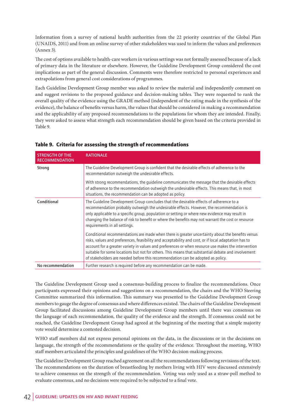Information from a survey of national health authorities from the 22 priority countries of the Global Plan (UNAIDS, 2011) and from an online survey of other stakeholders was used to inform the values and preferences (Annex 3).

The cost of options available to health-care workers in various settings was not formally assessed because of a lack of primary data in the literature or elsewhere. However, the Guideline Development Group considered the cost implications as part of the general discussion. Comments were therefore restricted to personal experiences and extrapolations from general cost considerations of programmes.

Each Guideline Development Group member was asked to review the material and independently comment on and suggest revisions to the proposed guidance and decision-making tables. They were requested to rank the overall quality of the evidence using the GRADE method (independent of the rating made in the synthesis of the evidence), the balance of benefits versus harm, the values that should be considered in making a recommendation and the applicability of any proposed recommendations to the populations for whom they are intended. Finally, they were asked to assess what strength each recommendation should be given based on the criteria provided in Table 9.

| <b>STRENGTH OF THE</b><br><b>RECOMMENDATION</b> | <b>RATIONALE</b>                                                                                                                                                                                                                                                                                                                                                                                                                                                                                         |
|-------------------------------------------------|----------------------------------------------------------------------------------------------------------------------------------------------------------------------------------------------------------------------------------------------------------------------------------------------------------------------------------------------------------------------------------------------------------------------------------------------------------------------------------------------------------|
| Strong                                          | The Guideline Development Group is confident that the desirable effects of adherence to the<br>recommendation outweigh the undesirable effects.                                                                                                                                                                                                                                                                                                                                                          |
|                                                 | With strong recommendations, the guideline communicates the message that the desirable effects<br>of adherence to the recommendation outweigh the undesirable effects. This means that, in most<br>situations, the recommendation can be adopted as policy.                                                                                                                                                                                                                                              |
| Conditional                                     | The Guideline Development Group concludes that the desirable effects of adherence to a<br>recommendation probably outweigh the undesirable effects. However, the recommendation is<br>only applicable to a specific group, population or setting or where new evidence may result in<br>changing the balance of risk to benefit or where the benefits may not warrant the cost or resource<br>requirements in all settings.                                                                              |
|                                                 | Conditional recommendations are made when there is greater uncertainty about the benefits versus<br>risks, values and preferences, feasibility and acceptability and cost, or if local adaptation has to<br>account for a greater variety in values and preferences or when resource use makes the intervention<br>suitable for some locations but not for others. This means that substantial debate and involvement<br>of stakeholders are needed before this recommendation can be adopted as policy. |
| No recommendation                               | Further research is required before any recommendation can be made.                                                                                                                                                                                                                                                                                                                                                                                                                                      |

#### Table 9. Criteria for assessing the strength of recommendations

The Guideline Development Group used a consensus-building process to finalize the recommendations. Once participants expressed their opinions and suggestions on a recommendation, the chairs and the WHO Steering Committee summarized this information. This summary was presented to the Guideline Development Group members to gauge the degree of consensus and where differences existed. The chairs of the Guideline Development Group facilitated discussions among Guideline Development Group members until there was consensus on the language of each recommendation, the quality of the evidence and the strength. If consensus could not be reached, the Guideline Development Group had agreed at the beginning of the meeting that a simple majority vote would determine a contested decision.

WHO staff members did not express personal opinions on the data, in the discussions or in the decisions on language, the strength of the recommendations or the quality of the evidence. Throughout the meeting, WHO staff members articulated the principles and guidelines of the WHO decision-making process.

The Guideline Development Group reached agreement on all the recommendations following revisions of the text. The recommendations on the duration of breastfeeding by mothers living with HIV were discussed extensively to achieve consensus on the strength of the recommendation. Voting was only used as a straw-poll method to evaluate consensus, and no decisions were required to be subjected to a final vote.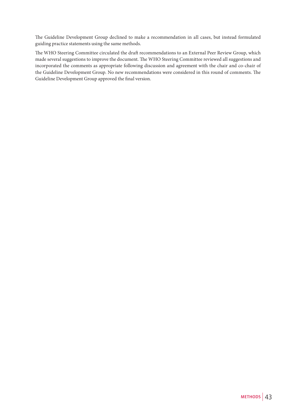The Guideline Development Group declined to make a recommendation in all cases, but instead formulated guiding practice statements using the same methods.

The WHO Steering Committee circulated the draft recommendations to an External Peer Review Group, which made several suggestions to improve the document. The WHO Steering Committee reviewed all suggestions and incorporated the comments as appropriate following discussion and agreement with the chair and co-chair of the Guideline Development Group. No new recommendations were considered in this round of comments. The Guideline Development Group approved the final version.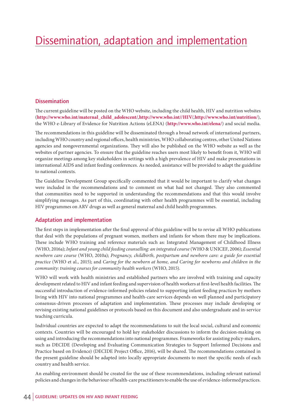## Dissemination, adaptation and implementation

#### **Dissemination**

The current guideline will be posted on the WHO website, including the child health, HIV and nutrition websites (**http://www.who.int/maternal\_child\_adolescent/**, **http://www.who.int//HIV/**, **http://www.who.int/nutrition/**), the WHO e-Library of Evidence for Nutrition Actions (eLENA) (**http://www.who.int/elena/**) and social media.

The recommendations in this guideline will be disseminated through a broad network of international partners, including WHO country and regional offices, health ministries, WHO collaborating centres, other United Nations agencies and nongovernmental organizations. They will also be published on the WHO website as well as the websites of partner agencies. To ensure that the guideline reaches users most likely to benefit from it, WHO will organize meetings among key stakeholders in settings with a high prevalence of HIV and make presentations in international AIDS and infant feeding conferences. As needed, assistance will be provided to adapt the guideline to national contexts.

The Guideline Development Group specifically commented that it would be important to clarify what changes were included in the recommendations and to comment on what had not changed. They also commented that communities need to be supported in understanding the recommendations and that this would involve simplifying messages. As part of this, coordinating with other health programmes will be essential, including HIV programmes on ARV drugs as well as general maternal and child health programmes.

#### **Adaptation and implementation**

The first steps in implementation after the final approval of this guideline will be to revise all WHO publications that deal with the populations of pregnant women, mothers and infants for whom there may be implications. These include WHO training and reference materials such as: Integrated Management of Childhood Illness (WHO, 2016a); *Infant and young child feeding counselling: an integrated course* (WHO & UNICEF, 2006); *Essential newborn care course* (WHO, 2010a); *Pregnancy, childbirth, postpartum and newborn care: a guide for essential practice* (WHO et al., 2015); and *Caring for the newborn at home, and Caring for newborns and children in the community: training courses for community health workers* (WHO, 2015).

WHO will work with health ministries and established partners who are involved with training and capacity development related to HIV and infant feeding and supervision of health workers at first-level health facilities. The successful introduction of evidence-informed policies related to supporting infant feeding practices by mothers living with HIV into national programmes and health-care services depends on well planned and participatory consensus-driven processes of adaptation and implementation. These processes may include developing or revising existing national guidelines or protocols based on this document and also undergraduate and in-service teaching curricula.

Individual countries are expected to adapt the recommendations to suit the local social, cultural and economic contexts. Countries will be encouraged to hold key stakeholder discussions to inform the decision-making on using and introducing the recommendations into national programmes. Frameworks for assisting policy-makers, such as DECIDE (Developing and Evaluating Communication Strategies to Support Informed Decisions and Practice based on Evidence) (DECIDE Project Office, 2016), will be shared. The recommendations contained in the present guideline should be adapted into locally appropriate documents to meet the specific needs of each country and health service.

An enabling environment should be created for the use of these recommendations, including relevant national policies and changes in the behaviour of health-care practitioners to enable the use of evidence-informed practices.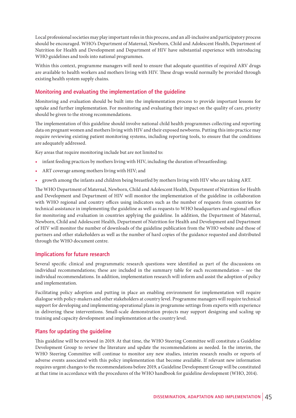Local professional societies may play important roles in this process, and an all-inclusive and participatory process should be encouraged. WHO's Department of Maternal, Newborn, Child and Adolescent Health, Department of Nutrition for Health and Development and Department of HIV have substantial experience with introducing WHO guidelines and tools into national programmes.

Within this context, programme managers will need to ensure that adequate quantities of required ARV drugs are available to health workers and mothers living with HIV. These drugs would normally be provided through existing health system supply chains.

#### **Monitoring and evaluating the implementation of the guideline**

Monitoring and evaluation should be built into the implementation process to provide important lessons for uptake and further implementation. For monitoring and evaluating their impact on the quality of care, priority should be given to the strong recommendations.

The implementation of this guideline should involve national child health programmes collecting and reporting data on pregnant women and mothers living with HIV and their exposed newborns. Putting this into practice may require reviewing existing patient monitoring systems, including reporting tools, to ensure that the conditions are adequately addressed.

Key areas that require monitoring include but are not limited to:

- infant feeding practices by mothers living with HIV, including the duration of breastfeeding;
- ART coverage among mothers living with HIV; and
- growth among the infants and children being breastfed by mothers living with HIV who are taking ART.

The WHO Department of Maternal, Newborn, Child and Adolescent Health, Department of Nutrition for Health and Development and Department of HIV will monitor the implementation of the guideline in collaboration with WHO regional and country offices using indicators such as the number of requests from countries for technical assistance in implementing the guideline as well as requests to WHO headquarters and regional offices for monitoring and evaluation in countries applying the guideline. In addition, the Department of Maternal, Newborn, Child and Adolescent Health, Department of Nutrition for Health and Development and Department of HIV will monitor the number of downloads of the guideline publication from the WHO website and those of partners and other stakeholders as well as the number of hard copies of the guidance requested and distributed through the WHO document centre.

#### **Implications for future research**

Several specific clinical and programmatic research questions were identified as part of the discussions on individual recommendations; these are included in the summary table for each recommendation – see the individual recommendations. In addition, implementation research will inform and assist the adoption of policy and implementation.

Facilitating policy adoption and putting in place an enabling environment for implementation will require dialogue with policy-makers and other stakeholders at country level. Programme managers will require technical support for developing and implementing operational plans in programme settings from experts with experience in delivering these interventions. Small-scale demonstration projects may support designing and scaling up training and capacity development and implementation at the country level.

#### **Plans for updating the guideline**

This guideline will be reviewed in 2019. At that time, the WHO Steering Committee will constitute a Guideline Development Group to review the literature and update the recommendations as needed. In the interim, the WHO Steering Committee will continue to monitor any new studies, interim research results or reports of adverse events associated with this policy implementation that become available. If relevant new information requires urgent changes to the recommendations before 2019, a Guideline Development Group will be constituted at that time in accordance with the procedures of the WHO handbook for guideline development (WHO, 2014).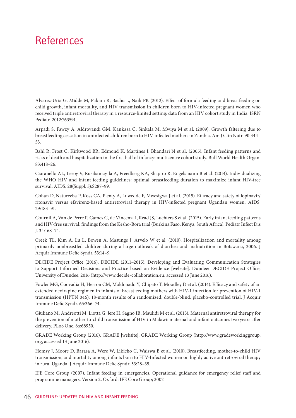### **References**

Alvarez-Uria G, Midde M, Pakam R, Bachu L, Naik PK (2012). Effect of formula feeding and breastfeeding on child growth, infant mortality, and HIV transmission in children born to HIV-infected pregnant women who received triple antiretroviral therapy in a resource-limited setting: data from an HIV cohort study in India. ISRN Pediatr. 2012:763591.

Arpadi S, Fawzy A, Aldrovandi GM, Kankasa C, Sinkala M, Mwiya M et al. (2009). Growth faltering due to breastfeeding cessation in uninfected children born to HIV-infected mothers in Zambia. Am J Clin Nutr. 90:344– 53.

Bahl R, Frost C, Kirkwood BR, Edmond K, Martines J, Bhandari N et al. (2005). Infant feeding patterns and risks of death and hospitalization in the first half of infancy: multicentre cohort study. Bull World Health Organ. 83:418–26.

Ciaranello AL, Leroy V, Rusibamayila A, Freedberg KA, Shapiro R, Engelsmann B et al. (2014). Individualizing the WHO HIV and infant feeding guidelines: optimal breastfeeding duration to maximize infant HIV-free survival. AIDS. 28(Suppl. 3):S287–99.

Cohan D, Natureeba P, Koss CA, Plenty A, Luwedde F, Mwesigwa J et al. (2015). Efficacy and safety of lopinavir/ ritonavir versus efavirenz-based antiretroviral therapy in HIV-infected pregnant Ugandan women. AIDS. 29:183–91.

Cournil A, Van de Perre P, Cames C, de Vincenzi I, Read JS, Luchters S et al. (2015). Early infant feeding patterns and HIV-free survival: findings from the Kesho-Bora trial (Burkina Faso, Kenya, South Africa). Pediatr Infect Dis J. 34:168–74.

Creek TL, Kim A, Lu L, Bowen A, Masunge J, Arvelo W et al. (2010). Hospitalization and mortality among primarily nonbreastfed children during a large outbreak of diarrhea and malnutrition in Botswana, 2006. J Acquir Immune Defic Syndr. 53:14–9.

DECIDE Project Office (2016). DECIDE (2011–2015): Developing and Evaluating Communication Strategies to Support Informed Decisions and Practice based on Evidence [website]. Dundee: DECIDE Project Office, University of Dundee; 2016 (http://www.decide-collaboration.eu, accessed 13 June 2016).

Fowler MG, Coovadia H, Herron CM, Maldonado Y, Chipato T, Moodley D et al. (2014). Efficacy and safety of an extended nevirapine regimen in infants of breastfeeding mothers with HIV-1 infection for prevention of HIV-1 transmission (HPTN 046): 18-month results of a randomized, double-blind, placebo-controlled trial. J Acquir Immune Defic Syndr. 65:366–74.

Giuliano M, Andreotti M, Liotta G, Jere H, Sagno JB, Maulidi M et al. (2013). Maternal antiretroviral therapy for the prevention of mother-to-child transmission of HIV in Malawi: maternal and infant outcomes two years after delivery. PLoS One. 8:e68950.

GRADE Working Group (2016). GRADE [website]. GRADE Working Group (http://www.gradeworkinggroup. org, accessed 13 June 2016).

Homsy J, Moore D, Barasa A, Were W, Likicho C, Waiswa B et al. (2010). Breastfeeding, mother-to-child HIV transmission, and mortality among infants born to HIV-Infected women on highly active antiretroviral therapy in rural Uganda. J Acquir Immune Defic Syndr. 53:28–35.

IFE Core Group (2007). Infant feeding in emergencies. Operational guidance for emergency relief staff and programme managers. Version 2. Oxford: IFE Core Group; 2007.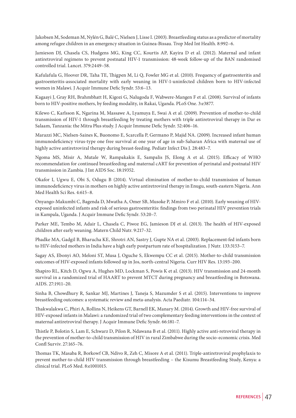Jakobsen M, Sodeman M, Nylén G, Balé C, Nielsen J, Lisse I. (2003). Breastfeeding status as a predictor of mortality among refugee children in an emergency situation in Guinea-Bissau. Trop Med Int Health. 8:992–6.

Jamieson DJ, Chasela CS, Hudgens MG, King CC, Kourtis AP, Kayira D et al. (2012). Maternal and infant antiretroviral regimens to prevent postnatal HIV-1 transmission: 48-week follow-up of the BAN randomised controlled trial. Lancet. 379:2449–58.

Kafulafula G, Hoover DR, Taha TE, Thigpen M, Li Q, Fowler MG et al. (2010). Frequency of gastroenteritis and gastroenteritis-associated mortality with early weaning in HIV-1-uninfected children born to HIV-infected women in Malawi. J Acquir Immune Defic Syndr. 53:6–13.

Kagaayi J, Gray RH, Brahmbhatt H, Kigozi G, Nalugoda F, Wabwere-Mangen F et al. (2008). Survival of infants born to HIV-positive mothers, by feeding modality, in Rakai, Uganda. PLoS One. 3:e3877.

Kilewo C, Karlsson K, Ngarina M, Massawe A, Lyamuya E, Swai A et al. (2009). Prevention of mother-to-child transmission of HIV-1 through breastfeeding by treating mothers with triple antiretroviral therapy in Dar es Salaam, Tanzania: the Mitra Plus study. J Acquir Immune Defic Syndr. 52:406–16.

Marazzi MC, Nielsen-Saines K, Buonomo E, Scarcella P, Germano P, Majid NA. (2009). Increased infant human immunodeficiency virus-type one free survival at one year of age in sub-Saharan Africa with maternal use of highly active antiretroviral therapy during breast-feeding. Pediatr Infect Dis J. 28:483–7.

Ngoma MS, Misir A, Mutale W, Rampakakis E, Sampalis JS, Elong A et al. (2015). Efficacy of WHO recommendation for continued breastfeeding and maternal cART for prevention of perinatal and postnatal HIV transmission in Zambia. J Int AIDS Soc. 18:19352.

Okafor I, Ugwu E, Obi S, Odugu B (2014). Virtual elimination of mother-to-child transmission of human immunodeficiency virus in mothers on highly active antiretroviral therapy in Enugu, south-eastern Nigeria. Ann Med Health Sci Res. 4:615–8.

Onyango-Makumbi C, Bagenda D, Mwatha A, Omer SB, Musoke P, Mmiro F et al. (2010). Early weaning of HIVexposed uninfected infants and risk of serious gastroenteritis: findings from two perinatal HIV prevention trials in Kampala, Uganda. J Acquir Immune Defic Syndr. 53:20–7.

Parker ME, Tembo M, Adair L, Chasela C, Piwoz EG, Jamieson DJ et al. (2013). The health of HIV-exposed children after early weaning. Matern Child Nutr. 9:217–32.

Phadke MA, Gadgil B, Bharucha KE, Shrotri AN, Sastry J, Gupte NA et al. (2003). Replacement-fed infants born to HIV-infected mothers in India have a high early postpartum rate of hospitalization. J Nutr. 133:3153–7.

Sagay AS, Ebonyi AO, Meloni ST, Musa J, Oguche S, Ekwempu CC et al. (2015). Mother-to-child transmission outcomes of HIV-exposed infants followed up in Jos, north-central Nigeria. Curr HIV Res. 13:193–200.

Shapiro RL, Kitch D, Ogwu A, Hughes MD, Lockman S, Powis K et al. (2013). HIV transmission and 24-month survival in a randomized trial of HAART to prevent MTCT during pregnancy and breastfeeding in Botswana. AIDS. 27:1911–20.

Sinha B, Chowdhury R, Sankar MJ, Martines J, Taneja S, Mazumder S et al. (2015). Interventions to improve breastfeeding outcomes: a systematic review and meta-analysis. Acta Paediatr. 104:114–34.

Thakwalakwa C, Phiri A, Rollins N, Heikens GT, Barnell EK, Manary M. (2014). Growth and HIV-free survival of HIV-exposed infants in Malawi: a randomized trial of two complementary feeding interventions in the context of maternal antiretroviral therapy. J Acquir Immune Defic Syndr. 66:181–7.

Thistle P, Bolotin S, Lam E, Schwarz D, Pilon R, Ndawana B et al. (2011). Highly active anti-retroviral therapy in the prevention of mother-to-child transmission of HIV in rural Zimbabwe during the socio-economic crisis. Med Confl Surviv. 27:165–76.

Thomas TK, Masaba R, Borkowf CB, Ndivo R, Zeh C, Misore A et al. (2011). Triple-antiretroviral prophylaxis to prevent mother-to-child HIV transmission through breastfeeding – the Kisumu Breastfeeding Study, Kenya: a clinical trial. PLoS Med. 8:e1001015.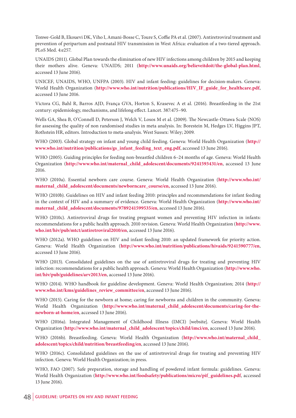Tonwe-Gold B, Ekouevi DK, Viho I, Amani-Bosse C, Toure S, Coffie PA et al. (2007). Antiretroviral treatment and prevention of peripartum and postnatal HIV transmission in West Africa: evaluation of a two-tiered approach. PLoS Med. 4:e257.

UNAIDS (2011). Global Plan towards the elimination of new HIV infections among children by 2015 and keeping their mothers alive. Geneva: UNAIDS; 2011 (**http://www.unaids.org/believeitdoit/the-global-plan.html**, accessed 13 June 2016).

UNICEF, UNAIDS, WHO, UNFPA (2003). HIV and infant feeding: guidelines for decision-makers. Geneva: World Health Organization (**http://www.who.int/nutrition/publications/HIV\_IF\_guide\_for\_healthcare.pdf**, accessed 13 June 2016.

Victora CG, Bahl R, Barros AJD, França GVA, Horton S, Krasevec A et al. (2016). Breastfeeding in the 21st century: epidemiology, mechanisms, and lifelong effect. Lancet. 387:475–90.

Wells GA, Shea B, O'Connell D, Peterson J, Welch V, Losos M et al. (2009). The Newcastle-Ottawa Scale (NOS) for assessing the quality of non randomised studies in meta analysis. In: Borestein M, Hedges LV, Higgins JPT, Rothstein HR, editors. Introduction to meta-analysis. West Sussex: Wiley; 2009.

WHO (2003). Global strategy on infant and young child feeding. Geneva: World Health Organization (**http:// www.who.int/nutrition/publications/gs\_infant\_feeding\_text\_eng.pdf**, accessed 13 June 2016).

WHO (2005). Guiding principles for feeding non-breastfed children 6–24 months of age. Geneva: World Health Organization (**http://www.who.int/maternal\_child\_adolescent/documents/9241593431/en**, accessed 13 June 2016.

WHO (2010a). Essential newborn care course. Geneva: World Health Organization (**http://www.who.int/ maternal\_child\_adolescent/documents/newborncare\_course/en,** accessed 13 June 2016).

WHO (2010b). Guidelines on HIV and infant feeding 2010: principles and recommendations for infant feeding in the context of HIV and a summary of evidence. Geneva: World Health Organization (**http://www.who.int/ maternal\_child\_adolescent/documents/9789241599535/en**, accessed 13 June 2016).

WHO (2010c). Antiretroviral drugs for treating pregnant women and preventing HIV infection in infants: recommendations for a public health approach. 2010 revision. Geneva: World Health Organization (**http://www. who.int/hiv/pub/mtct/antiretroviral2010/en**, accessed 13 June 2016).

WHO (2012a). WHO guidelines on HIV and infant feeding 2010: an updated framework for priority action. Geneva: World Health Organization (**http://www.who.int/nutrition/publications/hivaids/9241590777/en**, accessed 13 June 2016).

WHO (2013). Consolidated guidelines on the use of antiretroviral drugs for treating and preventing HIV infection: recommendations for a public health approach. Geneva: World Health Organization (**http://www.who. int/hiv/pub/guidelines/arv2013/en**, accessed 13 June 2016).

WHO (2014). WHO handbook for guideline development. Geneva: World Health Organization; 2014 (**http:// www.who.int/kms/guidelines\_review\_committee/en**, accessed 13 June 2016).

WHO (2015). Caring for the newborn at home; caring for newborns and children in the community. Geneva: World Health Organization (**http://www.who.int/maternal\_child\_adolescent/documents/caring-for-thenewborn-at-home/en**, accessed 13 June 2016).

WHO (2016a). Integrated Management of Childhood Illness (IMCI) [website]. Geneva: World Health Organization (**http://www.who.int/maternal\_child\_adolescent/topics/child/imci/en**, accessed 13 June 2016).

WHO (2016b). Breastfeeding. Geneva: World Health Organization (**http://www.who.int/maternal\_child\_ adolescent/topics/child/nutrition/breastfeeding/en**, accessed 13 June 2016).

WHO (2016c). Consolidated guidelines on the use of antiretroviral drugs for treating and preventing HIV infection. Geneva: World Health Organization; in press.

WHO, FAO (2007). Safe preparation, storage and handling of powdered infant formula: guidelines. Geneva: World Health Organization (**http://www.who.int/foodsafety/publications/micro/pif\_guidelines.pdf**, accessed 13 June 2016).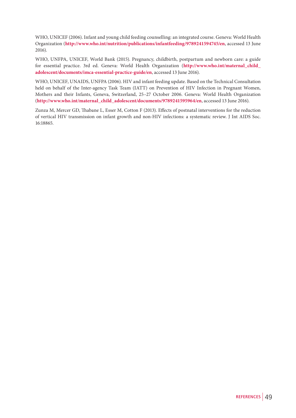WHO, UNICEF (2006). Infant and young child feeding counselling: an integrated course. Geneva: World Health Organization (**http://www.who.int/nutrition/publications/infantfeeding/9789241594745/en**, accessed 13 June 2016).

WHO, UNFPA, UNICEF, World Bank (2015). Pregnancy, childbirth, postpartum and newborn care: a guide for essential practice. 3rd ed. Geneva: World Health Organization (**http://www.who.int/maternal\_child\_ adolescent/documents/imca-essential-practice-guide/en**, accessed 13 June 2016).

WHO, UNICEF, UNAIDS, UNFPA (2006). HIV and infant feeding update. Based on the Technical Consultation held on behalf of the Inter-agency Task Team (IATT) on Prevention of HIV Infection in Pregnant Women, Mothers and their Infants, Geneva, Switzerland, 25–27 October 2006. Geneva: World Health Organization (**http://www.who.int/maternal\_child\_adolescent/documents/9789241595964/en**, accessed 13 June 2016).

Zunza M, Mercer GD, Thabane L, Esser M, Cotton F (2013). Effects of postnatal interventions for the reduction of vertical HIV transmission on infant growth and non-HIV infections: a systematic review. J Int AIDS Soc. 16:18865.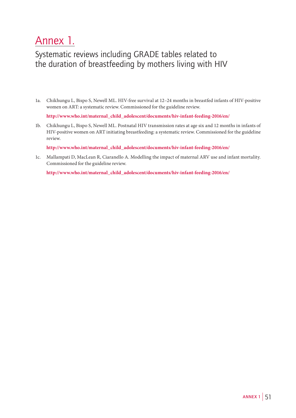## Annex 1.

### Systematic reviews including GRADE tables related to the duration of breastfeeding by mothers living with HIV

1a. Chikhungu L, Bispo S, Newell ML. HIV-free survival at 12–24 months in breastfed infants of HIV-positive women on ART: a systematic review. Commissioned for the guideline review.

**http://www.who.int/maternal\_child\_adolescent/documents/hiv-infant-feeding-2016/en/**

1b. Chikhungu L, Bispo S, Newell ML. Postnatal HIV transmission rates at age six and 12 months in infants of HIV-positive women on ART initiating breastfeeding: a systematic review. Commissioned for the guideline review.

**http://www.who.int/maternal\_child\_adolescent/documents/hiv-infant-feeding-2016/en/**

1c. Mallampati D, MacLean R, Ciaranello A. Modelling the impact of maternal ARV use and infant mortality. Commissioned for the guideline review.

**http://www.who.int/maternal\_child\_adolescent/documents/hiv-infant-feeding-2016/en/**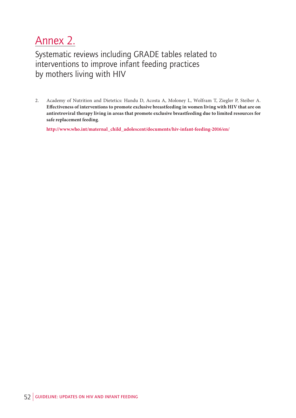## Annex 2.

Systematic reviews including GRADE tables related to interventions to improve infant feeding practices by mothers living with HIV

2. Academy of Nutrition and Dietetics: Handu D, Acosta A, Moloney L, Wolfram T, Ziegler P, Steiber A. **Effectiveness of interventions to promote exclusive breastfeeding in women living with HIV that are on antiretroviral therapy living in areas that promote exclusive breastfeeding due to limited resources for safe replacement feeding**.

**http://www.who.int/maternal\_child\_adolescent/documents/hiv-infant-feeding-2016/en/**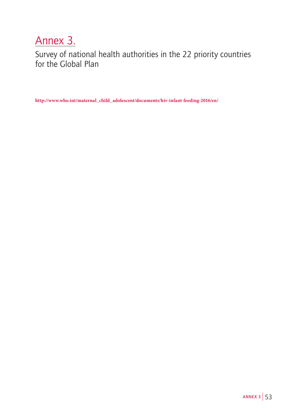## Annex 3.

Survey of national health authorities in the 22 priority countries for the Global Plan

**http://www.who.int/maternal\_child\_adolescent/documents/hiv-infant-feeding-2016/en/**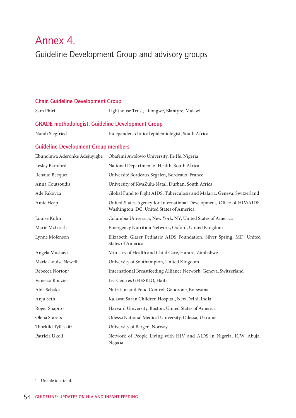# Annex 4.

Guideline Development Group and advisory groups

| <b>Chair, Guideline Development Group</b>               |                                                                                                                     |  |
|---------------------------------------------------------|---------------------------------------------------------------------------------------------------------------------|--|
| Sam Phiri                                               | Lighthouse Trust, Lilongwe, Blantyre, Malawi                                                                        |  |
| <b>GRADE methodologist, Guideline Development Group</b> |                                                                                                                     |  |
| Nandi Siegfried                                         | Independent clinical epidemiologist, South Africa                                                                   |  |
| <b>Guideline Development Group members</b>              |                                                                                                                     |  |
| Ebunoluwa Aderonke Adejuyigbe                           | Obafemi Awolowo University, Ile Ife, Nigeria                                                                        |  |
| Lesley Bamford                                          | National Department of Health, South Africa                                                                         |  |
| Renaud Becquet                                          | Université Bordeaux Segalen, Bordeaux, France                                                                       |  |
| Anna Coutsoudis                                         | University of KwaZulu-Natal, Durban, South Africa                                                                   |  |
| Ade Fakoyaa                                             | Global Fund to Fight AIDS, Tuberculosis and Malaria, Geneva, Switzerland                                            |  |
| Amie Heap                                               | United States Agency for International Development, Office of HIV/AIDS,<br>Washington, DC, United States of America |  |
| Louise Kuhn                                             | Columbia University, New York, NY, United States of America                                                         |  |
| Marie McGrath                                           | Emergency Nutrition Network, Oxford, United Kingdom                                                                 |  |
| Lynne Mofenson                                          | Elizabeth Glaser Pediatric AIDS Foundation, Silver Spring, MD, United<br><b>States of America</b>                   |  |
| Angela Mushavi                                          | Ministry of Health and Child Care, Harare, Zimbabwe                                                                 |  |
| Marie-Louise Newell                                     | University of Southampton, United Kingdom                                                                           |  |
| Rebecca Norton <sup>a</sup>                             | International Breastfeeding Alliance Network, Geneva, Switzerland                                                   |  |
| Vanessa Rouzier                                         | Les Centres GHESKIO, Haiti                                                                                          |  |
| Abia Sebaka                                             | Nutrition and Food Control, Gaborone, Botswana                                                                      |  |
| Anju Seth                                               | Kalawat Saran Children Hospital, New Delhi, India                                                                   |  |
| Roger Shapiro                                           | Harvard University, Boston, United States of America                                                                |  |
| Olena Starets                                           | Odessa National Medical University, Odessa, Ukraine                                                                 |  |
| Thorkild Tylleskär                                      | University of Bergen, Norway                                                                                        |  |
| Patricia Ukoli                                          | Network of People Living with HIV and AIDS in Nigeria, ICW, Abuja,                                                  |  |

<sup>a</sup> Unable to attend.

Nigeria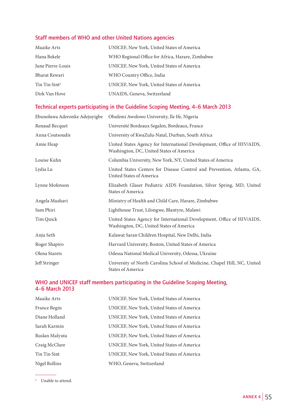### **Staff members of WHO and other United Nations agencies**

| Maaike Arts               | UNICEF, New York, United States of America       |
|---------------------------|--------------------------------------------------|
| Hana Bekele               | WHO Regional Office for Africa, Harare, Zimbabwe |
| June Pierre-Louis         | UNICEF, New York, United States of America       |
| Bharat Rewari             | WHO Country Office, India                        |
| Tin Tin Sint <sup>a</sup> | UNICEF, New York, United States of America       |
| Dirk Van Hove             | UNAIDS, Geneva, Switzerland                      |

### **Technical experts participating in the Guideline Scoping Meeting, 4–6 March 2013**

| Ebunoluwa Aderonke Adejuyigbe | Obafemi Awolowo University, Ile Ife, Nigeria                                                                        |
|-------------------------------|---------------------------------------------------------------------------------------------------------------------|
| Renaud Becquet                | Université Bordeaux Segalen, Bordeaux, France                                                                       |
| Anna Coutsoudis               | University of KwaZulu-Natal, Durban, South Africa                                                                   |
| Amie Heap                     | United States Agency for International Development, Office of HIV/AIDS,<br>Washington, DC, United States of America |
| Louise Kuhn                   | Columbia University, New York, NY, United States of America                                                         |
| Lydia Lu                      | United States Centers for Disease Control and Prevention, Atlanta, GA,<br>United States of America                  |
| Lynne Mofenson                | Elizabeth Glaser Pediatric AIDS Foundation, Silver Spring, MD, United<br><b>States of America</b>                   |
| Angela Mushavi                | Ministry of Health and Child Care, Harare, Zimbabwe                                                                 |
| Sam Phiri                     | Lighthouse Trust, Lilongwe, Blantyre, Malawi                                                                        |
| Tim Quick                     | United States Agency for International Development, Office of HIV/AIDS,<br>Washington, DC, United States of America |
| Anju Seth                     | Kalawat Saran Children Hospital, New Delhi, India                                                                   |
| Roger Shapiro                 | Harvard University, Boston, United States of America                                                                |
| Olena Starets                 | Odessa National Medical University, Odessa, Ukraine                                                                 |
| Jeff Stringer                 | University of North Carolina School of Medicine, Chapel Hill, NC, United<br><b>States of America</b>                |

#### **WHO and UNICEF staff members participating in the Guideline Scoping Meeting, 4–6 March 2013**

| Maaike Arts    | UNICEF, New York, United States of America |
|----------------|--------------------------------------------|
| France Begin   | UNICEF, New York, United States of America |
| Diane Holland  | UNICEF, New York, United States of America |
| Sarah Karmin   | UNICEF, New York, United States of America |
| Ruslan Malyuta | UNICEF, New York, United States of America |
| Craig McClure  | UNICEF, New York, United States of America |
| Tin Tin Sint   | UNICEF, New York, United States of America |
| Nigel Rollins  | WHO, Geneva, Switzerland                   |

<sup>a</sup> Unable to attend.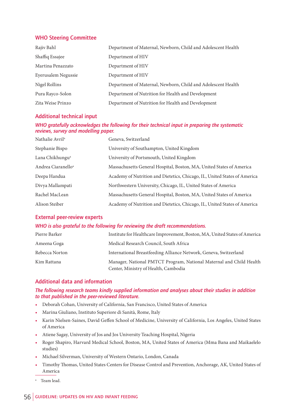#### **WHO Steering Committee**

| Rajiv Bahl          | Department of Maternal, Newborn, Child and Adolescent Health |  |
|---------------------|--------------------------------------------------------------|--|
| Shaffiq Essajee     | Department of HIV                                            |  |
| Martina Penazzato   | Department of HIV                                            |  |
| Eyerusalem Negussie | Department of HIV                                            |  |
| Nigel Rollins       | Department of Maternal, Newborn, Child and Adolescent Health |  |
| Pura Rayco-Solon    | Department of Nutrition for Health and Development           |  |
| Zita Weise Prinzo   | Department of Nutrition for Health and Development           |  |

#### **Additional technical input**

*WHO gratefully acknowledges the following for their technical input in preparing the systematic reviews, survey and modelling paper.*

| Nathalie Avril <sup>a</sup>    | Geneva, Switzerland                                                       |
|--------------------------------|---------------------------------------------------------------------------|
| Stephanie Bispo                | University of Southampton, United Kingdom                                 |
| Lana Chikhungu <sup>a</sup>    | University of Portsmouth, United Kingdom                                  |
| Andrea Ciaranello <sup>a</sup> | Massachusetts General Hospital, Boston, MA, United States of America      |
| Deepa Handua                   | Academy of Nutrition and Dietetics, Chicago, IL, United States of America |
| Divya Mallampati               | Northwestern University, Chicago, IL, United States of America            |
| Rachel MacLean                 | Massachusetts General Hospital, Boston, MA, United States of America      |
| Alison Steiber                 | Academy of Nutrition and Dietetics, Chicago, IL, United States of America |

#### **External peer-review experts**

#### *WHO is also grateful to the following for reviewing the draft recommendations.*

| Pierre Barker  | Institute for Healthcare Improvement, Boston, MA, United States of America                                  |
|----------------|-------------------------------------------------------------------------------------------------------------|
| Ameena Goga    | Medical Research Council, South Africa                                                                      |
| Rebecca Norton | International Breastfeeding Alliance Network, Geneva, Switzerland                                           |
| Kim Rattana    | Manager, National PMTCT Program, National Maternal and Child Health<br>Center, Ministry of Health, Cambodia |

#### **Additional data and information**

#### *The following research teams kindly supplied information and analyses about their studies in addition to that published in the peer-reviewed literature.*

- Deborah Cohan, University of California, San Francisco, United States of America
- Marina Giuliano, Instituto Superiore di Sanità, Rome, Italy
- Karin Nielsen-Saines, David Geffen School of Medicine, University of California, Los Angeles, United States of America
- Atiene Sagay, University of Jos and Jos University Teaching Hospital, Nigeria
- Roger Shapiro, Harvard Medical School, Boston, MA, United States of America (Mma Bana and Maikaelelo studies)
- Michael Silverman, University of Western Ontario, London, Canada
- Timothy Thomas, United States Centers for Disease Control and Prevention, Anchorage, AK, United States of America
- <sup>a</sup> Team lead.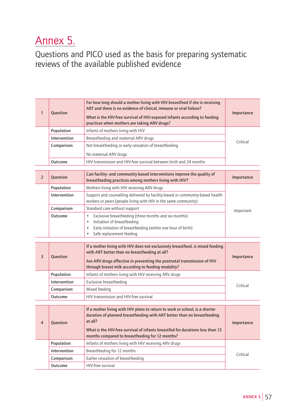### Annex 5.

Questions and PICO used as the basis for preparing systematic reviews of the available published evidence

| $\mathbf{1}$   | <b>Ouestion</b> | For how long should a mother living with HIV breastfeed if she is receiving<br>ART and there is no evidence of clinical, immune or viral failure?<br>What is the HIV-free survival of HIV-exposed infants according to feeding<br>practices when mothers are taking ARV drugs?                        | Importance |
|----------------|-----------------|-------------------------------------------------------------------------------------------------------------------------------------------------------------------------------------------------------------------------------------------------------------------------------------------------------|------------|
|                | Population      | Infants of mothers living with HIV                                                                                                                                                                                                                                                                    |            |
|                | Intervention    | Breastfeeding and maternal ARV drugs                                                                                                                                                                                                                                                                  | Critical   |
|                | Comparison      | Not breastfeeding or early cessation of breastfeeding                                                                                                                                                                                                                                                 |            |
|                |                 | No maternal ARV drugs                                                                                                                                                                                                                                                                                 |            |
|                | Outcome         | HIV transmission and HIV-free survival between birth and 24 months                                                                                                                                                                                                                                    |            |
|                |                 |                                                                                                                                                                                                                                                                                                       |            |
| $\overline{2}$ | <b>Ouestion</b> | Can facility- and community-based interventions improve the quality of<br>breastfeeding practices among mothers living with HIV?                                                                                                                                                                      | Importance |
|                | Population      | Mothers living with HIV receiving ARV drugs                                                                                                                                                                                                                                                           |            |
|                | Intervention    | Support and counselling delivered by facility-based or community-based health<br>workers or peers (people living with HIV in the same community)                                                                                                                                                      |            |
|                | Comparison      | Standard care without support                                                                                                                                                                                                                                                                         | Important  |
|                | Outcome         | Exclusive breastfeeding (three months and six months)<br>$\bullet$<br>Initiation of breastfeeding<br>$\bullet$<br>Early initiation of breastfeeding (within one hour of birth)<br>$\bullet$<br>Safe replacement feeding<br>$\bullet$                                                                  |            |
| 3              | Question        | If a mother living with HIV does not exclusively breastfeed, is mixed feeding<br>with ART better than no breastfeeding at all?<br>Are ARV drugs effective in preventing the postnatal transmission of HIV<br>through breast milk according to feeding modality?                                       | Importance |
|                | Population      | Infants of mothers living with HIV receiving ARV drugs                                                                                                                                                                                                                                                |            |
|                | Intervention    | Exclusive breastfeeding                                                                                                                                                                                                                                                                               |            |
|                | Comparison      | Mixed feeding                                                                                                                                                                                                                                                                                         | Critical   |
|                | Outcome         | HIV transmission and HIV-free survival                                                                                                                                                                                                                                                                |            |
|                |                 |                                                                                                                                                                                                                                                                                                       |            |
| 4              | Question        | If a mother living with HIV plans to return to work or school, is a shorter<br>duration of planned breastfeeding with ART better than no breastfeeding<br>at all?<br>What is the HIV-free survival of infants breastfed for durations less than 12<br>months compared to breastfeeding for 12 months? | Importance |
|                | Population      | Infants of mothers living with HIV receiving ARV drugs                                                                                                                                                                                                                                                |            |
|                | Intervention    | Breastfeeding for 12 months                                                                                                                                                                                                                                                                           | Critical   |
|                | Comparison      | Earlier cessation of breastfeeding                                                                                                                                                                                                                                                                    |            |
|                | Outcome         | HIV-free survival                                                                                                                                                                                                                                                                                     |            |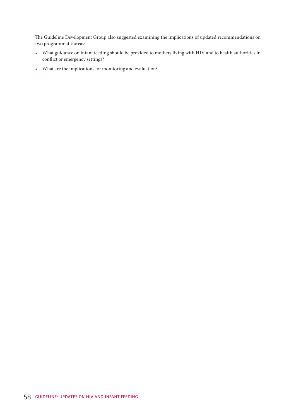The Guideline Development Group also suggested examining the implications of updated recommendations on two programmatic areas:

- What guidance on infant feeding should be provided to mothers living with HIV and to health authorities in conflict or emergency settings?
- What are the implications for monitoring and evaluation?